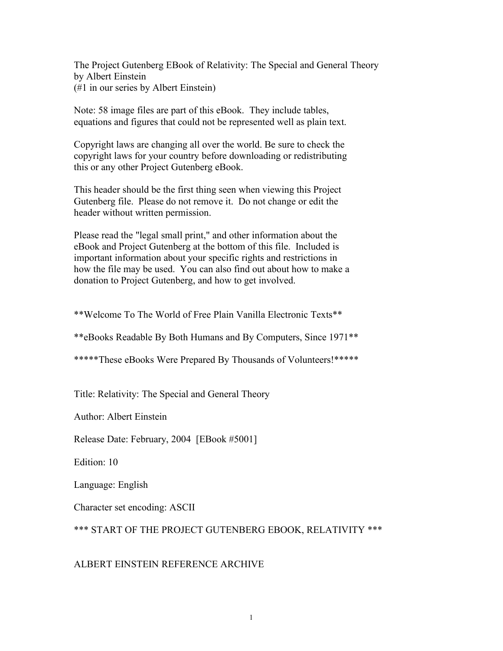The Project Gutenberg EBook of Relativity: The Special and General Theory by Albert Einstein (#1 in our series by Albert Einstein)

Note: 58 image files are part of this eBook. They include tables, equations and figures that could not be represented well as plain text.

Copyright laws are changing all over the world. Be sure to check the copyright laws for your country before downloading or redistributing this or any other Project Gutenberg eBook.

This header should be the first thing seen when viewing this Project Gutenberg file. Please do not remove it. Do not change or edit the header without written permission.

Please read the "legal small print," and other information about the eBook and Project Gutenberg at the bottom of this file. Included is important information about your specific rights and restrictions in how the file may be used. You can also find out about how to make a donation to Project Gutenberg, and how to get involved.

\*\*Welcome To The World of Free Plain Vanilla Electronic Texts\*\*

\*\*eBooks Readable By Both Humans and By Computers, Since 1971\*\*

\*\*\*\*\*These eBooks Were Prepared By Thousands of Volunteers!\*\*\*\*\*

Title: Relativity: The Special and General Theory

Author: Albert Einstein

Release Date: February, 2004 [EBook #5001]

Edition: 10

Language: English

Character set encoding: ASCII

\*\*\* START OF THE PROJECT GUTENBERG EBOOK, RELATIVITY \*\*\*

# ALBERT EINSTEIN REFERENCE ARCHIVE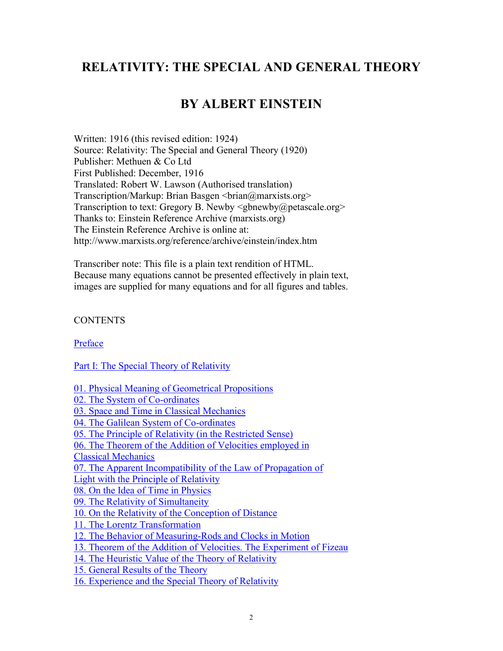# **RELATIVITY: THE SPECIAL AND GENERAL THEORY**

# **BY ALBERT EINSTEIN**

Written: 1916 (this revised edition: 1924) Source: Relativity: The Special and General Theory (1920) Publisher: Methuen & Co Ltd First Published: December, 1916 Translated: Robert W. Lawson (Authorised translation) Transcription/Markup: Brian Basgen <br/>brian@marxists.org> Transcription to text: Gregory B. Newby  $\leq$ gbnewby $\left(\frac{\partial u}{\partial p}\right)$ etascale.org> Thanks to: Einstein Reference Archive (marxists.org) The Einstein Reference Archive is online at: http://www.marxists.org/reference/archive/einstein/index.htm

Transcriber note: This file is a plain text rendition of HTML. Because many equations cannot be presented effectively in plain text, images are supplied for many equations and for all figures and tables.

# **CONTENTS**

[Preface](#page-3-0)

# Part I: The Special Theory of [Relativity](#page-3-1)

01. Physical Meaning of Geometrical [Propositions](#page-4-0) 02. The System of [Co-ordinates](#page-5-0) 03. Space and Time in Classical [Mechanics](#page-8-0) 04. The Galilean System of [Co-ordinates](#page-9-0) 05. The Principle of Relativity (in the [Restricted](#page-10-0) Sense) 06. The Theorem of the Addition of [Velocities](#page-12-0) employed in Classical Mechanics 07. The Apparent [Incompatibility](#page-12-1) of the Law of Propagation of Light with the Principle of Relativity 08. On the Idea of Time in [Physics](#page-14-0) 09. The Relativity of [Simultaneity](#page-17-0) 10. On the Relativity of the [Conception](#page-18-0) of Distance 11. The Lorentz [Transformation](#page-19-0) 12. The Behavior of [Measuring-Rods](#page-23-0) and Clocks in Motion 13. Theorem of the Addition of Velocities. The [Experiment](#page-25-0) of Fizeau 14. The Heuristic Value of the Theory of [Relativity](#page-28-0) 15. [General](#page-28-1) Results of the Theory 16. Experience and the Special Theory of Relativity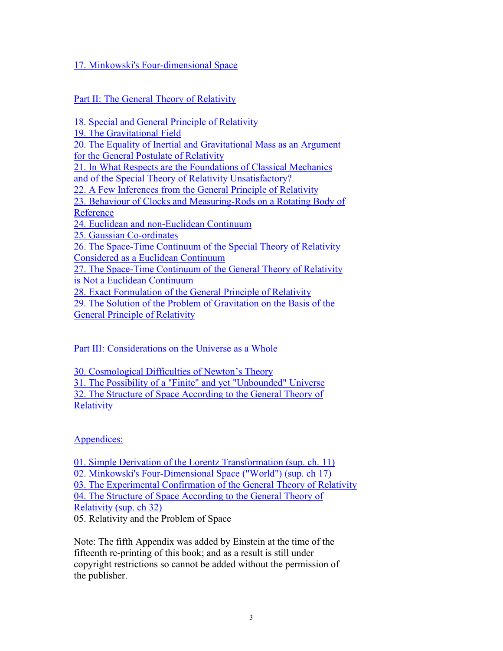17. Minkowski's [Four-dimensional](#page-35-0) Space

Part II: The General Theory of [Relativity](#page-38-0)

18. Special and General Principle of [Relativity](#page-38-1) 19. The [Gravitational](#page-40-0) Field 20. The Equality of Inertial and [Gravitational](#page-42-0) Mass as an Argument for the General Postulate of Relativity 21. In What Respects are the [Foundations](#page-45-0) of Classical Mechanics and of the Special Theory of Relativity Unsatisfactory? 22. A Few [Inferences](#page-46-0) from the General Principle of Relativity 23. Behaviour of Clocks and [Measuring-Rods](#page-49-0) on a Rotating Body of Reference 24. Euclidean and [non-Euclidean](#page-51-0) Continuum 25. Gaussian [Co-ordinates](#page-53-0) 26. The [Space-Time](#page-56-0) Continuum of the Special Theory of Relativity Considered as a Euclidean Continuum 27. The [Space-Time](#page-57-0) Continuum of the General Theory of Relativity is Not a Euclidean Continuum 28. Exact [Formulation](#page-59-0) of the General Principle of Relativity 29. The Solution of the Problem of [Gravitation](#page-61-0) on the Basis of the General Principle of Relativity

Part III: [Considerations](#page-64-0) on the Universe as a Whole

30. [Cosmological](#page-64-1) Difficulties of Newton's Theory 31. The Possibility of a "Finite" and yet ["Unbounded"](#page-65-0) Universe 32. The Structure of Space [According](#page-68-0) to the General Theory of **Relativity** 

[Appendices:](#page-71-0)

01. Simple Derivation of the Lorentz [Transformation](#page-71-1) (sup. ch. 11) 02. Minkowski's [Four-Dimensional](#page-76-0) Space ("World") (sup. ch 17) 03. The Experimental [Confirmation](#page-78-0) of the General Theory of Relativity 04. The Structure of Space [According](#page-85-0) to the General Theory of Relativity (sup. ch 32) 05. Relativity and the Problem of Space

Note: The fifth Appendix was added by Einstein at the time of the fifteenth re-printing of this book; and as a result is still under copyright restrictions so cannot be added without the permission of the publisher.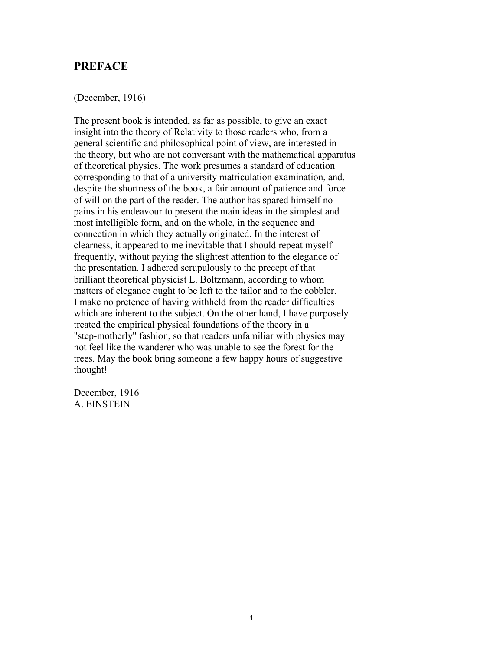# <span id="page-3-0"></span>**PREFACE**

#### (December, 1916)

The present book is intended, as far as possible, to give an exact insight into the theory of Relativity to those readers who, from a general scientific and philosophical point of view, are interested in the theory, but who are not conversant with the mathematical apparatus of theoretical physics. The work presumes a standard of education corresponding to that of a university matriculation examination, and, despite the shortness of the book, a fair amount of patience and force of will on the part of the reader. The author has spared himself no pains in his endeavour to present the main ideas in the simplest and most intelligible form, and on the whole, in the sequence and connection in which they actually originated. In the interest of clearness, it appeared to me inevitable that I should repeat myself frequently, without paying the slightest attention to the elegance of the presentation. I adhered scrupulously to the preceptof that brilliant theoretical physicist L. Boltzmann, according to whom matters of elegance ought to be left to the tailor and to the cobbler. I make no pretence of having withheld from the reader difficulties which are inherent to the subject. On the other hand, I have purposely treated the empirical physical foundations of the theory in a "step-motherly" fashion, so that readers unfamiliar with physics may not feel like the wanderer who was unable to see the forest for the trees. May the book bring someone a few happy hours of suggestive thought!

<span id="page-3-1"></span>December, 1916 A. EINSTEIN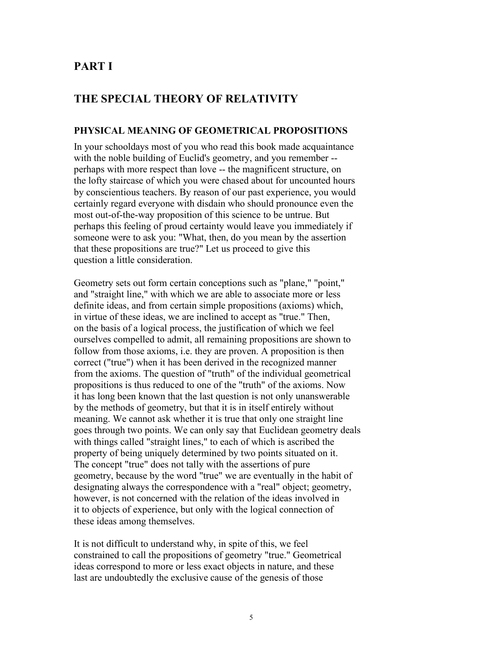# **PART I**

# **THE SPECIAL THEORY OF RELATIVITY**

### <span id="page-4-0"></span>**PHYSICAL MEANING OF GEOMETRICAL PROPOSITIONS**

In your schooldays most of you who read this book made acquaintance with the noble building of Euclid's geometry, and you remember - perhaps with more respect than love -- the magnificent structure, on the lofty staircase of which you were chased about for uncounted hours by conscientious teachers. By reason of our past experience, you would certainly regard everyone with disdain who should pronounce even the most out-of-the-way proposition of this science to be untrue. But perhaps this feeling of proud certainty would leave you immediately if someone were to ask you: "What, then, do you mean by the assertion that these propositions are true?" Let us proceed to give this question a little consideration.

Geometry sets out form certain conceptions such as "plane," "point," and "straight line," with which we are able to associate more or less definite ideas, and from certain simple propositions (axioms) which, in virtue of these ideas, we are inclined to accept as "true." Then, on the basis of a logical process, the justification of which we feel ourselves compelled to admit, all remaining propositions are shown to follow from those axioms, i.e. they are proven. A proposition is then correct ("true") when it has been derived in the recognized manner from the axioms. The question of "truth" of the individual geometrical propositions is thus reduced to one of the "truth" of the axioms. Now it has long been known that the last question is not only unanswerable by the methods of geometry, but that it is in itself entirely without meaning. We cannot ask whether it is true that only one straight line goes through two points.We can only say that Euclidean geometry deals with things called "straight lines," to each of which is ascribed the property of being uniquely determined by two points situated on it. The concept "true" does not tally with the assertions of pure geometry, because by the word "true" we are eventually in the habit of designating always the correspondence with a "real" object; geometry, however, is not concerned with the relation of the ideas involved in it to objects of experience, but only with the logical connection of these ideas among themselves.

It is not difficult to understand why, in spite of this, we feel constrained to call the propositions of geometry "true." Geometrical ideas correspond to more or less exact objects in nature, and these last are undoubtedly the exclusive cause of the genesis of those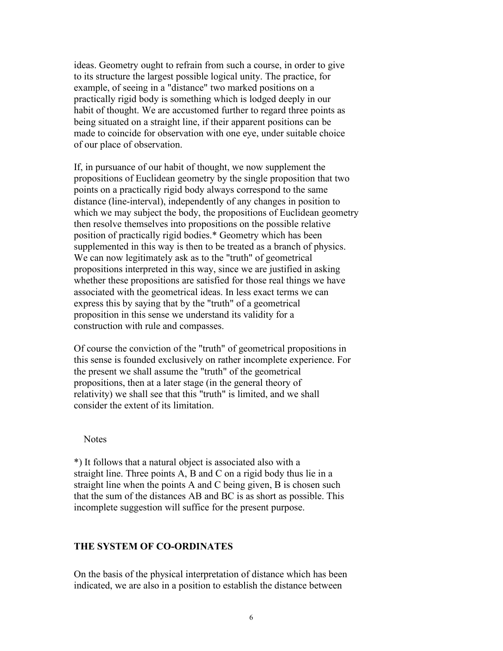ideas. Geometry ought to refrain from such a course, in order to give to its structure the largest possible logical unity. The practice, for example, of seeing in a "distance" two marked positions on a practically rigid body is something which is lodged deeply in our habit of thought. We are accustomed further to regard three points as being situated on a straight line, if their apparent positions can be made to coincide for observation with one eye, under suitable choice of our place of observation.

If, in pursuance of our habit of thought, we now supplement the propositions of Euclidean geometry by the single proposition that two points on a practically rigid body always correspond to the same distance (line-interval), independently of any changes in position to which we may subject the body, the propositions of Euclidean geometry then resolve themselves into propositions on the possible relative position of practically rigid bodies.\* Geometry which has been supplemented in this way is then to be treated as a branch of physics. We can now legitimately ask as to the "truth" of geometrical propositions interpreted in this way, since we are justified in asking whether these propositions are satisfied for those real things we have associated with the geometrical ideas. In less exact terms we can express this by saying that by the "truth" of a geometrical proposition in this sense we understand its validity for a construction with rule and compasses.<br>Of course the conviction of the "truth" of geometrical propositions in

this sense is founded exclusively on rather incomplete experience. For the present we shall assume the "truth" of the geometrical propositions, then at a later stage (in the general theory of relativity) we shall see that this "truth" is limited, and we shall consider the extent of its limitation.

**Notes** 

\*) It follows that a natural object is associated also with a straight line. Three points A, B and C on a rigid body thus lie in a straight line when the points A and C being given, B is chosen such that the sum of the distances AB and BC is asshort as possible. This incomplete suggestion will suffice for the present purpose.

### <span id="page-5-0"></span>**THE SYSTEM OF CO-ORDINATES**

On the basis of the physical interpretation of distance which has been indicated, we are also in a position to establish the distance between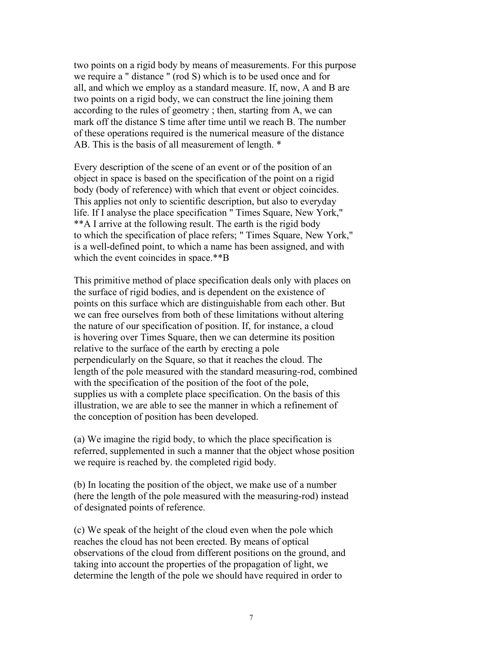two points on a rigid body by means of measurements. For this purpose we require a "distance "(rod S) which is to be used once and for all, and which we employ as a standard measure. If, now, A and B are two points on a rigid body, we can construct the line joining them according to the rules of geometry; then, starting from A, we can mark off the distance S time after time until we reach B. The number of these operations required is the numerical measure of the distance AB. This is the basis of all measurement of length. \*

Every description of the scene of an event or of the position of an object in space is based on the specification of the point on a rigid body (body of reference) with which that event or object coincides. This applies not only to scientific description, but also to everyday life. If I analyse the place specification " Times Square, New York," \*\*A I arrive at the following result. The earth is the rigid body to which the specification of place refers; " Times Square, New York," is a well-defined point, to which a name has been assigned, and with which the event coincides in space.\*\*B

This primitive method of place specification deals only with places on the surface of rigid bodies, and is dependent on the existence of points on this surface which are distinguishable from each other. But we can free ourselves from both of these limitations without altering the nature of our specification of position. If, for instance, a cloud is hovering over Times Square, then we can determine its position relative to the surface of the earth by erecting a pole perpendicularly on the Square, so that it reaches the cloud. The length of the pole measured with the standard measuring-rod, combined with the specification of the position of the foot of the pole, supplies us with a complete place specification. On the basis of this illustration, we are able to see the manner in which a refinement of the conception of position has been developed.

(a) We imagine the rigid body, to which the place specification is referred, supplemented in such a manner that the object whose position we require is reached by. the completed rigid body.

(b) In locating the position of the object, we make use of a number (here the length of the pole measured with the measuring-rod) instead of designated points of reference.

(c) We speak of the height of the cloud even when the pole which reaches the cloud has not been erected. By means of optical observations of the cloud from different positions on the ground, and taking into account the properties of the propagation of light, we determine the length of the pole we should have required in order to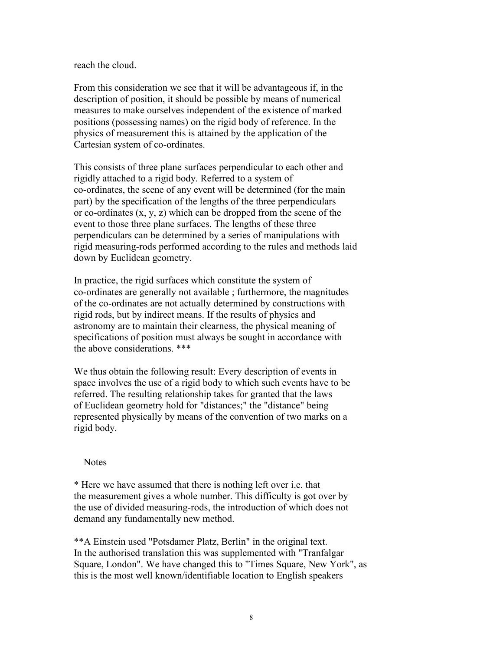reach the cloud.

From this consideration we see that it will be advantageous if, in the description of position, it should be possible by means of numerical measures to make ourselves independent of the existence of marked positions (possessing names) on the rigid body of reference. In the physics of measurement this is attained by the application of the Cartesian system of co-ordinates.

This consists of three plane surfaces perpendicular to each other and rigidly attached to a rigid body. Referred to a system of co-ordinates, the scene of any event will be determined (for the main part) by the specification of the lengths of the three perpendiculars or co-ordinates (x, y, z) which can be dropped from the scene of the event to those three plane surfaces. The lengths of these three perpendiculars can be determined by a series of manipulations with rigid measuring-rods performed according to the rules and methods laid down by Euclidean geometry.

In practice, the rigid surfaces which constitute the system of co-ordinates are generally not available ; furthermore, the magnitudes of the co-ordinates are not actually determined by constructions with rigid rods, but by indirect means. If the results of physics and astronomy are to maintain their clearness, the physical meaning of specifications of position must always be sought in accordance with the above considerations. \*\*\*

We thus obtain the following result: Every description of events in space involves the use of a rigid body to which such events have to be referred. The resulting relationship takes for granted that the laws of Euclidean geometry hold for "distances;" the "distance" being represented physically by means of the convention of two marks on a rigid body.

# **Notes**

\* Here we have assumed that there is nothing left over i.e. that the measurement gives a whole number. This difficulty is got over by the use of divided measuring-rods, the introduction of which does not demand any fundamentally new method.

\*\*A Einstein used "Potsdamer Platz, Berlin" in the original text. In the authorised translation this was supplemented with "Tranfalgar Square, London". We have changed this to "Times Square, New York", as this is the most well known/identifiable location to English speakers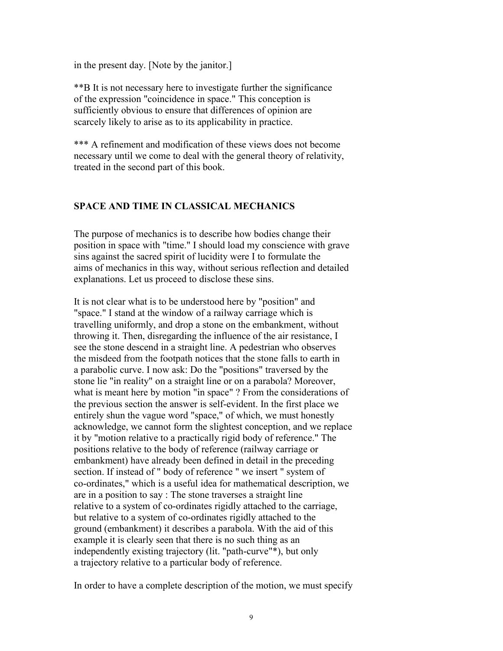in the present day. [Note by the janitor.]

\*\*B It is not necessary here to investigate further the significance of the expression "coincidence in space." This conception is sufficiently obvious to ensure that differences of opinion are scarcely likely to arise as to its applicability in practice.<br>\*\*\* A refinement and modification of these views does not become

necessary until we come to deal with the general theory of relativity, treated in the second part of this book.

### <span id="page-8-0"></span>**SPACE AND TIME IN CLASSICAL MECHANICS**

The purpose of mechanics is to describe how bodies change their position in space with "time." I should load my conscience with grave sins against the sacred spirit of lucidity were I to formulate the aims of mechanics in this way, without serious reflection and detailed explanations. Let us proceed to disclose these sins.

It is not clear what is to be understood here by "position" and "space." I stand at the window of a railway carriage which is travelling uniformly, and drop a stone on the embankment, without throwing it. Then, disregarding the influence of the air resistance, I see the stone descend in a straight line. A pedestrian who observes the misdeed from the footpath notices that the stone falls to earth in a parabolic curve. I now ask: Do the "positions" traversed by the stone lie "in reality" on a straight line or on a parabola? Moreover, what is meant here by motion "in space" ? From the considerations of the previous section the answer is self-evident. In the first place we entirely shun the vague word "space," of which, we must honestly acknowledge, we cannot form the slightest conception, and we replace it by "motion relative to a practically rigid body of reference." The positions relative to the body of reference (railway carriage or embankment) have already been defined in detail in the preceding section. If instead of " body of reference " we insert " system of co-ordinates," which is a useful idea for mathematical description, we are in a position to say : The stone traverses a straight line relative to a system of co-ordinates rigidly attached to the carriage, but relative to a system of co-ordinates rigidly attached to the ground (embankment) it describes a parabola. With the aid of this example it is clearly seen that there is no such thing as an independently existing trajectory (lit. "path-curve"\*), but only a trajectory relative to a particular body of reference.

In order to have a complete description of the motion, we must specify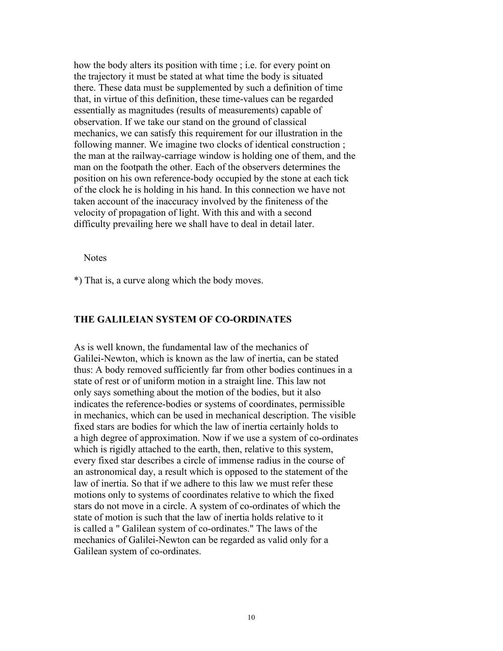how the body alters its position with time ; i.e. for every point on the trajectory it must be stated at what time the body is situated there. These data must be supplemented by such a definition of time that, in virtue of this definition, these time-values can be regarded essentially as magnitudes (results of measurements) capable of observation. If we take our stand on the ground of classical mechanics, we can satisfy this requirement for our illustration in the following manner. We imagine two clocks of identical construction ; the man at the railway-carriage window is holding one of them, and the man on the footpath the other. Each of the observers determines the position on his own reference-body occupied by the stone at each tick of the clock he is holding in his hand. In this connection we have not taken account of the inaccuracy involved by the finiteness of the velocity of propagation of light. With this and with a second difficulty prevailing here we shall have to deal in detail later.<br>Notes

\*) That is, a curve along which the body moves.

### <span id="page-9-0"></span>**THE GALILEIAN SYSTEM OF CO-ORDINATES**

As is well known, the fundamental law of the mechanics of Galilei-Newton, which is known as the law of inertia, can be stated thus: A body removed sufficiently far from other bodies continues in a state of rest or of uniform motion in a straight line. This law not only says something about the motion of the bodies, but it also indicates the reference-bodies or systems of coordinates, permissible in mechanics, which can be used in mechanical description. The visible fixed stars are bodies for which the law of inertia certainly holds to a high degree of approximation. Now if we use a system of co-ordinates which is rigidly attached to the earth, then, relative to this system, every fixed star describes a circle of immense radius in the course of an astronomical day, a result which is opposed to the statement of the law of inertia. So that if we adhere to this law we must refer these motions only to systems of coordinates relative to which the fixed stars do not move in a circle. A system of co-ordinates of which the state of motion is such that the law of inertia holds relative to it is called a "Galilean system of co-ordinates." The laws of the mechanics of Galilei-Newton can be regarded as valid only for a Galilean system of co-ordinates.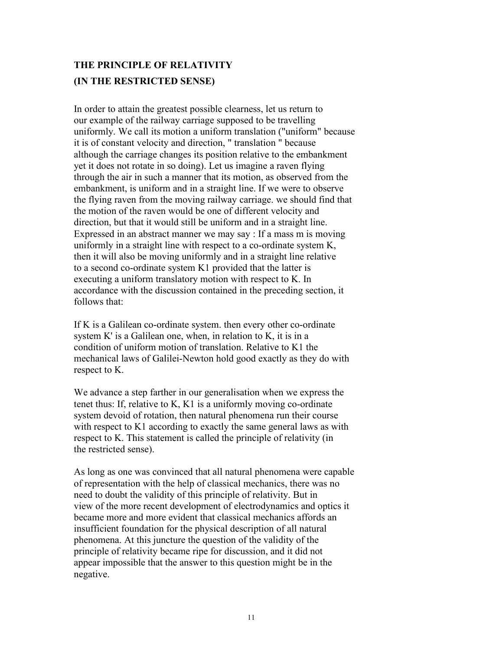# <span id="page-10-0"></span>**THE PRINCIPLE OF RELATIVITY (IN THE RESTRICTED SENSE)**

In order to attain the greatest possible clearness, let us return to our example of the railway carriage supposed to be travelling uniformly. We call its motion a uniform translation ("uniform" because it is of constant velocity and direction, " translation " because although the carriage changes its position relative to the embankment yet it does not rotate in so doing). Let us imagine a raven flying through the air in such a manner that its motion, as observed from the embankment, is uniform and in a straight line. If we were to observe the flying raven from the moving railway carriage. we should find that the motion of the raven would be one of different velocity and direction, but that it would still be uniform and in a straight line. Expressed in an abstract manner we may say : If a mass m is moving uniformly in a straight line with respect to a co-ordinate system K, then it will also be moving uniformly and in a straight line relative to a second co-ordinate system K1 provided that the latter is executing a uniform translatory motion with respect to K. In accordance with the discussion contained in the preceding section, it follows that:

If K is a Galilean co-ordinate system. then every other co-ordinate system K' is a Galilean one, when, in relation to K, it is in a condition of uniform motion of translation. Relative to K1 the mechanical laws of Galilei-Newton hold good exactly as they do with respect to K.

We advance a step farther in our generalisation when we express the tenet thus: If, relative to K, K1 is a uniformly moving co-ordinate system devoid of rotation, then natural phenomena run their course with respect to  $K1$  according to exactly the same general laws as with respect to K. This statement is called the principle of relativity (in the restricted sense).

As long as one was convinced that all natural phenomena were capable of representation with the help of classical mechanics, there was no need to doubt the validity of this principle of relativity. But in view of the more recent development of electrodynamics and optics it became more and more evident that classical mechanics affords an insufficient foundation for the physical description of all natural phenomena. At this juncture the question of the validity of the principle of relativity became ripe for discussion, and it did not appear impossible that the answer to this question might be in the negative.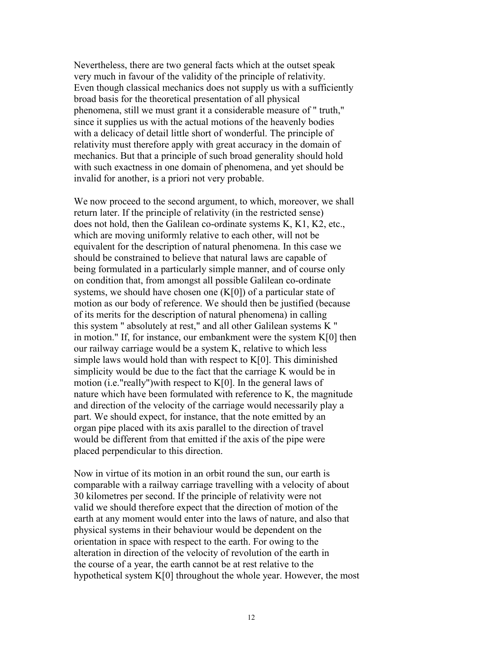Nevertheless, there are two general facts which at the outset speak very much in favour of the validity of the principle of relativity. Even though classical mechanics does not supply us with a sufficiently broad basis for the theoretical presentation of all physical phenomena, still we must grant it a considerable measure of " truth," since it supplies us with the actual motions of the heavenly bodies with a delicacy of detail little short of wonderful. The principle of relativity must therefore apply with great accuracy in the domain of mechanics. But that a principle of such broad generality should hold with such exactness in one domain of phenomena, and yet should be invalid for another, is a priori not very probable.

We now proceed to the second argument, to which, moreover, we shall return later. If the principle of relativity (in the restricted sense) does not hold, then the Galilean co-ordinate systems K, K1, K2, etc., which are moving uniformly relative to each other, will not be equivalent for the description of natural phenomena. In this case we should be constrained to believe that natural laws are capable of being formulated in a particularly simple manner, and of course only on condition that, from amongst all possible Galilean co-ordinate systems, we should have chosen one  $(K[0])$  of a particular state of motion as our body of reference. We should then be justified (because of its merits for the description of natural phenomena) in calling this system " absolutely at rest," and all other Galilean systems K " in motion." If, for instance, our embankment were the system K[0] then our railway carriage would be a system K, relative to which less simple laws would hold than with respect to  $K[0]$ . This diminished simplicity would be due to the fact that the carriage K would be in motion (i.e."really") with respect to  $K[0]$ . In the general laws of nature which have been formulated with reference to K, the magnitude and direction of the velocity of the carriage would necessarily play a part. We should expect, for instance, that the note emitted by an organ pipe placed with its axis parallel to the direction of travel would be different from that emitted if the axis of the pipe were placed perpendicular to this direction.

Now in virtue of its motion in an orbit round the sun, our earth is comparable with a railway carriage travelling with a velocity of about 30 kilometres per second. If the principle of relativity were not valid we should therefore expect that the direction of motion of the earth at any moment would enter into the laws of nature, and also that physical systems in their behaviour would be dependent on the orientation in space with respect to the earth. For owing to the alteration in direction of the velocity of revolution of the earth in the course of a year, the earth cannot be at rest relative to the hypothetical system K[0] throughout the whole year. However, the most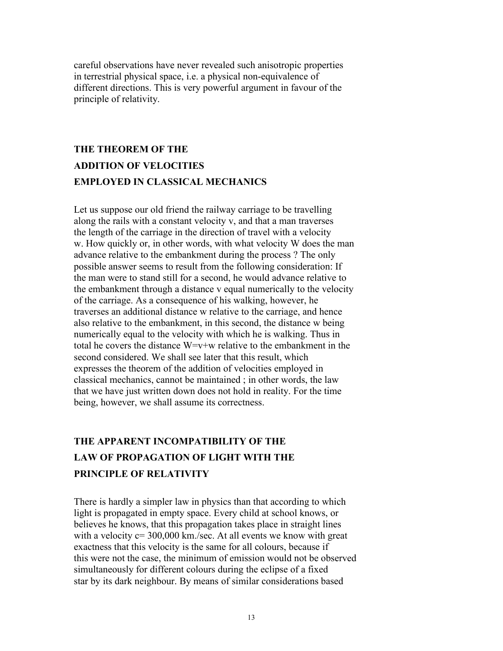careful observations have never revealed such anisotropic properties in terrestrial physical space, i.e. a physical non-equivalence of different directions. This is very powerful argument in favour of the principle of relativity.

# <span id="page-12-0"></span>**THE THEOREM OF THE ADDITION OF VELOCITIES EMPLOYED IN CLASSICAL MECHANICS**

Let us suppose our old friend the railway carriage to be travelling along the rails with a constant velocity v, and that a man traverses the length of the carriage in the direction of travel with a velocity w. How quickly or, in other words, with what velocity W does the man advance relative to the embankment during the process ? The only possible answer seems to result from the following consideration: If the man were to stand still for a second, he would advance relative to the embankment through a distance v equal numerically to the velocity of the carriage.As a consequence of his walking, however, he traverses an additional distance w relative to the carriage, and hence also relative to the embankment, in this second, the distance w being numerically equal to the velocity with which he is walking. Thus in total he covers the distance W=v+w relative to the embankment in the second considered. We shall see later that this result, which expresses the theorem of the addition of velocities employed in classical mechanics, cannot be maintained ; in other words, the law that we have just written down does not hold in reality. For the time being, however, we shall assume its correctness.

# <span id="page-12-1"></span>**THE APPARENT INCOMPATIBILITY OF THE LAW OF PROPAGATION OF LIGHT WITH THE PRINCIPLE OF RELATIVITY**

There is hardly a simpler law in physics than that according to which light is propagated in empty space. Every child at school knows, or believes he knows, that this propagation takes place in straight lines with a velocity  $c = 300,000$  km./sec. At all events we know with great exactness that this velocity is the same for all colours, because if this were not the case, the minimum of emission would not be observed simultaneously for different colours during the eclipse of a fixed star by its dark neighbour. By means of similar considerations based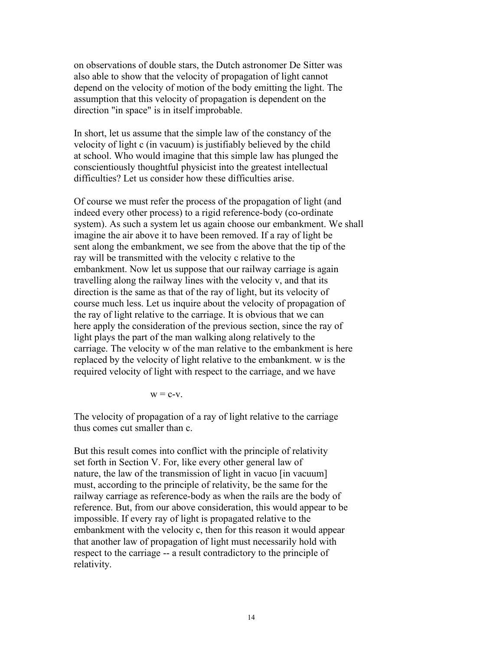on observations of double stars, the Dutch astronomer De Sitter was also able to show that the velocity of propagation of light cannot depend on the velocity of motion of the body emitting the light. The assumption that this velocity of propagation is dependent on the direction "in space" is in itself improbable.

In short, let us assume that the simple law of the constancy of the velocity of light c (in vacuum) is justifiably believed by the child at school. Who would imagine that this simple law has plunged the conscientiously thoughtful physicist into the greatest intellectual difficulties? Let us consider how these difficulties arise.

Of course we must refer the process of the propagation of light (and indeed every other process) to a rigid reference-body (co-ordinate system). As such a system let us again choose our embankment. We shall imagine the air above it to have been removed. If a ray of light be sent along the embankment, we see from the above that the tip of the ray will be transmitted with the velocity c relative to the embankment. Now let us suppose that our railway carriage is again travelling along the railway lines with the velocity v, and that its direction is the same as that of the ray of light, but its velocity of course much less. Let us inquire about the velocity of propagation of the ray of light relative to the carriage.It is obvious that we can here apply the consideration of the previous section, since the ray of light plays the part of the man walking along relatively to the carriage. The velocity w of the man relative to the embankment is here replaced by the velocity of light relative to the embankment. w is the required velocity of light with respect to the carriage, and we have

 $w = c-v.$ 

The velocity of propagation of a ray of light relative to the carriage thus comes cut smaller than c.

But this result comes into conflict with the principle of relativity set forth in Section V. For, like every other general law of nature, the law of the transmission of light in vacuo [in vacuum] must, according to the principle of relativity, be the same for the railway carriage as reference-body as when the rails are the body of reference. But, from our above consideration, this would appear to be impossible. If every ray of light is propagated relative to the embankment with the velocity c, then for this reason it would appear that another law of propagation of light must necessarily hold with respect to the carriage -- a result contradictory to the principle of relativity.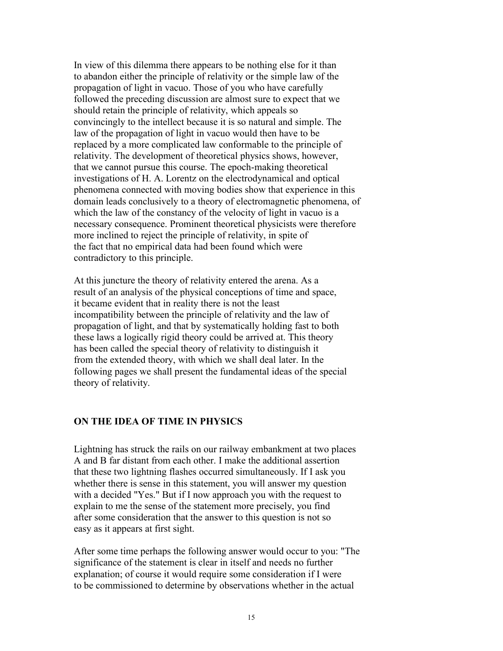In view of this dilemma there appears to be nothing else for it than to abandon either the principle of relativity or the simple law of the propagation of light in vacuo. Those of you who have carefully followed the preceding discussion are almost sure to expect that we should retain the principle of relativity, which appeals so convincingly to the intellect because it is so natural and simple. The law of the propagation of light in vacuo would then have to be replaced by a more complicated law conformable to the principle of relativity. The development of theoretical physics shows, however, that we cannot pursue this course. The epoch-making theoretical investigations of H. A. Lorentz on the electrodynamical and optical phenomena connected with moving bodies show that experience in this domain leads conclusively to a theory of electromagnetic phenomena, of which the law of the constancy of the velocity of light in vacuo is a necessary consequence. Prominent theoretical physicists were therefore more inclined to reject the principle of relativity, in spite of the fact that no empirical data had been found which were contradictory to this principle.

At this juncture the theory of relativity entered the arena. As a result of an analysis of the physical conceptions of time and space, it became evident that in reality there is not the least incompatibility between the principle of relativity and the law of propagation of light, and that by systematically holding fast to both these laws a logically rigid theory could be arrived at. This theory has been called the special theory of relativity to distinguish it from the extended theory, with which we shall deal later. In the following pages we shall present the fundamental ideas of the special theory of relativity.

# <span id="page-14-0"></span>**ON THE IDEA OF TIME IN PHYSICS**

Lightning has struck the rails on our railway embankment at two places A and B far distant from each other. I make the additional assertion that these two lightning flashes occurred simultaneously. If I ask you whether there is sense in this statement, you will answer my question with a decided "Yes." But if I now approach you with the request to explain to me the sense of the statement more precisely, you find after some consideration that the answer to this question is not so easy as it appears at first sight.

After some time perhaps the following answer would occur to you: "The significance of the statement is clear in itself and needs no further explanation; of course it would require some consideration if I were to be commissioned to determine by observations whether in the actual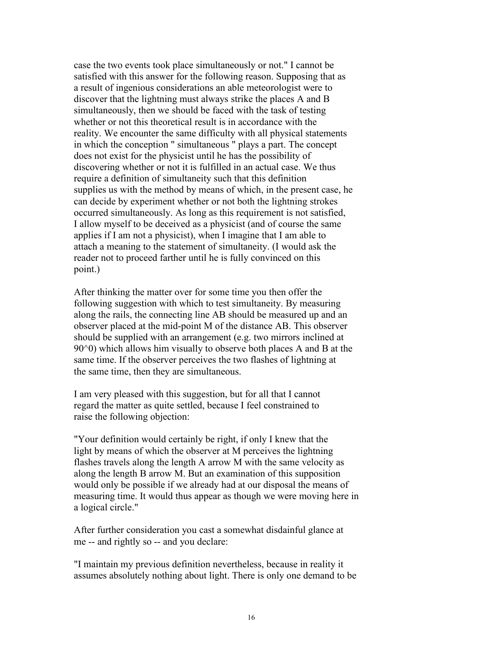case the two events took place simultaneously or not." I cannot be satisfied with this answer for the following reason. Supposing that as a result of ingenious considerations an able meteorologist were to discover that the lightning must always strike the places A and B simultaneously, then we should be faced with the task of testing whether or not this theoretical result is in accordance with the reality. We encounter the same difficulty with all physical statements in which the conception " simultaneous " plays a part. The concept does not exist for the physicist until he has the possibility of discovering whether or not it is fulfilled in an actual case. We thus require a definition of simultaneity such that this definition supplies us with the method by means of which, in the present case, he can decide by experiment whether or not both the lightning strokes occurred simultaneously. As long as this requirement is not satisfied, I allow myself to be deceived as a physicist (and of course the same applies if I am not a physicist), when I imagine that I am able to attach a meaning to the statement of simultaneity. (I would ask the reader not to proceed farther until he is fully convinced on this point.)

After thinking the matter over for some time you then offer the following suggestion with which to test simultaneity. By measuring along the rails, the connecting line AB should be measured up and an observer placed at the mid-point M of the distance AB. This observer should be supplied with an arrangement (e.g. two mirrors inclined at  $90^{\circ}$ ) which allows him visually to observe both places A and B at the same time. If the observer perceives the two flashes of lightning at the same time, then they are simultaneous.

I am very pleased with this suggestion, but for all that I cannot regard the matter as quite settled, because I feel constrained to raise the following objection:<br>"Your definition would certainly be right, if only I knew that the

light by means of which the observer at M perceives the lightning flashes travels along the length A arrow M with the same velocity as along the length B arrow M. But an examination of this supposition would only be possible if we already had at our disposal the means of measuring time. It would thus appear as though we were moving here in a logical circle."

After further consideration you cast a somewhat disdainful glance at me -- and rightly so -- and you declare:

"I maintain my previous definition nevertheless, because in reality it assumes absolutely nothing about light. There is only one demand to be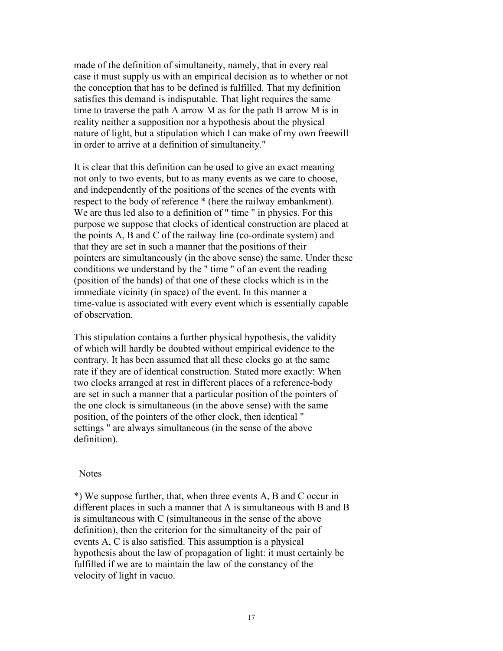made of the definition of simultaneity, namely, that in every real case it must supply us with an empirical decision as to whether or not the conception that has to be defined is fulfilled. That my definition satisfies this demand is indisputable. That light requires the same time to traverse the path A arrow M as for the path B arrow M is in reality neither a supposition nor a hypothesis about the physical nature of light, but a stipulation which I can make of my own freewill in order to arrive at a definition of simultaneity."

It is clear that this definition can be used to give an exact meaning not only to two events, but to as many events as we care to choose, and independently of the positions of the scenes of the events with respect to the body of reference \* (here the railway embankment). We are thus led also to a definition of " time " in physics. For this purpose we suppose that clocks of identical construction are placed at the points A, B and C of the railway line (co-ordinate system) and that they are set in such a manner that the positions of their pointers are simultaneously (in the above sense) the same. Under these conditions we understand by the "time " of an event the reading (position of the hands) of that one of these clocks which is in the immediate vicinity (in space) of the event. In this manner a time-value is associated with every event which is essentially capable of observation.

This stipulation contains a further physical hypothesis, the validity of which will hardly be doubted without empirical evidence to the contrary. It has been assumed that all these clocks go at the same rate if they are of identical construction. Stated more exactly: When two clocks arranged at rest in different places of a reference-body are set in such a manner that a particular position of the pointers of the one clock is simultaneous (in the above sense) with the same position, of the pointers of the other clock, then identical " settings " are always simultaneous (in the sense of the above definition).

### **Notes**

\*) We suppose further, that, when three events A, B and C occur in different places in such a manner that A is simultaneous with B and B is simultaneous with C (simultaneous in the sense of the above definition), then the criterion for the simultaneity of the pair of events A, C is also satisfied. This assumption is a physical hypothesis about the law of propagation of light: it must certainly be fulfilled if we are to maintain the law of the constancy of the velocity of light in vacuo.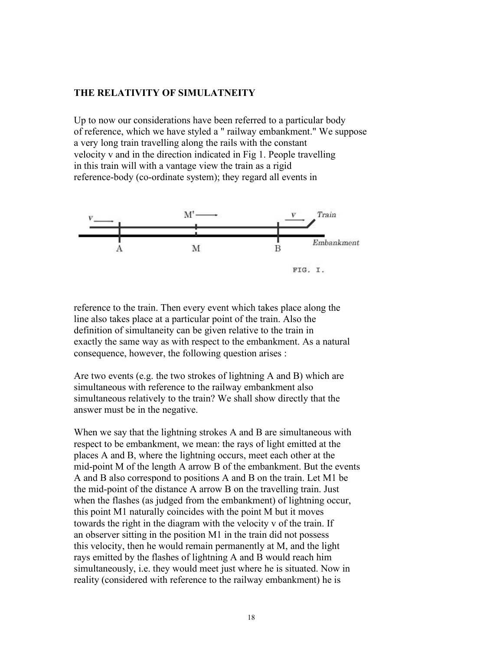### <span id="page-17-0"></span>**THE RELATIVITY OF SIMULATNEITY**

Up to now our considerations have been referred to a particular body of reference, which we have styled a " railway embankment." We suppose a very long train travelling along the rails with the constant velocity v and in the direction indicated in Fig 1. People travelling in this train will with a vantage view the train as a rigid reference-body (co-ordinate system); they regard all events in



reference to the train. Then every event which takes place along the line also takes place at a particular point of the train. Also the definition of simultaneity can be given relative to the train in exactly the same way as with respect to the embankment. As a natural consequence, however, the following question arises :

Are two events (e.g. the two strokes of lightning  $A$  and  $B$ ) which are simultaneous with reference to the railway embankment also simultaneous relatively to the train? We shall show directly that the answer must be in the negative.

When we say that the lightning strokes A and B are simultaneous with respect to be embankment, we mean: the rays of light emitted at the places A and B, where the lightning occurs, meet each other at the mid-point M of the length A arrow B of the embankment. But the events A and B also correspond to positions A and B on the train. Let M1 be the mid-point of the distance A arrow B on the travelling train. Just when the flashes (as judged from the embankment) of lightning occur, this point M1 naturally coincides with the point M but it moves towards the right in the diagram with the velocity v of the train. If an observer sitting in the position M1 in the train did not possess this velocity, then he would remain permanently at M, and the light rays emitted by the flashes of lightning A and B would reach him simultaneously, i.e. they would meet just where he is situated. Now in reality (considered with reference to the railway embankment) he is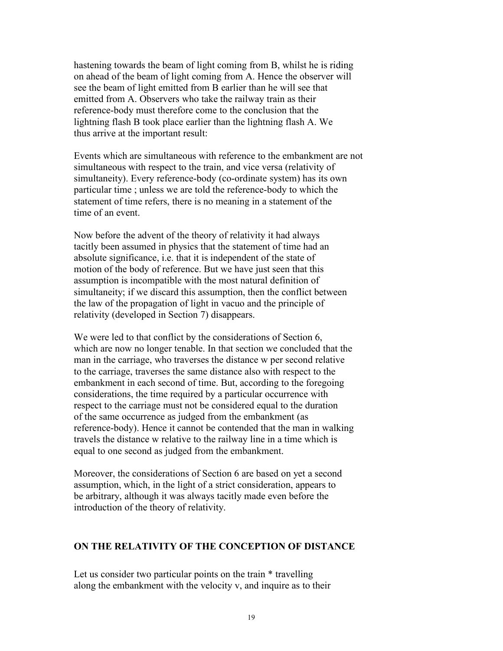hastening towards the beam of light coming from B, whilst he is riding on ahead of the beam of light coming from A. Hence the observer will see the beam of light emitted from B earlier than he will see that emitted from A. Observers who take the railway train as their reference-body must therefore come to the conclusion that the lightning flash B took place earlier than the lightning flash A. We thus arrive at the important result:

Events which are simultaneous with reference to the embankment are not simultaneous with respect to the train, and vice versa (relativity of simultaneity). Every reference-body (co-ordinate system) has its own particular time ; unless we are told the reference-body to which the statement of time refers, there is no meaning in a statement of the time of an event.

Now before the advent of the theory of relativity it had always tacitly been assumed in physics that the statement of time had an absolute significance, i.e. that it is independent of the state of motion of the body of reference. But we have just seen that this assumption is incompatible with the most natural definition of simultaneity; if we discard this assumption, then the conflict between the law of the propagation of light in vacuo and the principle of relativity (developed in Section 7) disappears.

We were led to that conflict by the considerations of Section 6, which are now no longer tenable. In that section we concluded that the man in the carriage, who traverses the distance w per second relative to the carriage, traverses the same distance also with respect to the embankment in each second of time. But, according to the foregoing considerations, the time required by a particular occurrence with respect to the carriage must not be considered equal to the duration of the same occurrence as judged from the embankment (as reference-body). Hence it cannot be contended that the man in walking travels the distance w relative to the railway line in a time which is equal to one second as judged from the embankment.

Moreover, the considerations of Section 6 are based on yet a second assumption, which, in the light of a strict consideration, appears to be arbitrary, although it was always tacitly made even before the introduction of the theory of relativity.

# <span id="page-18-0"></span>**ON THE RELATIVITY OF THE CONCEPTION OF DISTANCE**

Let us consider two particular points on the train  $*$  travelling along the embankment with the velocity v, and inquire as to their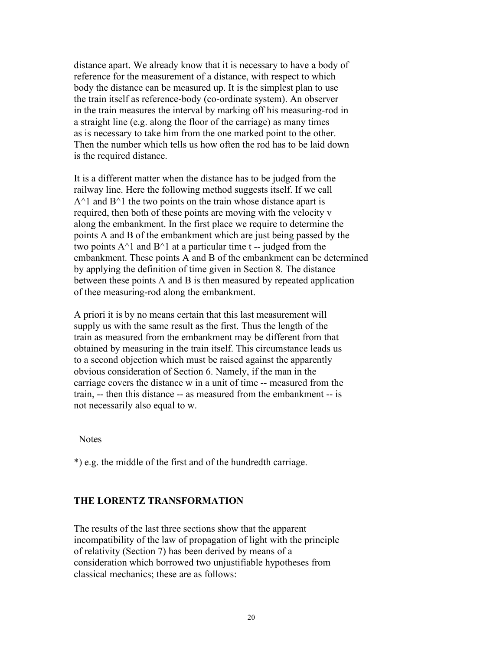distance apart. We already know that it is necessary to have a body of reference for the measurement of a distance, with respect to which body the distance can be measured up. It is the simplest plan to use the train itself as reference-body (co-ordinate system). An observer in the train measures the interval by marking off his measuring-rod in a straight line (e.g. along the floor of the carriage) as many times as is necessary to take him from the one marked point to the other. Then the number which tells us how often the rod has to be laid down is the required distance.

It is a different matter when the distance has to be judged from the railway line. Here the following method suggests itself. If we call  $A^{\wedge}1$  and  $B^{\wedge}1$  the two points on the train whose distance apart is required, then both of these points are moving with the velocity v along the embankment. In the first place we require to determine the points A and B of the embankment which are just being passed by the two points  $A^{\wedge}1$  and  $B^{\wedge}1$  at a particular time t -- judged from the embankment. These points A and B of the embankment can be determined by applying the definition of time given in Section 8. The distance between these points A and B is then measured by repeated application of thee measuring-rod along the embankment.

A priori it is by no means certain that this last measurement will supply us with the same result as the first. Thus the length of the train as measured from the embankment may be different from that obtained by measuring in the train itself. This circumstance leads us to a second objection which must be raised against the apparently obvious consideration of Section 6. Namely, if the man in the carriage covers the distance w in a unit of time -- measured from the train, -- then this distance -- as measured from the embankment -- is not necessarily also equal to w.

**Notes** 

\*) e.g. the middle of the first and of the hundredth carriage.

# <span id="page-19-0"></span>**THE LORENTZ TRANSFORMATION**

The results of the last three sections show that the apparent incompatibility of the law of propagation of light with the principle of relativity (Section 7) has been derived by means of a consideration which borrowed two unjustifiable hypotheses from classical mechanics; these are as follows: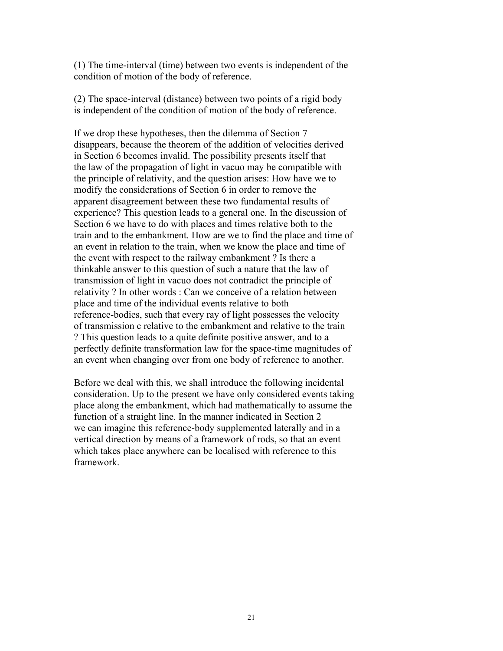(1) The time-interval (time) between two events is independent of the condition of motion of the body of reference.

(2) The space-interval (distance) between two points of a rigid body is independent of the condition of motion of the body of reference.

If we drop these hypotheses, then the dilemma of Section 7 disappears, because the theorem of the addition of velocities derived in Section 6 becomes invalid. The possibility presents itself that the law of the propagation of light in vacuo may be compatible with the principle of relativity, and the question arises: How have we to modify the considerations of Section 6 in order to remove the apparent disagreement between these two fundamental results of experience? This question leads to a general one. In the discussion of Section 6 we have to do with places and times relative both to the train and to the embankment. How are we to find the place and time of an event in relation to the train, when we know the place and time of the event with respect to the railway embankment ? Is there a thinkable answer to this question of such a nature that the law of transmission of light in vacuo does not contradict the principle of relativity ? In other words : Can we conceive of a relation between place and time of the individual events relative to both reference-bodies, such that every ray of light possesses the velocity of transmission c relative to the embankment and relative to the train ? This question leads to a quite definite positive answer, and to a perfectly definite transformation law for the space-time magnitudes of an event when changing over from one body of reference to another.

Before we deal with this, we shall introduce the following incidental consideration. Up to the present we have only considered events taking place along the embankment, which had mathematically to assume the function of a straight line. In the manner indicated in Section 2 we can imagine this reference-body supplemented laterally and in a vertical direction by means of a framework of rods, so that an event which takes place anywhere can be localised with reference to this framework.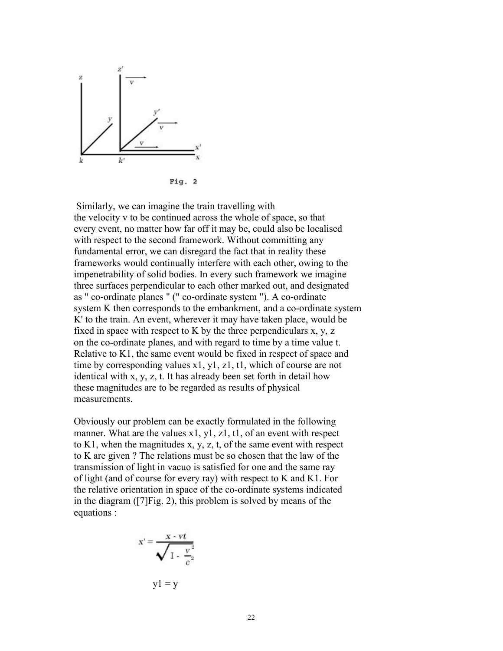

Similarly, we can imagine the train travelling with the velocity v to be continued across the whole of space, so that every event, no matter how far off it may be, could also be localised with respect to the second framework. Without committing any fundamental error, we can disregard the fact that in reality these frameworks would continually interfere with each other, owing to the impenetrability of solid bodies. In every such framework we imagine three surfaces perpendicular to each other marked out, and designated as " co-ordinate planes " (" co-ordinate system "). A co-ordinate system K then corresponds to the embankment, and a co-ordinate system K' to the train. An event, wherever it may have taken place, would be fixed in space with respect to K by the three perpendiculars  $x, y, z$ on the co-ordinate planes, and with regard to time by a time value t. Relative to K1, the same event would be fixed in respect of space and time by corresponding values x1, y1, z1, t1, which of course are not identical with x, y, z, t. It has already been set forth in detail how these magnitudes are to be regarded as results of physical measurements.

Obviously our problem can be exactly formulated in the following manner. What are the values  $x1, y1, z1, t1$ , of an event with respect to K1, when the magnitudes x, y, z, t, of the same event with respect to K are given ? The relations must be so chosen that the law of the transmission of light in vacuo is satisfied for one and the same ray of light (and of course for every ray) with respect to K and K1. For the relative orientation in space of the co-ordinate systems indicated in the diagram ([7]Fig. 2), this problem is solved by means of the equations :

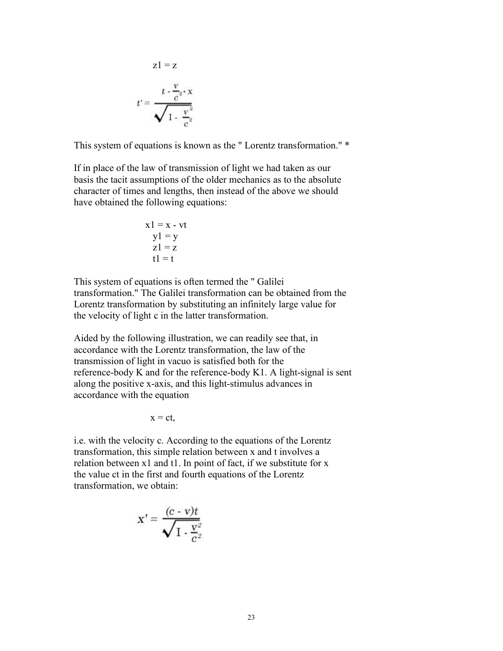$$
z1 = z
$$

$$
t' = \frac{t - \frac{v}{c^2} \cdot x}{\sqrt{1 - \frac{v^2}{c^2}}}
$$

This system of equations is known as the "Lorentz transformation." \*

If in place of the law of transmission of light we had taken as our basis the tacit assumptions of the older mechanics as to the absolute character of times and lengths, then instead of the above we should have obtained the following equations:

$$
x1 = x - vt
$$
  
\n
$$
y1 = y
$$
  
\n
$$
z1 = z
$$
  
\n
$$
t1 = t
$$

This system of equations is often termed the "Galilei transformation." The Galilei transformation can be obtained from the Lorentz transformation by substituting an infinitely large value for the velocity of light c in the latter transformation.

Aided by the following illustration, we can readily see that, in accordance with the Lorentz transformation, the law of the transmission of light in vacuo is satisfied both for the reference-body K and for the reference-body K1. A light-signal is sent along the positive x-axis, and this light-stimulus advances in accordance with the equation

 $x = ct$ ,

i.e. with the velocity c. According to the equations of the Lorentz transformation, this simple relation between x and t involves a relation between x1 and t1. In point of fact, if we substitute for x the value ct in the first and fourth equations of the Lorentz transformation, we obtain:

$$
x' = \frac{(c \cdot v)t}{\sqrt{1 - \frac{v^2}{c^2}}}
$$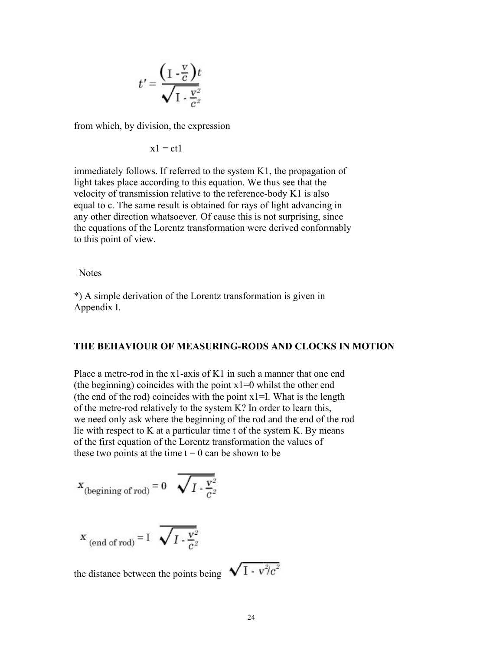$$
t' = \frac{\left(1 - \frac{v}{c}\right)t}{\sqrt{1 - \frac{v^2}{c^2}}}
$$

from which, by division, the expression

$$
x1 = ct1
$$

immediately follows. If referred to the system K1, the propagation of light takes place according to this equation. We thus see that the velocity of transmission relative to the reference-body K1 is also equal to c. The same result is obtained for rays of light advancing in any other direction whatsoever. Of cause this is not surprising, since the equations of the Lorentz transformation were derived conformably to this point of view.

**Notes** 

\*) A simple derivation of the Lorentz transformation is given in Appendix I.

#### <span id="page-23-0"></span>**THE BEHAVIOUR OF MEASURING-RODS AND CLOCKS IN MOTION**

Place a metre-rod in the  $x1$ -axis of K1 in such a manner that one end (the beginning) coincides with the point  $x1=0$  whilst the other end (the end of the rod) coincides with the point  $x1=I$ . What is the length of the metre-rod relatively to the system K? In order to learn this, we need only ask where the beginning of the rod and the end of the rod lie with respect to K at a particular time t of the system K. By means of the first equation of the Lorentz transformation the values of these two points at the time  $t = 0$  can be shown to be

$$
x_{\text{(beginning of rod)}} = 0 \quad \sqrt{I - \frac{v^2}{c^2}}
$$

$$
x_{(end of rod)} = I \sqrt{I - \frac{v^2}{c^2}}
$$

the distance between the points being  $\sqrt{1 - v^2/c^2}$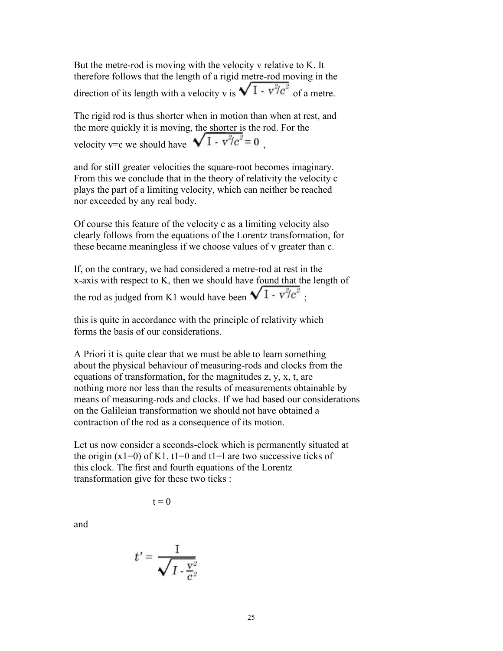But the metre-rod is moving with the velocity v relative to K. It therefore follows that the length of a rigid metre-rod moving in the direction of its length with a velocity v is  $\sqrt{1 - v^2/c^2}$  of a metre.

The rigid rod is thus shorter when in motion than when at rest, and the more quickly it is moving, the shorter is the rod. For the velocity v=c we should have  $\sqrt{1 - v^2/c^2} = 0$ 

and for stiII greater velocities the square-root becomes imaginary. From this we conclude that in the theory of relativity the velocity c plays the part of a limiting velocity, which can neither be reached nor exceeded by any real body.

Of course this feature of the velocity c as a limiting velocity also clearly follows from the equations of the Lorentz transformation, for these became meaningless if we choose values of v greater than c.

If, on the contrary, we had considered a metre-rod at rest in the x-axis with respect to K, then we should have found that the length of the rod as judged from K1 would have been  $\sqrt{1 - v^2/c^2}$ ;

this is quite in accordance with the principle of relativity which forms the basis of our considerations.

A Priori it is quite clear that we must be able to learn something about the physical behaviour of measuring-rods and clocks from the equations of transformation, for the magnitudes  $z$ ,  $y$ ,  $x$ ,  $t$ , are nothing more nor less than the results of measurements obtainable by means of measuring-rods and clocks. If we had based our considerations on the Galileian transformation we should not have obtained a contraction of the rod as a consequence of its motion.

Let us now consider a seconds-clock which is permanently situated at the origin  $(x1=0)$  of K1. t1=0 and t1=I are two successive ticks of this clock. The first and fourth equations of the Lorentz transformation give for these two ticks:

$$
\mathsf{t}=0
$$

and

$$
t' = \frac{1}{\sqrt{I\cdot\frac{\mathbf{v}^2}{c^2}}}
$$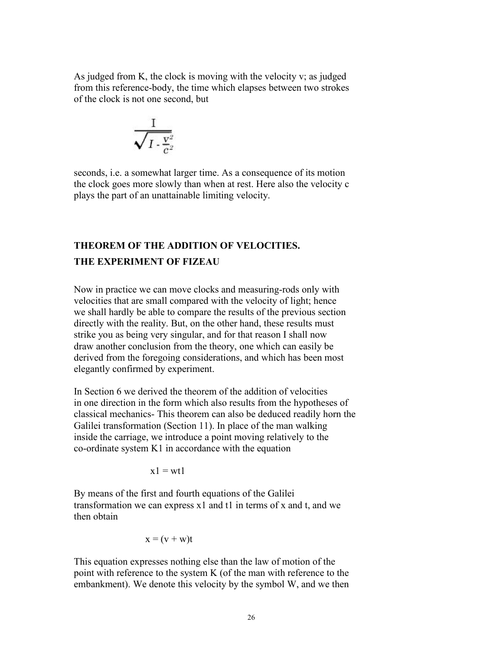As judged from K, the clock is moving with the velocity  $v$ ; as judged from this reference-body, the time which elapses between two strokes of the clock is not one second, but

$$
\frac{1}{\sqrt{I\cdot\frac{v^2}{c^2}}}
$$

seconds, i.e. a somewhat larger time. As a consequence of its motion the clock goes more slowly than when at rest. Here also the velocity c plays the part of an unattainable limiting velocity.

# <span id="page-25-0"></span>**THEOREM OF THE ADDITION OF VELOCITIES. THE EXPERIMENT OF FIZEAU**

Now in practice we can move clocks and measuring-rods only with velocities that are small compared with the velocity of light; hence we shall hardly be able to compare the results of the previous section directly with the reality. But, on the other hand, these results must strike you as being very singular, and for that reason I shall now draw another conclusion from the theory, one which can easily be derived from the foregoing considerations, and which has been most elegantly confirmed by experiment.

In Section 6 we derived the theorem of the addition of velocities in one direction in the form which also results from the hypotheses of classical mechanics- This theorem can also be deduced readily horn the Galilei transformation (Section 11). In place of the man walking inside the carriage, we introduce a point moving relatively to the co-ordinate system K1 in accordance with the equation

$$
x1 = wt1
$$

By means of the first and fourth equations of the Galilei transformation we can express  $x1$  and  $t1$  in terms of x and t, and we then obtain

$$
x = (v + w)t
$$

This equation expresses nothing else than the law of motion of the point with reference to the system K (of the man with reference to the embankment). We denote this velocity by the symbol W, and we then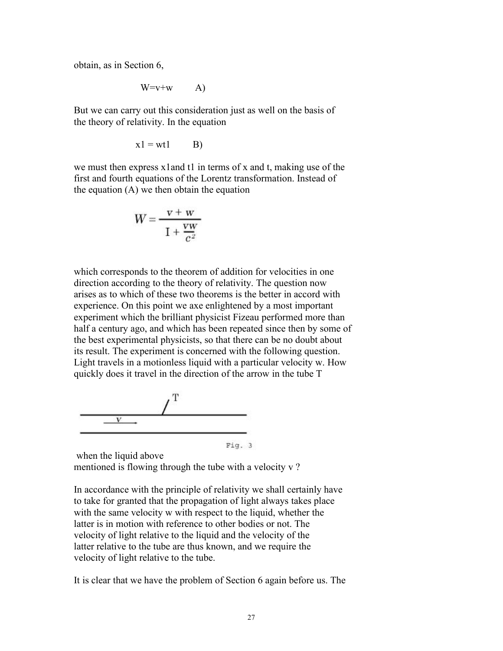obtain, as in Section 6,

$$
\text{W=} \text{v+} \text{w} \qquad \text{A)}
$$

But we can carry out this consideration just as well on the basis of the theory of relativity. In the equation

$$
x1 = wt1 \t\t B)
$$

we must then express  $x1$  and  $t1$  in terms of  $x$  and  $t$ , making use of the first and fourth equations of the Lorentz transformation. Instead of the equation (A) we then obtain the equation

$$
W = \frac{v + w}{1 + \frac{vw}{c^2}}
$$

which corresponds to the theorem of addition for velocities in one direction according to the theory of relativity. The question now arises as to which of these two theorems is the better in accord with experience. On this point we axe enlightened by a most important experiment which the brilliant physicist Fizeau performed more than half a century ago, and which has been repeated since then by some of the best experimental physicists, so that there can be no doubt about its result. The experiment is concerned with the following question. Light travels in a motionless liquid with a particular velocity w. How quickly does it travel in the direction of the arrow in the tube T



 $Fig. 3$ 

when the liquid above mentioned is flowing through the tube with a velocity v ?

In accordance with the principle of relativity we shall certainly have to take for granted that the propagation of light always takes place with the same velocity w with respect to the liquid, whether the latter is in motion with reference to other bodies or not. The velocity of light relative to the liquid and the velocity of the latter relative to the tube are thus known, and we require the velocity of light relative to the tube.

It is clear that we have the problem of Section 6 again before us. The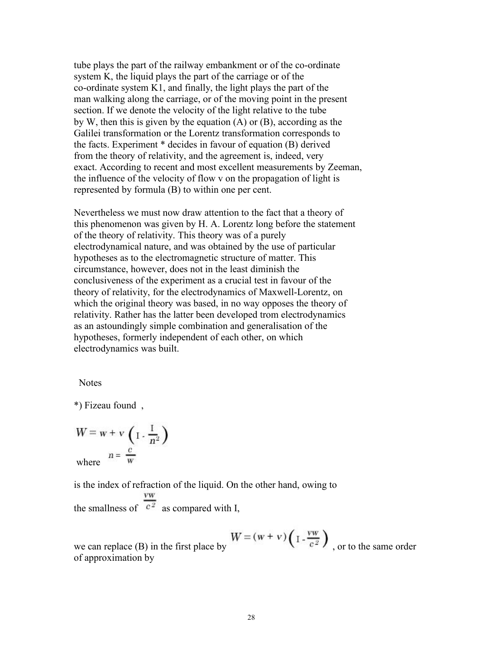tube plays the part of the railway embankment or of the co-ordinate system K, the liquid plays the part of the carriage or of the co-ordinate system K1, and finally, the light plays the part of the man walking along the carriage, or of the moving point in the present section. If we denote the velocity of the light relative to the tube by W, then this is given by the equation (A) or (B), according as the Galilei transformation or the Lorentz transformation corresponds to the facts. Experiment \* decides in favour of equation (B) derived from the theory of relativity, and the agreement is, indeed, very exact. According to recent and most excellent measurements by Zeeman, the influence of the velocity of flow v on the propagation of light is represented by formula (B) to within one per cent.<br>Nevertheless we must now draw attention to the fact that a theory of

this phenomenon was given by H. A. Lorentz long before the statement of the theory of relativity. This theory was ofa purely electrodynamical nature, and was obtained by the use of particular hypotheses as to the electromagnetic structure of matter. This circumstance, however, does not in the least diminish the conclusiveness of the experiment as a crucial test in favour of the theory of relativity, for the electrodynamics of Maxwell-Lorentz, on which the original theory was based, in no way opposes the theory of relativity. Rather has the latter been developed trom electrodynamics as an astoundingly simple combination and generalisation of the hypotheses, formerly independent of each other, on which electrodynamics was built.

Notes

\*) Fizeau found ,

$$
W = w + v \left( 1 - \frac{1}{n^2} \right)
$$
  
where  $n = \frac{c}{w}$ 

of approximation by

is the index of refraction of the liquid. On the other hand, owing to

the smallness of  $\overline{c^2}$  as compared with I,

we can replace (B) in the first place by 
$$
W = (w + v) \left( 1 - \frac{vw}{c^2} \right)
$$
, or to the same order of approximation by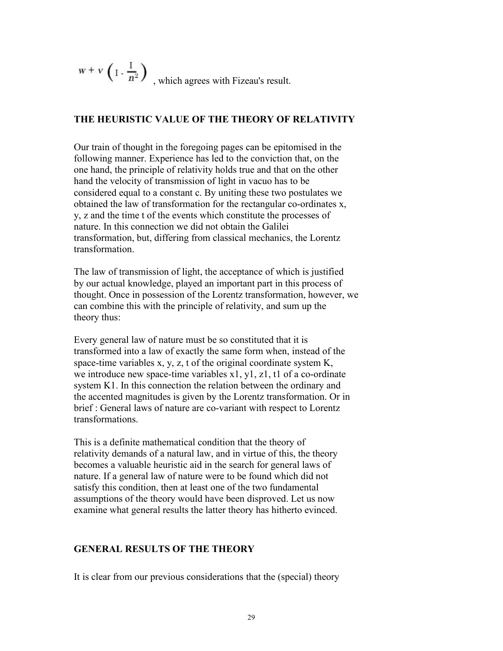$w + v \left(1 - \frac{1}{n^2}\right)$ , which agrees with Fizeau's result.

### <span id="page-28-0"></span>**THE HEURISTIC VALUE OF THE THEORY OF RELATIVITY**

Our train of thought in the foregoing pages can be epitomised in the following manner. Experience has led to the conviction that, on the one hand, the principle of relativity holds true and that on the other hand the velocity of transmission of light in vacuo has to be considered equal to a constant c. By uniting these two postulates we obtained the law of transformation for the rectangular co-ordinates x, y, z and the time t of the events which constitute the processes of nature. In this connection we did not obtain the Galilei transformation, but, differing from classical mechanics, the Lorentz transformation.

The law of transmission of light, the acceptance of which is justified by our actual knowledge, played an important part in this process of thought. Once in possession of the Lorentz transformation, however, we can combine this with the principle of relativity, and sum up the theory thus:

Every general law of nature must be so constituted that it is transformed into a law of exactly the same form when, instead of the space-time variables x, y, z, t of the original coordinate system K, we introduce new space-time variables  $x1, y1, z1, t1$  of a co-ordinate system K1. In this connection the relation between the ordinary and the accented magnitudes is given by the Lorentz transformation. Or in brief : General laws of nature are co-variant with respect to Lorentz transformations.

This is a definite mathematical condition that the theory of relativity demands of a natural law, and in virtue of this, the theory becomes a valuable heuristic aid in the search for general laws of nature. If a general law of nature were to be found which did not satisfy this condition, then at least one of the two fundamental assumptions of the theory would have been disproved. Let us now examine what general results the latter theory has hitherto evinced.

### <span id="page-28-1"></span>**GENERAL RESULTS OF THE THEORY**

It is clear from our previous considerations that the (special) theory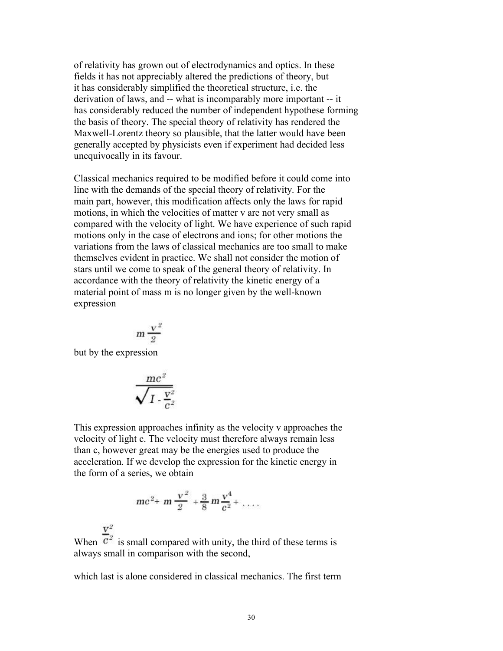of relativity has grown out of electrodynamics and optics. In these fields it has not appreciably altered the predictions of theory, but it has considerably simplified the theoretical structure, i.e. the derivation of laws, and -- what is incomparably more important -- it has considerably reduced the number of independent hypothese forming the basis of theory. The special theory of relativity has rendered the Maxwell-Lorentz theory so plausible, that the latter would have been generally accepted by physicists even if experiment had decided less unequivocally in its favour.

Classical mechanics required to be modified before it could come into line with the demands of the special theory of relativity. For the main part, however, this modification affects only the laws for rapid motions, in which the velocities of matter v are not very small as compared with the velocity of light. We have experience of such rapid motions only in the case of electrons and ions; for other motions the variations from the laws of classical mechanics are too small to make themselves evident in practice. We shall not consider the motion of stars until we come to speak of the general theory of relativity. In accordance with the theory of relativity the kinetic energy of a material point of mass m is no longer given by the well-known expression

$$
m\frac{v^2}{2}
$$

but by the expression

$$
\frac{mc^2}{\sqrt{I\cdot\frac{v^2}{c^2}}}
$$

This expression approaches infinity as the velocity v approaches the velocity of light c. The velocity must therefore always remain less than c, however great may be the energies used to produce the acceleration. If we develop the expression for the kinetic energy in the form of a series, we obtain

$$
mc^{2}+m\frac{v^{2}}{2}+\frac{3}{8}m\frac{v^{4}}{c^{2}}+\ldots
$$

When  $\overline{c}^2$  is small compared with unity, the third of these terms is always small in comparison with the second,<br>which last is alone considered in classical mechanics. The first term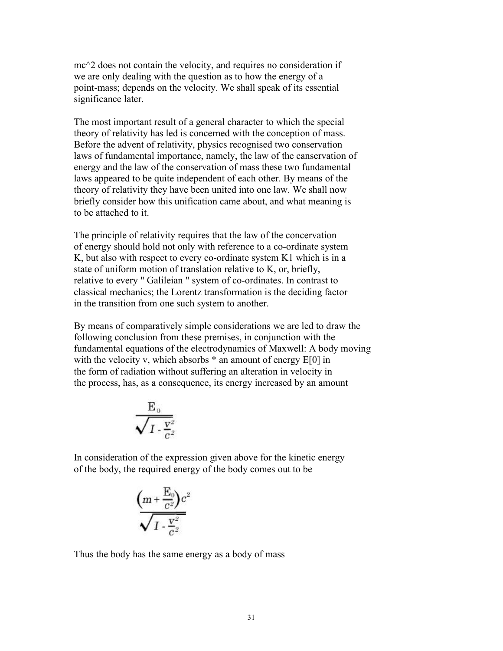$mc^2$  does not contain the velocity, and requires no consideration if we are only dealing with the question as to how the energy of a point-mass; depends on the velocity.We shall speak of its essential significance later.

The most important result of a general character to which the special theory of relativity has led is concerned with the conception of mass. Before the advent of relativity, physics recognised two conservation laws of fundamental importance, namely, the law of the canservation of energy and the law of the conservation of mass these two fundamental laws appeared to be quite independent of each other. By means of the theory of relativity they have been united into one law. We shall now briefly consider how this unification came about, and what meaning is to be attached to it.

The principle of relativity requires that the law of the concervation of energy should hold not only with reference to a co-ordinate system K, but also with respect to every co-ordinate system K1 which is in a state of uniform motion of translation relative to K, or, briefly, relative to every " Galileian " system of co-ordinates. In contrast to classical mechanics; the Lorentz transformation is the deciding factor in the transition from one such system to another.

By means of comparatively simple considerations we are led to draw the following conclusion from these premises, in conjunction with the fundamental equations of the electrodynamics of Maxwell: A body moving with the velocity v, which absorbs  $*$  an amount of energy E[0] in the form of radiation without suffering an alteration in velocity in the process, has, as a consequence, its energy increased by an amount

$$
\frac{\mathrm{E}_{\scriptscriptstyle{0}}}{\sqrt{I\cdot\frac{\mathrm{V}^2}{c^2}}}
$$

In consideration of the expression given above for the kinetic energy of the body, the required energy of the body comes out to be

$$
\frac{\left(m+\frac{E_0}{c^2}\right)c^2}{\sqrt{I\cdot\frac{v^2}{c^2}}}
$$

Thus the body has the same energy as a body of mass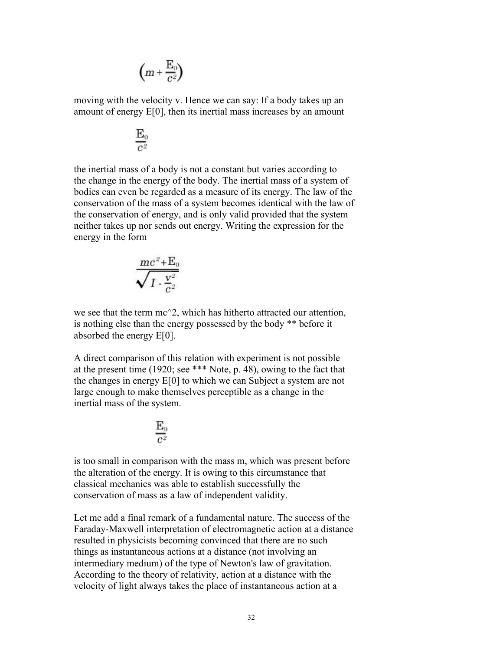$$
\left(m+\frac{\mathrm{E}_0}{c^2}\right)
$$

moving with the velocity v. Hence we can say: If a body takes up an amount of energy  $E[0]$ , then its inertial mass increases by an amount

$$
\frac{\mathrm{E}_0}{c^2}
$$

the inertial mass of a body is not a constant but varies according to the change in the energy of the body. The inertial mass of a system of bodies can even be regarded as a measure of its energy. The law of the conservation of the mass of a system becomes identical with the law of the conservation of energy, and is only valid provided that the system neither takes up nor sends out energy. Writing the expression for the energy in the form

$$
\frac{mc^2 + E_0}{\sqrt{I - \frac{v^2}{c^2}}}
$$

we see that the term  $mc^2$ , which has hitherto attracted our attention, is nothing else than the energy possessed by the body \*\* before it absorbed the energy E[0].

A direct comparison of this relation with experiment is not possible at the present time (1920; see \*\*\* Note, p. 48), owing to the fact that the changes in energy E[0] to which we can Subject a system are not large enough to make themselves perceptible as a change in the inertial mass of the system.

$$
\frac{E_{\scriptscriptstyle 0}}{c^{\scriptscriptstyle 2}}
$$

is too small in comparison with the mass m, which was present before the alteration of the energy. It is owing to this circumstance that classical mechanics was able to establish successfully the conservation of mass as a law of independent validity.

Let me add a final remark of a fundamental nature. The success of the Faraday-Maxwell interpretation of electromagnetic action at a distance resulted in physicists becoming convinced that there are no such things as instantaneous actions at a distance (not involving an intermediary medium) of the type of Newton's law of gravitation. According to the theory of relativity, action at a distance with the velocity of light always takes the place of instantaneous action at a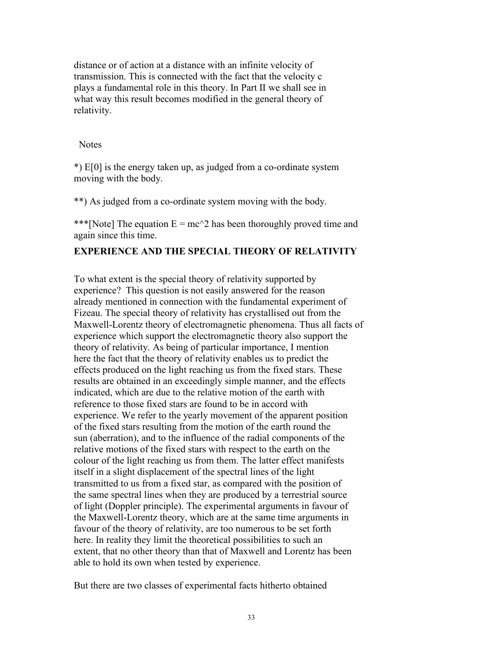distance or of action at a distance with an infinite velocity of transmission. This is connected with the fact that the velocity c plays a fundamental role in this theory. In Part II we shall see in what way this result becomes modified in the general theory of relativity.

### Notes

\*) E[0] is the energy taken up, as judged from a co-ordinate system moving with the body.

\*\*) As judged from a co-ordinate system moving with the body.

\*\*\*[Note] The equation  $E = mc^2$  has been thoroughly proved time and again since this time.

# <span id="page-32-0"></span>**EXPERIENCE AND THE SPECIAL THEORY OF RELATIVITY**

To what extent is the special theory of relativity supported by experience? This question is not easily answered for the reason already mentioned in connection with the fundamental experiment of Fizeau. The special theory of relativity has crystallised out from the Maxwell-Lorentz theory of electromagnetic phenomena. Thus all facts of experience which support the electromagnetic theory also support the theory of relativity. As being of particular importance, I mention here the fact that the theory of relativity enables us to predict the effects produced on the light reaching us from the fixed stars. These results are obtained in an exceedingly simple manner, and the effects indicated, which are due to the relative motion of the earth with reference to those fixed stars are found to be in accord with experience. We refer to the yearly movement of the apparent position of the fixed stars resulting from the motion of the earth round the sun (aberration), and to the influence of the radial components of the relative motions of the fixed stars with respect to the earth on the colour of the light reaching us from them. The latter effect manifests itself in a slight displacement of the spectral lines of the light transmitted to us from a fixed star, as compared with the position of the same spectral lines when they are produced by a terrestrial source of light (Doppler principle). The experimental arguments in favour of the Maxwell-Lorentz theory, which are at the same time arguments in favour of the theory of relativity, are too numerous to be set forth here. In reality they limit the theoretical possibilities to such an extent, that no other theory than that of Maxwell and Lorentz has been able to hold its own when tested by experience.

But there are two classes of experimental facts hitherto obtained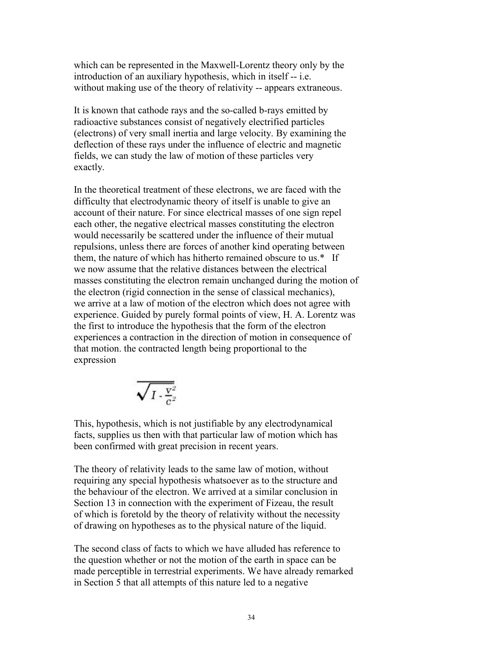which can be represented in the Maxwell-Lorentz theory only by the introduction of an auxiliary hypothesis, which in itself -- i.e. without making use of the theory of relativity -- appears extraneous.

It is known that cathode rays and the so-called b-rays emitted by radioactive substances consist of negatively electrified particles (electrons) of very small inertia and large velocity.By examining the deflection of these rays under the influence of electric and magnetic fields, we can study the law of motion of these particles very exactly.

In the theoretical treatment of these electrons, we are faced with the difficulty that electrodynamic theory of itself is unable to give an account of their nature. For since electrical masses of one sign repel each other, the negative electrical masses constituting the electron would necessarily be scattered under the influence of their mutual repulsions, unless there are forces of another kind operating between them, the nature of which has hitherto remained obscure to us.\* If we now assume that the relative distances between the electrical masses constituting the electron remain unchanged during the motion of the electron (rigid connection in the sense of classical mechanics), we arrive at a law of motion of the electron which does not agree with experience. Guided by purely formal points of view, H. A. Lorentz was the first to introduce the hypothesis that the form of the electron experiences a contraction in the direction of motion in consequence of that motion. the contracted length being proportional to the expression

 $\sqrt{I\cdot\frac{v^2}{c^2}}$ 

This, hypothesis, which is not justifiable by any electrodynamical facts, supplies us then with that particular law of motion which has been confirmed with great precision in recent years.

The theory of relativity leads to the same law of motion, without requiring any special hypothesis whatsoever as to the structure and the behaviour of the electron. We arrived at a similar conclusion in Section 13 in connection with the experiment of Fizeau, the result of which is foretold by the theory of relativity without the necessity of drawing on hypotheses as to the physical nature of the liquid.

The second class of facts to which we have alluded has reference to the question whether or not the motion of the earth in space can be made perceptible in terrestrial experiments. We have already remarked in Section 5 that all attempts of this nature led to a negative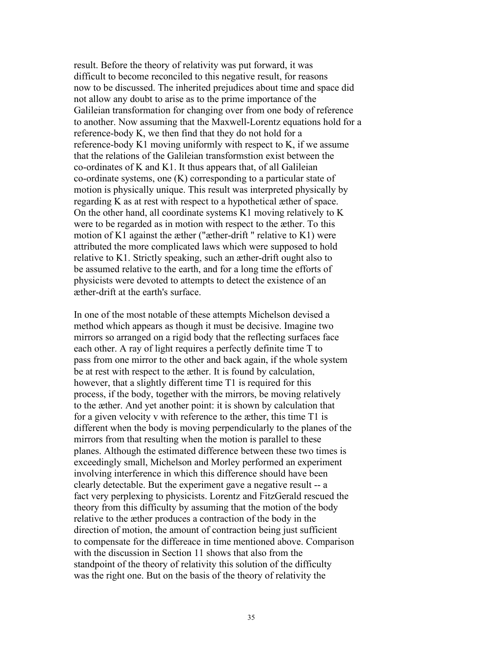result. Before the theory of relativity was put forward, it was difficult to become reconciled to this negative result, for reasons now to be discussed. The inherited prejudices about time and space did not allow any doubt to arise as to the prime importance of the Galileian transformation for changing over from one body of reference to another. Now assuming that the Maxwell-Lorentz equations hold for a reference-body K, we then find that they do not hold for a reference-body K1 moving uniformly with respect to K, if we assume that the relations of the Galileian transformstion exist between the  $co-ordinates$  of K and K1. It thus appears that, of all Galileian co-ordinate systems, one  $(K)$  corresponding to a particular state of motion is physically unique. This result was interpreted physically by regarding K as at rest with respect to a hypothetical æther of space. On the other hand, all coordinate systems K1 moving relatively to K were to be regarded as in motion with respect to the æther. To this motion of K1 against the æther ("æther-drift " relative to K1) were attributed the more complicated lawswhich were supposed to hold relative to K1. Strictly speaking, such an æther-drift ought also to be assumed relative to the earth, and for a long time the efforts of physicists were devoted to attempts to detect the existence of an æther-drift at the earth's surface.

In one of the most notable of these attempts Michelson devised a method which appears as though it must be decisive. Imagine two mirrors so arranged on a rigid body that the reflecting surfaces face each other. A ray of light requires a perfectly definite time T to pass from one mirror to the other and back again, if the whole system be at rest with respect to the æther. It is found by calculation, however, that a slightly different time T1 is required for this process, if the body, together with the mirrors, be moving relatively to the æther. And yet another point: it is shown by calculation that for a given velocity v with reference to the æther, this time T1 is different when the body is moving perpendicularly to the planes of the mirrors from that resulting when the motion is parallel to these planes. Although the estimated difference between these two times is exceedingly small, Michelson and Morley performed an experiment involving interference in which this difference should have been clearly detectable. But the experiment gave a negative result -- a fact very perplexing to physicists. Lorentz and FitzGerald rescued the theory from this difficulty by assuming that the motion of the body relative to the æther produces a contraction of the body in the direction of motion, the amount of contraction being just sufficient to compensate for the differeace in time mentioned above. Comparison with the discussion in Section 11 shows that also from the standpoint of the theory of relativity this solution of the difficulty was the right one. But on the basis of the theory of relativity the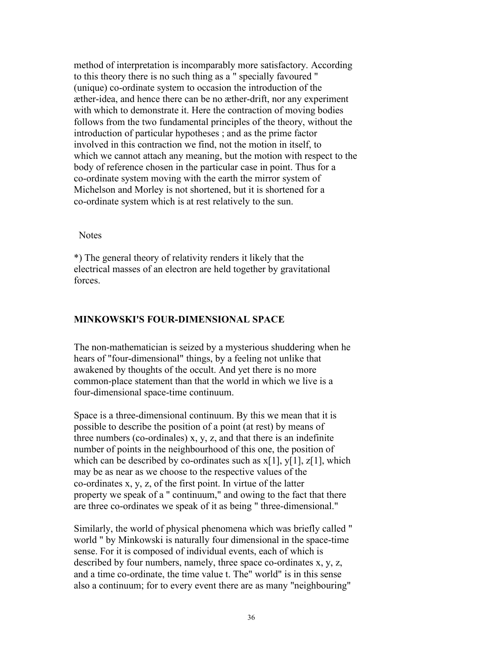method of interpretation is incomparably more satisfactory. According to this theory there is no such thing as a "specially favoured " (unique) co-ordinate system to occasion the introduction of the exther-idea, and hence there can be no æther-drift, nor any experiment with which to demonstrate it. Here the contraction of moving bodies follows from the two fundamental principles of the theory, without the introduction of particular hypotheses ; and as the prime factor involved in this contraction we find, not the motion in itself, to which we cannot attach any meaning, but the motion with respect to the body of reference chosen in the particular case in point. Thus for a co-ordinate system moving with the earth the mirror system of Michelson and Morley is not shortened, but it is shortened for a co-ordinate system which is at rest relatively to the sun.

#### **Notes**

\*) The general theory of relativity renders it likely that the electrical masses of an electron are held together by gravitational forces.

#### <span id="page-35-0"></span>**MINKOWSKI'S FOUR-DIMENSIONAL SPACE**

The non-mathematician is seized by a mysterious shuddering when he hears of "four-dimensional" things, by a feeling not unlike that awakened by thoughts of the occult. And yet there is no more common-place statement than that the world in which we live is a four-dimensional space-time continuum.

Space is a three-dimensional continuum. By this we mean that it is possible to describe the position of a point (at rest) by means of three numbers (co-ordinales)  $x, y, z$ , and that there is an indefinite number of points in the neighbourhood of this one, the position of which can be described by co-ordinates such as  $x[1]$ ,  $y[1]$ ,  $z[1]$ , which may be as near as we choose to the respective values of the co-ordinates x, y, z, of the first point. In virtue of the latter property we speak of a " continuum," and owing to the fact that there are three co-ordinates we speak of it as being " three-dimensional."

Similarly, the world of physical phenomena which was briefly called " world " by Minkowski is naturally four dimensional in the space-time sense. For it is composed of individual events, each of which is described by four numbers, namely, three space co-ordinates  $x, y, z$ , and a time co-ordinate, the time value t. The" world" is in this sense also a continuum; for to every event there are as many "neighbouring"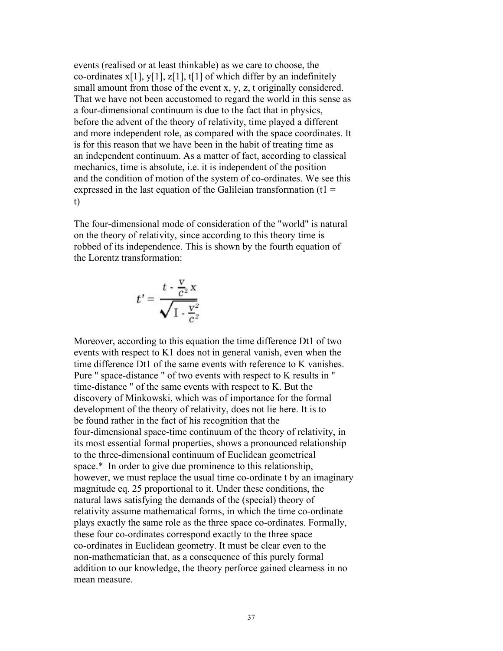events (realised or at least thinkable) as we care to choose, the co-ordinates  $x[1]$ ,  $y[1]$ ,  $z[1]$ ,  $t[1]$  of which differ by an indefinitely small amount from those of the event x, y, z, t originally considered. That we have not been accustomed to regard the world in this sense as a four-dimensional continuum is due to the fact that in physics, before the advent of the theory of relativity, time played a different and more independent role, as compared with the space coordinates. It is for this reason that we have been in the habit of treating time as an independent continuum. As a matter of fact, according to classical mechanics, time is absolute, i.e. it is independent of the position and the condition of motion of the system of co-ordinates. We see this expressed in the last equation of the Galileian transformation (t1 = t)

The four-dimensional mode of consideration of the "world" is natural on the theory of relativity, since according to this theory time is robbed of its independence. This is shown by the fourth equation of the Lorentz transformation:

$$
t' = \frac{t \cdot \frac{\mathbf{v}}{c^2} \mathbf{x}}{\sqrt{\mathbf{I} \cdot \frac{\mathbf{v}^2}{c^2}}}
$$

Moreover, according to this equation the time difference Dt1 of two events with respect to K1 does not in general vanish, even when the time difference Dt1 of the same events with reference to K vanishes. Pure " space-distance " of two events with respect to K results in " time-distance " of the same events with respect to K. But the discovery of Minkowski, which was of importance for the formal development of the theory of relativity, does not lie here. It is to be found rather in the fact of his recognition that the four-dimensional space-time continuum of the theory of relativity, in its most essential formal properties, shows a pronounced relationship to the three-dimensional continuum of Euclidean geometrical space.\* In order to give due prominence to this relationship, however, we must replace the usual time co-ordinate t by an imaginary magnitude eq. 25 proportional to it. Under these conditions, the natural laws satisfying the demands of the (special) theory of relativity assume mathematical forms, in which the time co-ordinate plays exactly the same role as the three space co-ordinates. Formally, these four co-ordinates correspond exactly to the three space co-ordinates in Euclidean geometry. It must be clear even to the non-mathematician that, as a consequence of this purely formal addition to our knowledge, the theory perforce gained clearness in no mean measure.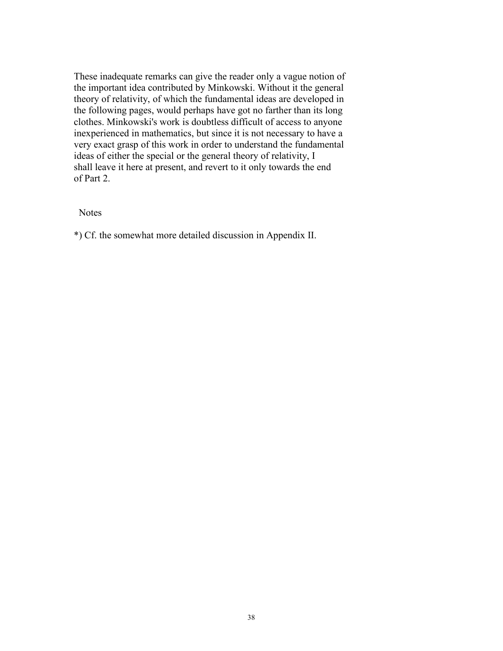These inadequate remarks can give the reader only a vague notion of the important idea contributed by Minkowski. Without it the general theory of relativity, of which the fundamental ideas are developed in the following pages, would perhaps have got no farther than its long clothes. Minkowski's work is doubtless difficult of access to anyone inexperienced in mathematics, but since it is not necessary to have a very exact grasp of this work in order to understand the fundamental ideas of either the special or the general theory of relativity, I shall leave it here at present, and revert to it only towards the end of Part 2.

#### Notes

\*) Cf. the somewhat more detailed discussion in Appendix II.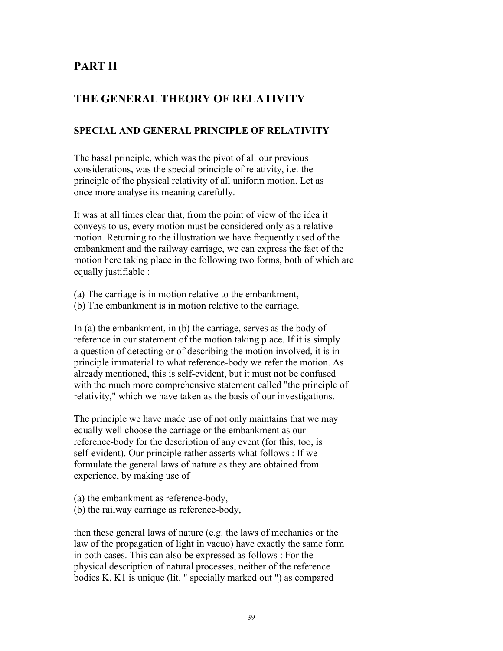# **PART II**

## **THE GENERAL THEORY OF RELATIVITY**

#### **SPECIAL AND GENERAL PRINCIPLE OF RELATIVITY**

The basal principle, which was the pivot of all our previous considerations, was the special principle of relativity, i.e. the principle of the physical relativity of all uniform motion. Let as once more analyse its meaning carefully.

It was at all times clear that, from the point of view of the idea it conveys to us, every motion must be considered only as a relative motion. Returning to the illustration we have frequently used of the embankment and the railway carriage, we can express the fact of the motion here taking place in the following two forms, both of which are equally justifiable :

(a) The carriage is in motion relative to the embankment,

(b) The embankment is in motion relative to the carriage.<br>In (a) the embankment, in (b) the carriage, serves as the body of reference in our statement of the motion taking place. If it is simply a question of detecting or of describing the motion involved, it is in principle immaterial to what reference-body we refer the motion. As already mentioned, this is self-evident, but it must not be confused with the much more comprehensive statement called "the principle of relativity," which we have taken as the basis of our investigations.

The principle we have made use of not only maintains that we may equally well choose the carriage or the embankment as our reference-body for the description of any event (for this, too, is self-evident). Our principle rather asserts what follows : If we formulate the general laws of nature as they are obtained from experience, by making use of

(a) the embankment as reference-body, (b) the railway carriage as reference-body,

then these general laws of nature (e.g. the laws of mechanics or the law of the propagation of light in vacuo) have exactly the same form in both cases. This can also be expressed as follows : For the physical description of natural processes, neither of the reference bodies K, K1 is unique (lit. " specially marked out ") as compared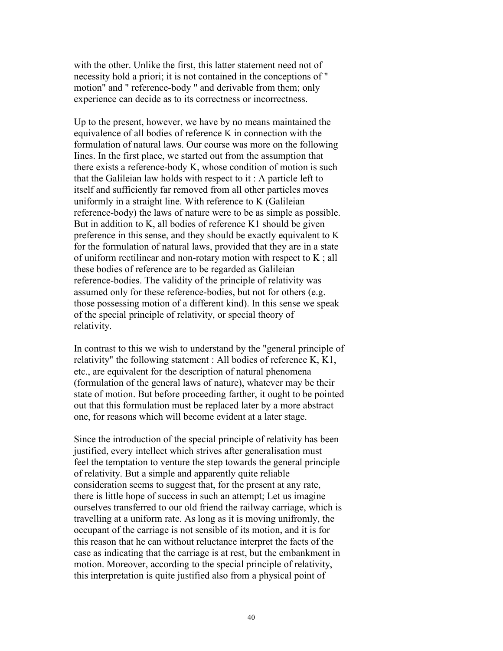with the other. Unlike the first, this latter statement need not of necessity hold a priori; it is not contained in the conceptions of " motion" and " reference-body " and derivable from them; only experience can decide as to its correctness or incorrectness.

Up to the present, however, we have by no means maintained the equivalence of all bodies of reference K in connection with the formulation of natural laws. Our course was more on the following Iines. In the first place, we started out from the assumption that there exists a reference-body K, whose condition of motion is such that the Galileian law holds with respect to it : A particle left to itself and sufficiently far removed from all other particles moves uniformly in a straight line. With reference to K (Galileian reference-body) the laws of nature were to be as simple as possible. But in addition to K, all bodies of reference K1 should be given preference in this sense, and they should be exactly equivalent to  $K$ for the formulation of natural laws, provided that they are in a state of uniform rectilinear and non-rotary motion with respect to K ; all these bodies of reference are to be regarded as Galileian reference-bodies. The validity of the principle of relativity was assumed only for these reference-bodies, but not for others (e.g. those possessing motion of a different kind). In this sense we speak of the special principle of relativity, or special theory of relativity.

In contrast to this we wish to understand by the "general principle of relativity" the following statement : All bodies of reference  $K, K1$ , etc., are equivalent for the description of natural phenomena (formulation of the general laws of nature), whatever may be their state of motion. But before proceeding farther, it ought to be pointed out that this formulation must be replaced later by a more abstract one, for reasons which will become evident at a later stage.

Since the introduction of the special principle of relativity has been justified, every intellect which strives after generalisation must feel the temptation to venture the step towards the general principle of relativity. But a simple and apparently quite reliable consideration seems to suggest that, for the present at any rate, there is little hope of success in such an attempt; Let us imagine ourselves transferred to our old friend the railway carriage, which is travelling at a uniform rate. As long as it is moving unifromly, the occupant of the carriage is not sensible of its motion, and it is for this reason that he can without reluctance interpret the facts of the case as indicating that the carriage is at rest, but the embankment in motion. Moreover, according to the special principle of relativity, this interpretation is quite justified also from a physical point of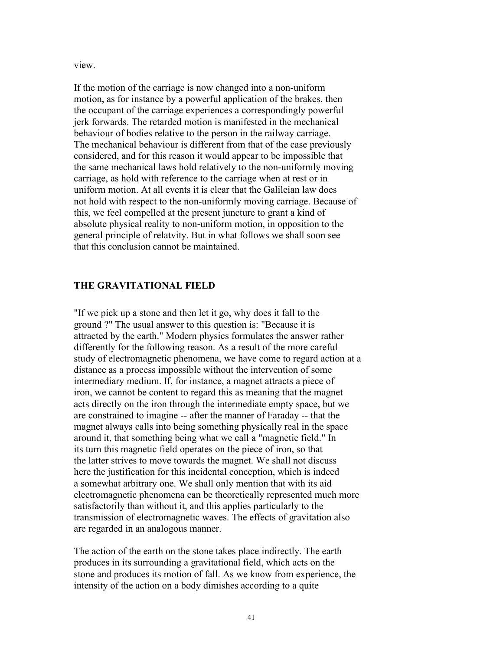view.

If the motion of the carriage is now changed into a non-uniform motion, as for instance by a powerful application of the brakes, then the occupant of the carriage experiences a correspondingly powerful jerk forwards. The retarded motion is manifested in the mechanical behaviour of bodies relative to the person in the railway carriage. The mechanical behaviour is different from that of the case previously considered, and for this reason it would appear to be impossible that the same mechanical laws hold relatively to the non-uniformly moving carriage, as hold with reference to the carriage when at rest or in uniform motion. At all events it is clear that the Galileian law does not hold with respect to the non-uniformly moving carriage. Because of this, we feel compelled at the present juncture to grant a kind of absolute physical reality to non-uniform motion, in opposition to the general principle of relatvity. But in what follows we shall soon see that this conclusion cannot be maintained.

#### **THE GRAVITATIONAL FIELD**

"If we pick up a stone and then let it go, why doesit fall to the ground ?" The usual answer to this question is: "Because it is attracted by the earth." Modern physics formulates the answer rather differently for the following reason. As a result of the more careful study of electromagnetic phenomena, we have come to regard action at a distance as a process impossible without the intervention of some intermediary medium. If, for instance, a magnet attracts a piece of iron, we cannot be content to regard this as meaning that the magnet acts directly on the iron through the intermediate empty space, but we are constrained to imagine -- after the manner of Faraday -- that the magnet always calls into being something physically real in the space around it, that something being what we call a "magnetic field." In its turn this magnetic field operates on the piece of iron, so that the latter strives to move towards the magnet. We shall not discuss here the justification for this incidental conception, which is indeed a somewhat arbitrary one. We shall only mention that with its aid electromagnetic phenomena can be theoretically represented much more satisfactorily than without it, and this applies particularly to the transmission of electromagnetic waves. The effects of gravitation also are regarded in an analogous manner.

The action of the earth on the stone takes place indirectly. The earth produces in its surrounding a gravitational field, which acts on the stone and produces its motion of fall. As we know from experience, the intensity of the action on a body dimishes according to a quite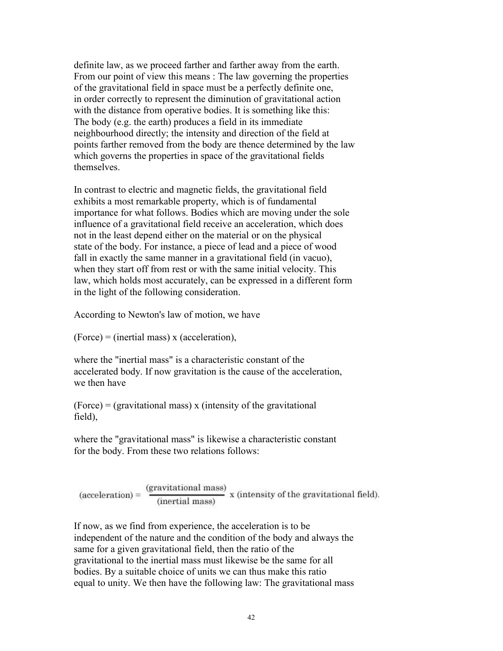definite law, as we proceed farther and farther away from the earth. From our point of view this means : The law governing the properties of the gravitational field in space must be a perfectly definite one, in order correctly to represent the diminution of gravitational action with the distance from operative bodies. It is something like this: The body (e.g. the earth) produces a field in its immediate neighbourhood directly; the intensity and direction of the field at points farther removed from the body are thence determined by the law which governs the properties in space of the gravitational fields themselves.

In contrast to electric and magnetic fields, the gravitational field exhibits a most remarkable property, which is of fundamental importance for what follows. Bodies which are moving under the sole influence of a gravitational field receive an acceleration, which does not in the least depend either on the material or on the physical state of the body. For instance, a piece of lead and a piece of wood fall in exactly the same manner in a gravitational field (in vacuo), when they start off from rest or with the same initial velocity. This law, which holds most accurately, can be expressed in a different form in the light of the following consideration.

According to Newton's law of motion, we have

 $(Force) = (inertial mass) x (acceleration),$ 

where the "inertial mass" is a characteristic constant of the accelerated body. If now gravitation is the cause of the acceleration, we then have

 $(Force) = (gravitational mass) x (intensity of the gravitational$ field),

where the "gravitational mass" is likewise a characteristic constant for the body. From these two relations follows:

(acceleration) =  $\frac{(gravitational \text{ mass})}{(inertial \text{ mass})}$  x (intensity of the gravitational field).

If now, as we find from experience, the acceleration is to be independent of the nature and the condition of the body and always the same for a given gravitational field, then the ratio of the gravitational to the inertial mass must likewise be the same for all bodies. By a suitable choice of units we can thus make this ratio equal to unity. We then have the following law: The gravitational mass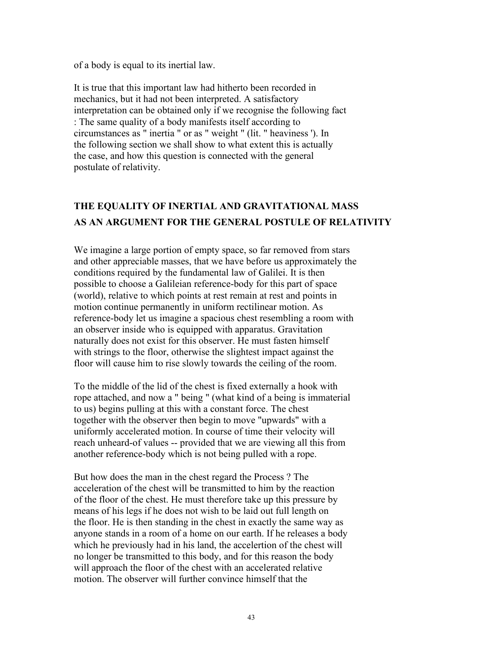of a body is equal to its inertial law.

It is true that this important law had hitherto been recorded in mechanics, but it had not been interpreted. A satisfactory interpretation can be obtained only if we recognise the following fact : The same quality of a body manifests itself according to circumstances as " inertia "or as " weight " (lit. " heaviness '). In the following section we shall show to what extent this is actually the case, and how this question is connected with the general postulate of relativity.

# **THE EQUALITY OF INERTIAL AND GRAVITATIONAL MASS AS AN ARGUMENT FOR THE GENERAL POSTULE OF RELATIVITY**

We imagine a large portion of empty space, so far removed from stars and other appreciable masses, that we have before us approximately the conditions required by the fundamental law of Galilei. It is then possible to choose a Galileian reference-body for this part of space (world), relative to which points at rest remain at rest and points in motion continue permanently in uniform rectilinear motion. As reference-body let us imagine a spacious chest resembling a room with an observer inside who is equipped with apparatus. Gravitation naturally does not exist for this observer. He must fasten himself with strings to the floor, otherwise the slightest impact against the floor will cause him to rise slowly towards the ceiling of the room.

To the middle of the lid of the chest is fixed externally a hook with rope attached, and now a " being " (what kind of a being is immaterial to us) begins pulling at this with a constant force. The chest together with the observer then begin to move "upwards" with a uniformly accelerated motion. In course of time their velocity will reach unheard-of values -- provided that we are viewing all this from another reference-body which is not being pulled with a rope.

But how does the man in the chest regard the Process ? The acceleration of the chest will be transmitted to him by the reaction of the floor of the chest. He must therefore take up this pressure by means of his legs if he does not wish to be laid out full length on the floor. He is then standing in the chest in exactly the same way as anyone stands in a room of a home on our earth. If he releases a body which he previously had in his land, the accelertion of the chest will no longer be transmitted to this body, and for this reason the body will approach the floor of the chest with an accelerated relative motion. The observer will further convince himself that the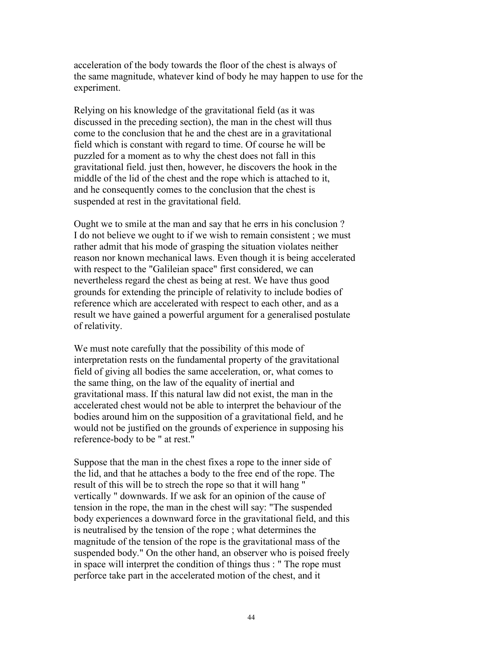acceleration of the body towards the floor of the chest is always of the same magnitude, whatever kind of body he may happen to use for the experiment.

Relying on his knowledge of the gravitational field (as it was discussed in the preceding section), the man in the chest will thus come to the conclusion that he and the chest are in a gravitational field which is constant with regard to time. Of course he will be puzzled for a moment as to why the chest does not fall in this gravitational field. just then, however, he discovers the hook in the middle of the lid of the chest and the rope which is attached to it, and he consequently comes to the conclusion that the chest is suspended at rest in the gravitational field.

Ought we to smile at the man and say that he errs in his conclusion ? I do not believe we ought to if we wish to remain consistent; we must rather admit that his mode of grasping the situation violates neither reason nor known mechanical laws. Even though it is being accelerated with respect to the "Galileian space" first considered, we can nevertheless regard the chest as being at rest. We have thus good grounds for extending the principle of relativity to include bodies of reference which are accelerated with respect to each other, and as a result we have gained a powerful argument for a generalised postulate of relativity.

We must note carefully that the possibility of this mode of interpretation rests on the fundamental property of the gravitational field of giving all bodies the same acceleration, or, what comes to the same thing, on the law of the equality of inertial and gravitational mass. If this natural law did not exist, the man in the accelerated chest would not be able to interpret the behaviour of the bodies around him on the supposition of a gravitational field, and he would not be justified on the grounds of experience in supposing his reference-body to be "at rest."

Suppose that the man in the chest fixes a rope to the inner side of the lid, and that he attaches a body to the free end of the rope. The result of this will be to strech the rope so that it will hang " vertically " downwards. If we ask for an opinion of the cause of tension in the rope, the man in the chest will say: "The suspended body experiences a downward force in the gravitational field, and this is neutralised by the tension of the rope ; what determines the magnitude of the tension of the rope is the gravitational mass of the suspended body." On the other hand, an observer who is poised freely in space will interpret the condition of things thus : " The rope must perforce take part in the accelerated motion of the chest, and it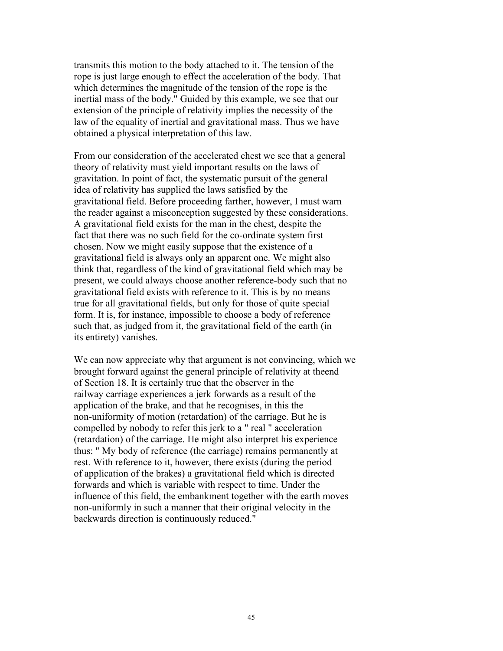transmits this motion to the body attached to it. The tension of the rope is just large enough to effect the acceleration of the body. That which determines the magnitude of the tension of the rope is the inertial mass of the body." Guided by this example, we see that our extension of the principle of relativity implies the necessity of the law of the equality of inertial and gravitational mass. Thus we have obtained a physical interpretation of this law.<br>From our consideration of the accelerated chest we see that a general

theory of relativity must yield important results on the laws of gravitation. In point of fact, the systematic pursuit of the general idea of relativity has supplied the laws satisfied by the gravitational field. Before proceeding farther, however, I must warn the reader against a misconception suggested by these considerations. A gravitational field exists for the man in the chest, despite the fact that there was no such field for the co-ordinate system first chosen. Now we might easily suppose that the existence of a gravitational field is always only an apparent one. We might also think that, regardless of the kind of gravitational field which may be present, we could always choose another reference-body such that no gravitational field exists with reference to it. This is by no means true for all gravitational fields, but only for those of quite special form. It is, for instance, impossible to choose a body of reference such that, as judged from it, the gravitational field of the earth (in its entirety) vanishes.

We can now appreciate why that argument is not convincing, which we brought forward against the general principle of relativity at theend of Section 18. It is certainly true that the observer in the railway carriage experiences a jerk forwards as a result of the application of the brake, and that he recognises, in this the non-uniformity of motion (retardation) of the carriage.But he is compelled by nobody to refer this jerk to a "real " acceleration (retardation) of the carriage. He might also interpret his experience thus: " My body of reference (the carriage) remains permanently at rest. With reference to it, however, there exists (during the period of application of the brakes) a gravitational field which is directed forwards and which is variable with respect to time. Under the influence of this field, the embankment together with the earth moves non-uniformly in such a manner that their original velocity in the backwards direction is continuously reduced."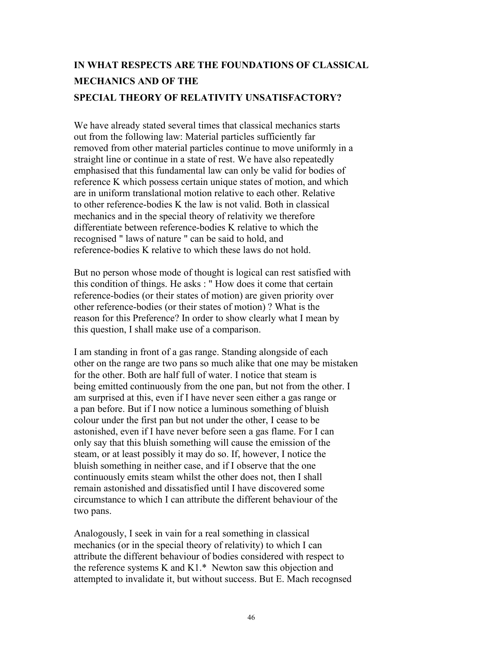# **IN WHAT RESPECTS ARE THE FOUNDATIONS OF CLASSICAL MECHANICS AND OF THE SPECIAL THEORY OF RELATIVITY UNSATISFACTORY?**

We have already stated several times that classical mechanics starts out from the following law: Material particles sufficiently far removed from other material particles continue to move uniformly in a straight line or continue in a state of rest. We have also repeatedly emphasised that this fundamental law can only be valid for bodies of reference K which possess certain unique states of motion, and which are in uniform translational motion relative to each other. Relative to other reference-bodies K the law is not valid. Both in classical mechanics and in the special theory of relativity we therefore differentiate between reference-bodies K relative to which the recognised " laws of nature " can be said to hold, and reference-bodies K relative to which these laws do not hold.

But no person whose mode of thought is logical can rest satisfied with this condition of things. He asks : " How does it come that certain reference-bodies (or their states of motion) are given priority over other reference-bodies (or their states of motion)? What is the reason for this Preference? In order to show clearly what I mean by this question, I shall make use of a comparison.

I am standing in front of a gas range. Standing alongside of each other on the range are two pans so much alike that one may be mistaken for the other. Both are half full of water. I notice that steam is being emitted continuously from the one pan, but not from the other. I am surprised at this, even if I have never seen either a gas range or a pan before. But if I now notice a luminous something of bluish colour under the first pan but not under the other, I cease to be astonished, even if I have never before seen a gas flame. For I can only say that this bluish something will cause the emission of the steam, or at least possibly it may do so. If, however, I notice the bluish something in neither case, and if I observe that the one continuously emits steam whilst the other does not, then I shall remain astonished and dissatisfied until I have discovered some circumstance to which I can attribute the different behaviour of the two pans.

Analogously, I seek in vain for a real something in classical mechanics (or in the special theory of relativity) to which I can attribute the different behaviour of bodies considered with respect to the reference systems K and K1.\* Newton saw this objection and attempted to invalidate it, but without success. But E. Mach recognsed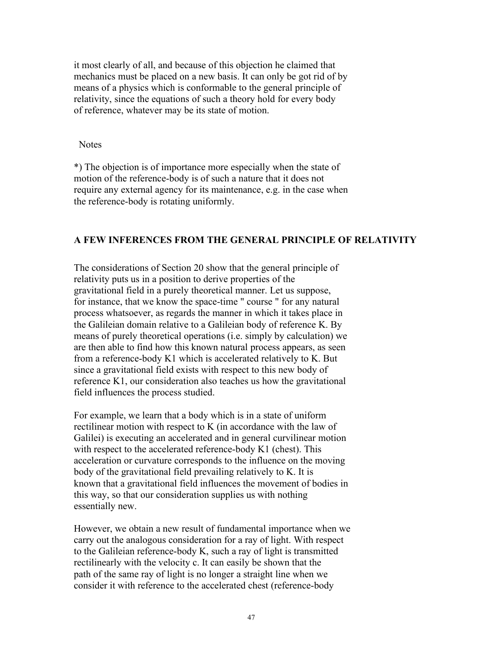it most clearly of all, and because of this objection he claimed that mechanics must be placed on a new basis. It can only be got rid of by means of a physics which is conformable to the general principle of relativity, since the equations of such a theory hold for every body of reference, whatever may be its state of motion.

Notes

\*) The objection is of importance more especially when the state of motion of the reference-body is of such a nature that it does not require any external agency for its maintenance, e.g. in the case when the reference-body is rotating uniformly.

## **A FEW INFERENCES FROM THE GENERAL PRINCIPLE OF RELATIVITY**

The considerations of Section 20 show that the general principle of relativity puts us in a position to derive properties of the gravitational field in a purely theoretical manner. Let us suppose, for instance, that we know the space-time " course " for any natural process whatsoever, as regards the manner in which it takes place in the Galileian domain relative to a Galileian body of reference K. By means of purely theoretical operations (i.e. simply by calculation) we are then able to find how this known natural process appears, as seen from a reference-body K1 which is accelerated relatively to K. But since a gravitational field exists with respect to this new body of reference K1, our consideration also teaches us how the gravitational field influences the process studied.

For example, we learn that a body which is in a state of uniform rectilinear motion with respect to K (in accordance with the law of Galilei) is executing an accelerated and in general curvilinear motion with respect to the accelerated reference-body K1 (chest). This acceleration or curvature corresponds to the influence on the moving body of the gravitational field prevailing relatively to K. It is known that a gravitational field influences the movement of bodies in this way, so that our consideration supplies us with nothing essentially new.

However, we obtain a new result of fundamental importance when we carry out the analogous consideration for a ray of light. With respect to the Galileian reference-body K, such a ray of light is transmitted rectilinearly with the velocity c. It can easily be shown that the path of the same ray of light is no longer a straight line when we consider it with reference to the accelerated chest (reference-body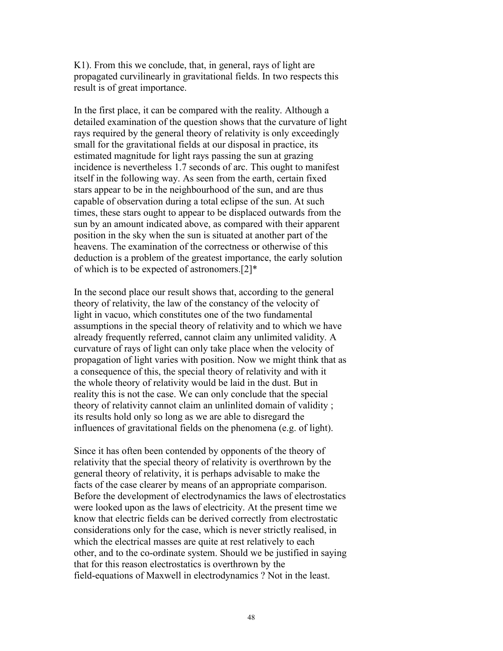K1). From this we conclude, that, in general, rays of light are propagated curvilinearly in gravitational fields. In two respects this result is of great importance.

In the first place, it can be compared with the reality. Although a detailed examination of the question shows that the curvature of light rays required by the general theory of relativity is only exceedingly small for the gravitational fields at our disposal in practice, its estimated magnitude for light rays passing the sun at grazing incidence is nevertheless 1.7 seconds of arc. This ought to manifest itself in the following way. As seen from the earth, certain fixed stars appear to be in the neighbourhood of the sun, and are thus capable of observation during a total eclipse of the sun. At such times, these stars ought to appear to be displaced outwards from the sun by an amount indicated above, as compared with their apparent position in the sky when the sun is situated at another part of the heavens. The examination of the correctness or otherwise of this deduction is a problem of the greatest importance, the early solution of which is to be expected of astronomers.[2]\*

In the second place our result shows that, according to the general theory of relativity, the law of the constancy of the velocity of light in vacuo, which constitutes one of the two fundamental assumptions in the special theory of relativity and to which we have already frequently referred, cannot claim any unlimited validity. A curvature of rays of light can only take place when the velocity of propagation of light varies with position. Now we might think that as a consequence of this, the special theory of relativity and with it the whole theory of relativity would be laid in the dust. But in reality this is not the case. We can only conclude that the special theory of relativity cannot claim an unlinlited domain of validity; its results hold only so long as we are able to disregard the influences of gravitational fields on the phenomena (e.g. of light).

Since it has often been contended by opponents of the theory of relativity that the special theory of relativity is overthrown by the general theory of relativity, it is perhaps advisable to make the facts of the case clearer by means of an appropriate comparison. Before the development of electrodynamics the laws of electrostatics were looked upon as the laws of electricity. At the present time we know that electric fields can be derived correctly from electrostatic considerations only for the case, which is never strictly realised, in which the electrical masses are quite at rest relatively to each other, and to the co-ordinate system. Should we be justified in saying that for this reason electrostatics is overthrown by the field-equations of Maxwell in electrodynamics ? Not in the least.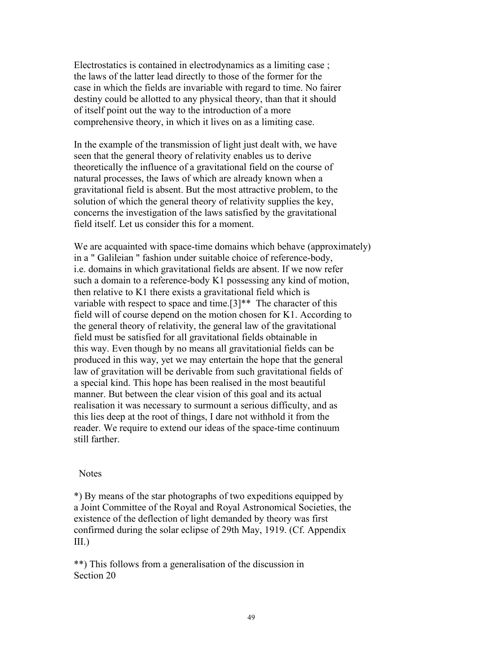Electrostatics is contained in electrodynamics as a limiting case ; the laws of the latter lead directly to those of the former for the case in which the fields are invariable with regard to time. No fairer destiny could be allotted to any physical theory, than that it should of itself point out the way to the introduction of a more comprehensive theory, in which it lives on as a limiting case.

In the example of the transmission of light just dealt with, we have seen that the general theory of relativity enables us to derive theoretically the influence of a gravitational field on the course of natural processes, the Iaws of which are already known when a gravitational field is absent. But the most attractive problem, to the solution of which the general theory of relativity supplies the key, concerns the investigation of the laws satisfied by the gravitational field itself. Let us consider this for a moment.

We are acquainted with space-time domains which behave (approximately) in a "Galileian " fashion under suitable choice of reference-body, i.e. domains in which gravitational fields are absent. If we now refer such a domain to a reference-body K1 possessing any kind of motion, then relative to K1 there exists a gravitational field which is variable with respect to space and time.  $[3]^{**}$  The character of this field will of course depend on the motion chosen for K1. According to the general theory of relativity, the general law of the gravitational field must be satisfied for all gravitational fields obtainable in this way. Even though by no means all gravitationial fields can be produced in this way, yet we may entertain the hope that the general law of gravitation will be derivable from such gravitational fields of a special kind. This hope has been realised in the most beautiful manner. But between the clear vision of this goal and its actual realisation it was necessary to surmount a serious difficulty, and as this lies deep at the rootof things, I dare not withhold it from the reader. We require to extend our ideas of the space-time continuum still farther.

#### **Notes**

\*) By means of the star photographs oftwo expeditions equipped by a Joint Committee of the Royal and Royal Astronomical Societies, the existence of the deflection of light demanded by theory was first confirmed during the solar eclipse of 29th May, 1919. (Cf. Appendix III.)

\*\*) This follows from a generalisation of the discussion in Section 20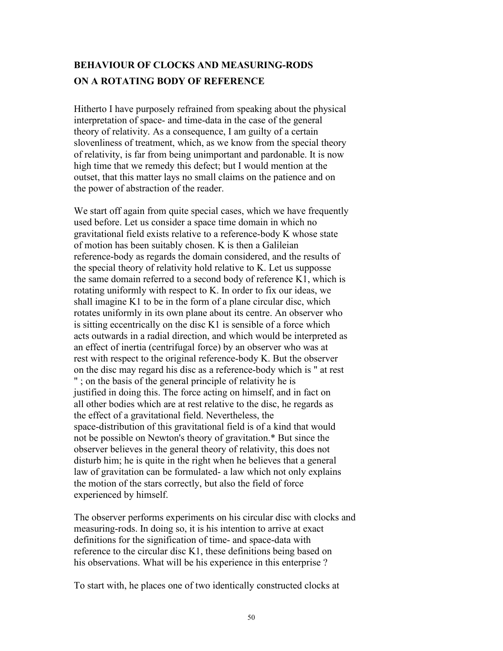# **BEHAVIOUR OF CLOCKS AND MEASURING-RODS ON A ROTATING BODY OF REFERENCE**

Hitherto I have purposely refrained from speaking about the physical interpretation of space- and time-data in the case of the general theory of relativity. As a consequence, I am guilty of a certain slovenliness of treatment, which, as we know from the special theory of relativity, is far from being unimportant and pardonable. It is now high time that we remedy this defect; but I would mention at the outset, that this matter lays no small claims on the patience and on the power of abstraction of the reader.

We start off again from quite special cases, which we have frequently used before. Let us consider a space time domain in which no gravitational field exists relative to a reference-body K whose state of motion has been suitably chosen. K is then a Galileian reference-body as regards the domain considered, and the results of the special theory of relativity hold relative to K. Let us supposse the same domain referred to a second body of reference K1, which is rotating uniformly with respect to K. In order to fix our ideas, we shall imagine K1 to be in the form of a plane circular disc, which rotates uniformly in its own plane about its centre. An observer who is sitting eccentrically on the disc K1 is sensible of a force which acts outwards in a radial direction, and which would be interpreted as an effect of inertia (centrifugal force) by an observer who was at rest with respect to the original reference-body K. But the observer on the disc may regard his disc asa reference-body which is " at rest" ; on the basis of the generalprinciple of relativity he is justified in doing this. The force acting on himself, and in fact on all other bodies which are at rest relative to the disc, he regards as the effect of a gravitational field. Nevertheless, the space-distribution of this gravitational field is of a kind that would not be possible on Newton's theory of gravitation.\* But since the observer believes in the general theory of relativity, this does not disturb him; he is quite in the right when he believes that a general law of gravitation can be formulated- a law which not only explains the motion of the stars correctly, but also the field of force experienced by himself.<br>The observer performs experiments on his circular disc with clocks and

measuring-rods. In doing so, it is his intention to arrive at exact definitions for the signification of time- and space-data with reference to the circular disc K1, these definitions being based on his observations. What will be his experience in this enterprise ?

To start with, he places one of two identically constructed clocks at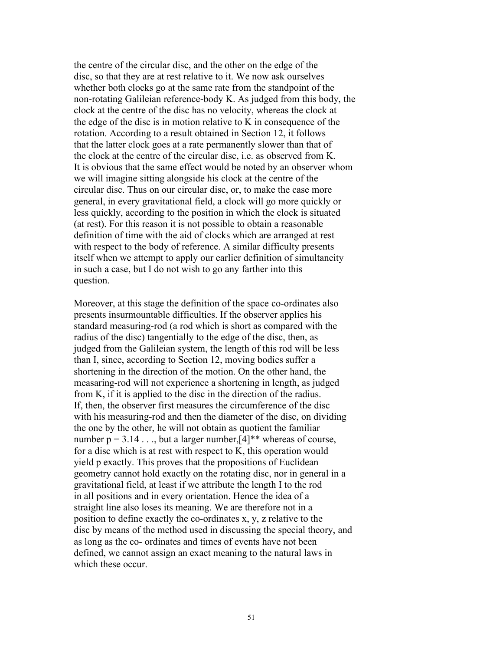the centre of the circular disc, and the other on the edge of the disc, so that they are at rest relative to it. We now ask ourselves whether both clocks go at the same rate from the standpoint of the non-rotating Galileian reference-body K. As judged from this body, the clock at the centre of the disc has no velocity, whereas the clock at the edge of the disc is in motion relative to K in consequence of the rotation. According to a result obtained in Section 12, it follows that the latter clock goes at a rate permanently slower than that of the clock at the centre of the circular disc, i.e. as observed from K. It is obvious that the same effect would be noted by an observer whom we will imagine sitting alongside his clock at the centre of the circular disc. Thus on our circular disc, or, to make the case more general, in every gravitational field, a clock will go more quickly or less quickly, according to the position in which the clock is situated (at rest). For this reason it is not possible to obtain a reasonable definition of time with the aid of clocks which are arranged at rest with respect to the body of reference. A similar difficulty presents itself when we attempt to apply our earlier definition of simultaneity in such a case, but I do not wish to go any farther into this question.

Moreover, at this stage the definition of the space co-ordinates also presents insurmountable difficulties. If the observer applies his standard measuring-rod (a rod which is short as compared with the radius of the disc) tangentially to the edge of the disc, then, as judged from the Galileian system, the length of this rod will be less than I, since, according to Section 12, moving bodies suffer a shortening in the direction of the motion. On the other hand, the measaring-rod will not experience a shortening in length, as judged from K, if it is applied to the disc in the direction of the radius. If, then, the observer first measures the circumference of the disc with his measuring-rod and then the diameter of the disc, on dividing the one by the other, he will not obtain as quotient the familiar number  $p = 3.14...$ , but a larger number, [4]\*\* whereas of course, for a disc which is at rest with respect to K, this operation would yield p exactly. This proves that the propositions of Euclidean geometry cannot hold exactly on the rotating disc, nor in general in a gravitational field, at least if we attribute the length I to the rod in all positions and in every orientation. Hence the idea of a straight line also loses its meaning. We are therefore not in a position to define exactly the co-ordinates x, y, z relative to the disc by means of the method used in discussing the special theory, and as long as the co- ordinates and times of events have not been defined, we cannot assign an exact meaning to the natural laws in which these occur.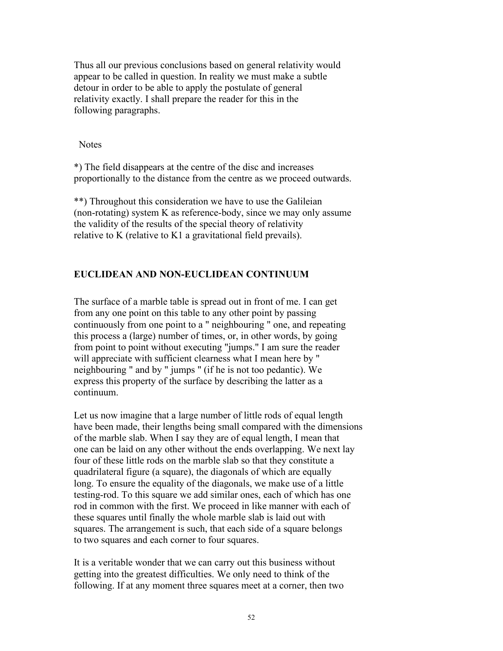Thus all our previous conclusions based on general relativity would appear to be called in question. In reality we must make a subtle detour in order to be able to apply the postulate of general relativity exactly. I shall prepare the reader for this in the following paragraphs.

Notes

\*) The field disappears at the centre of the disc and increases proportionally to the distance from the centre as we proceed outwards.

\*\*) Throughout this consideration we have to use the Galileian (non-rotating) system K as reference-body, since we may only assume the validity of the results of the special theory of relativity relative to K (relative to K1 a gravitational field prevails).

## **EUCLIDEAN AND NON-EUCLIDEAN CONTINUUM**

The surface of a marble table is spread out in front of me. I can get from any one point on this table to any other point by passing continuously from one point to a " neighbouring " one, and repeating this process a (large) number of times, or, in other words, by going from point to point without executing "jumps." I am sure the reader will appreciate with sufficient clearness what I mean here by " neighbouring " and by " jumps " (if he is not too pedantic). We express this property of the surface by describing the latter as a continuum.

Let us now imagine that a large number of little rods of equal length have been made, their lengths being small compared with the dimensions of the marble slab. When I say they are of equal length, I mean that one can be laid on any other without the ends overlapping. We next lay four of these little rods on the marble slab so that they constitute a quadrilateral figure (a square), the diagonals of which are equally long. To ensure the equality of the diagonals, we make use of a little testing-rod. To this square we add similar ones, each of which has one rod in common with the first. We proceed in like manner with each of these squares until finally the whole marble slab is laid out with squares. The arrangement is such, that each side of a square belongs to two squares and each corner to four squares.

It is a veritable wonder that we can carry out this business without getting into the greatest difficulties. We only need to think of the following. If at any moment three squares meet at a corner, then two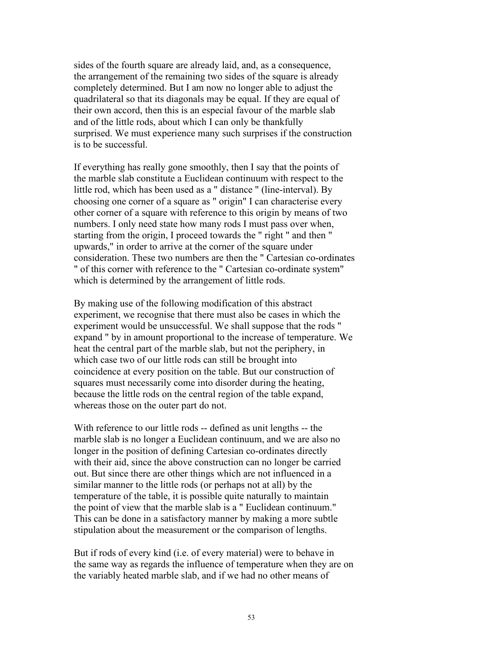sides of the fourth square are already laid, and, as a consequence, the arrangement of the remaining two sides of the square is already completely determined. But I am now no longer able to adjust the quadrilateral so that its diagonals may be equal. If they are equal of their own accord, then this is an especial favour of the marble slab and of the little rods, about which I can only be thankfully surprised. We must experience many such surprises if the construction is to be successful.

If everything has really gone smoothly, then I say that the points of the marble slab constitute a Euclidean continuum with respect to the little rod, which has been used as a " distance " (line-interval). By choosing one corner of a square as " origin" I can characterise every other corner of a square with reference to this origin by means of two numbers. I only need state how many rods I must pass over when, starting from the origin, I proceed towards the "right " and then " upwards," in order to arrive at the corner of the square under consideration. These two numbers are then the " Cartesian co-ordinates " of this corner with reference to the "Cartesian co-ordinate system" which is determined by the arrangement of little rods.

By making use of the following modification of this abstract experiment, we recognise that there must also be cases in which the experiment would be unsuccessful. We shall suppose that the rods " expand " by in amount proportional to the increase of temperature. We heat the central part of the marble slab, but not the periphery, in which case two of our little rods can still be brought into coincidence at every position on the table. But our construction of squares must necessarily come into disorder during the heating, because the little rods on the central region of the table expand, whereas those on the outer part do not.

With reference to our little rods -- defined as unit lengths -- the marble slab is no longer a Euclidean continuum, and we are also no longer in the position of defining Cartesian co-ordinates directly with their aid, since the above construction can no longer be carried out. But since there are other things which are not influenced in a similar manner to the little rods (or perhaps not at all) by the temperature of the table, it is possible quite naturally to maintain the point of view that the marble slab is a "Euclidean continuum." This can be done in a satisfactory manner by making a more subtle stipulation about the measurement or the comparison of lengths.

But if rods of every kind (i.e. of every material) were to behave in the same way as regards the influence of temperature when they are on the variably heated marble slab, and if we had no other means of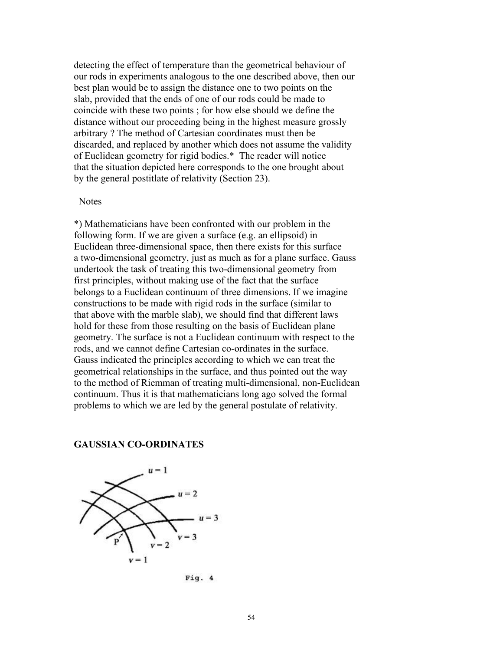detecting the effect of temperature than the geometrical behaviour of our rods in experiments analogous to the one described above, then our best plan would be to assign the distance one to two points on the slab, provided that the ends of one of our rods could be made to coincide with these two points ; for how else should we define the distance without our proceeding being in the highest measure grossly arbitrary ? The method of Cartesian coordinates must then be discarded, and replaced by another which doesnot assume the validity of Euclidean geometry for rigid bodies.\* The reader will notice that the situation depicted here corresponds to the one brought about by the general postitlate of relativity (Section 23).

#### Notes

\*) Mathematicians have been confronted with our problem in the following form. If we are given a surface (e.g. an ellipsoid) in Euclidean three-dimensional space, then there exists for this surface a two-dimensional geometry, just as much as for a plane surface. Gauss undertook the task of treating this two-dimensional geometry from first principles, without making use of the fact that the surface belongs to a Euclidean continuum of three dimensions. If we imagine constructions to be made with rigid rods in the surface (similar to that above with the marble slab), we should find that different laws hold for these from those resulting on the basis of Euclidean plane geometry. The surface is not a Euclidean continuum with respect to the rods, and we cannot define Cartesian co-ordinates in the surface. Gauss indicated the principles according to which we can treat the geometrical relationships in the surface, and thus pointed out the way to the method of Riemman of treating multi-dimensional, non-Euclidean continuum. Thus it is that mathematicians long ago solved the formal problems to which we are led by the general postulate of relativity.

#### **GAUSSIAN CO-ORDINATES**



Fig. 4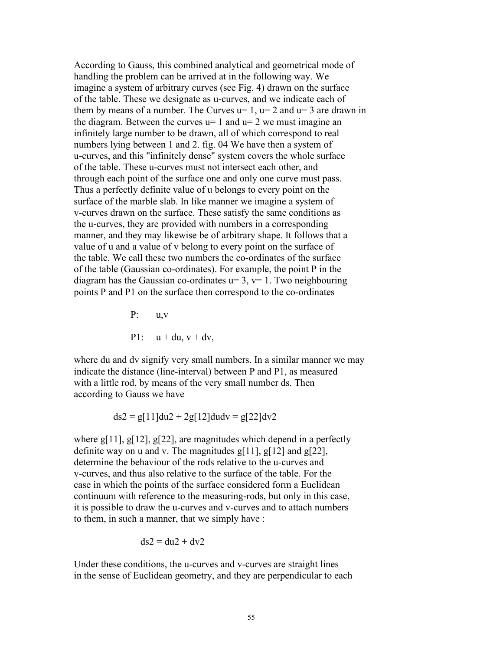According to Gauss, this combined analytical and geometrical mode of handling the problem can be arrived at in the following way. We imagine a system of arbitrary curves (see Fig. 4) drawn on the surface of the table. These we designate as u-curves, and we indicate each of them by means of a number. The Curves  $u=1$ ,  $u=2$  and  $u=3$  are drawn in the diagram. Between the curves  $u=1$  and  $u=2$  we must imagine an infinitely large number to be drawn, all of which correspond to real numbers lying between 1 and 2. fig. 04 We have then a system of u-curves, and this "infinitely dense" system covers the whole surface of the table. These u-curves mustnot intersect each other, and through each point of the surface one and only one curve must pass. Thus a perfectly definite value of u belongs to every point on the surface of the marble slab. In like manner we imagine a system of v-curves drawn on the surface. These satisfy the same conditions as the u-curves, they are provided with numbers in a corresponding manner, and they may likewise be of arbitrary shape. It follows that a value of u and a value of v belong to every point on the surface of the table. We call these two numbers the co-ordinates of the surface of the table (Gaussian co-ordinates). For example, the point P inthe diagram has the Gaussian co-ordinates  $u=3$ ,  $v=1$ . Two neighbouring points P and P1 on the surface then correspond to the co-ordinates

> $P:$  u,v P1:  $u + du$ ,  $v + dv$ .

where du and dv signify very small numbers. In a similar manner we may indicate the distance (line-interval) between P and P1, as measured with a little rod, by means of the very small number ds. Then according to Gauss we have

 $ds2 = g[11]du2 + 2g[12]dudv = g[22]dv2$ 

where g[11], g[12], g[22], are magnitudes which depend in a perfectly definite way on u and v. The magnitudes  $g[11]$ ,  $g[12]$  and  $g[22]$ , determine the behaviour of the rods relative to the u-curves and v-curves, and thus also relative to the surface of the table. For the case in which the points of the surface considered form a Euclidean continuum with reference to the measuring-rods, but only in this case, it is possible to draw the u-curves and v-curves and to attach numbers to them, in such a manner, that we simply have :

$$
ds2 = du2 + dv2
$$

Under these conditions, the u-curves and v-curves are straight lines in the sense of Euclidean geometry, and they are perpendicular to each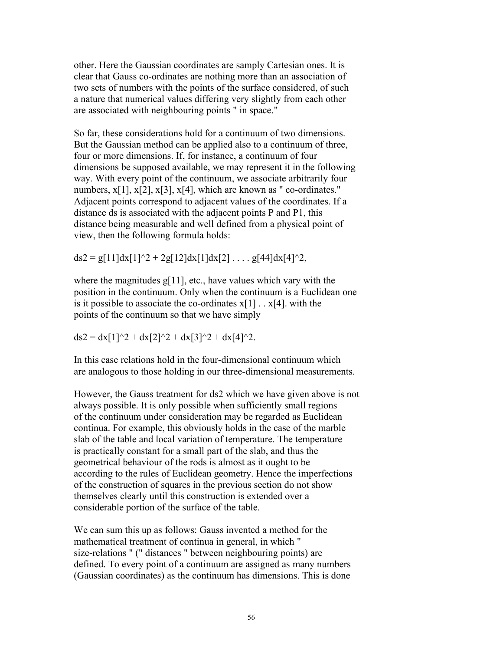other. Here the Gaussian coordinates are samply Cartesian ones. It is clear that Gauss co-ordinates are nothing more than an association of two sets of numbers with the points of the surface considered, of such a nature that numerical values differing very slightly from each other are associated with neighbouring points " in space."

So far, these considerations hold for a continuum of two dimensions. But the Gaussian method can be applied also to a continuum of three, four or more dimensions. If, for instance, a continuum of four dimensions be supposed available, we may represent it in the following way. With every point of the continuum, we associate arbitrarily four numbers,  $x[1]$ ,  $x[2]$ ,  $x[3]$ ,  $x[4]$ , which are known as "co-ordinates." Adjacent points correspond to adjacent values of the coordinates. If a distance ds is associated with the adjacent points P and P1, this distance being measurable and well defined from a physical point of view, then the following formula holds:

 $ds2 = g[11]dx[1]^{2} + 2g[12]dx[1]dx[2] \dots$  .  $g[44]dx[4]^{2}$ ,

where the magnitudes  $g[11]$ , etc., have values which vary with the position in the continuum. Only when the continuum is a Euclidean one is it possible to associate the co-ordinates  $x[1] \dots x[4]$ . with the points of the continuum so that we have simply

 $ds2 = dx[1]^2 + dx[2]^2 + dx[3]^2 + dx[4]^2$ .

In this case relations hold in the four-dimensional continuum which are analogous to those holding in our three-dimensional measurements.

However, the Gauss treatment for ds2 which we have given above is not always possible. It is only possible when sufficiently small regions of the continuum under consideration may be regarded as Euclidean continua. For example, this obviously holds in the case of the marble slab of the table and local variation of temperature. The temperature is practically constant for a small part of the slab, and thus the geometrical behaviour of the rods is almost as it ought to be according to the rules of Euclidean geometry. Hence the imperfections of the construction of squares in the previous section do not show themselves clearly until this construction is extended over a considerable portion of the surface of the table.

We can sum this up as follows: Gauss invented a method for the mathematical treatment of continua in general, in which " size-relations " (" distances " between neighbouring points) are defined. To every point of a continuum are assigned as many numbers (Gaussian coordinates) as the continuum has dimensions. This is done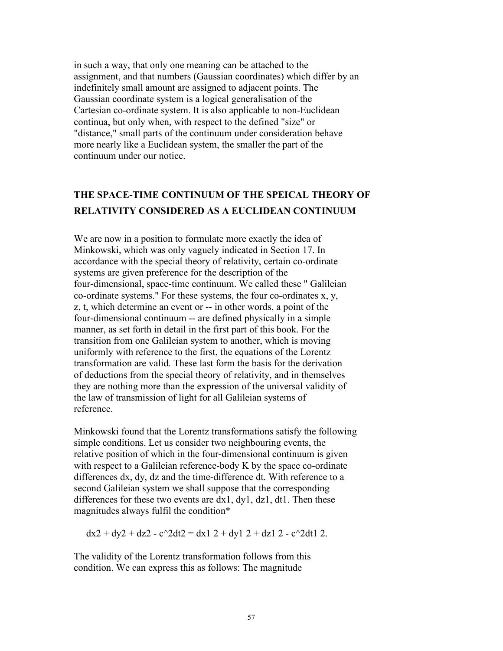in such a way, that only one meaning can be attached to the assignment, and that numbers (Gaussian coordinates) which differ by an indefinitely small amount are assigned to adjacent points. The Gaussian coordinate system is a logical generalisation of the Cartesian co-ordinate system. It is also applicable to non-Euclidean continua, but only when, with respect to the defined "size" or "distance," small parts of the continuum under consideration behave more nearly like a Euclidean system, the smaller the part of the continuum under our notice.

# **THE SPACE-TIME CONTINUUM OF THE SPEICAL THEORY OF RELATIVITY CONSIDERED AS A EUCLIDEAN CONTINUUM**

We are now in a position to formulate more exactly the idea of Minkowski, which was only vaguely indicated in Section 17.In accordance with the special theory of relativity, certain co-ordinate systems are given preference for the description of the four-dimensional, space-time continuum. We called these "Galileian  $co$ -ordinate systems." For these systems, the four co-ordinates x, y, z, t, which determine an event or -- in other words, a point of the four-dimensional continuum -- are defined physically in a simple manner, as set forth in detail in the first part of this book. For the transition from one Galileian system to another, which is moving uniformly with reference to the first, the equations of the Lorentz transformation are valid. These last form the basis for the derivation of deductions from the special theory ofrelativity, and in themselves they are nothing more than the expression of the universal validity of the law of transmission of light for all Galileian systems of reference.

Minkowski found that the Lorentz transformations satisfy the following simple conditions. Let us consider two neighbouring events, the relative position of which in the four-dimensional continuum is given with respect to a Galileian reference-body K by the space co-ordinate differences dx, dy, dz and the time-difference dt. With reference to a second Galileian system we shall suppose that the corresponding differences for these two events are dx1, dy1, dz1, dt1. Then these magnitudes always fulfil the condition\*

 $dx^2 + dy^2 + dz^2 - c^2dt^2 = dx^2 + dy^2 + dz^2 + dz^2 - c^2dt^2$ .

The validity of the Lorentz transformation follows from this condition. We can express this as follows: The magnitude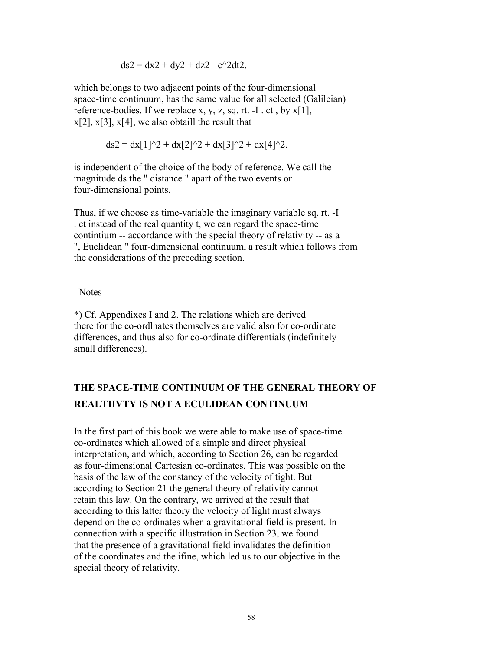$ds2 = dx2 + dy2 + dz2 - c^2dt2$ ,

which belongs to two adjacent points of the four-dimensional space-time continuum, has the same value for all selected (Galileian) reference-bodies. If we replace x, y, z, sq. rt.  $-I$ . ct, by  $x[1]$ ,  $x[2]$ ,  $x[3]$ ,  $x[4]$ , we also obtaill the result that

$$
ds2 = dx[1]^{2} + dx[2]^{2} + dx[3]^{2} + dx[4]^{2}.
$$

is independent of the choice of the body of reference. We call the magnitude ds the " distance " apart of the two events or four-dimensional points.

Thus, if we choose as time-variable the imaginary variable sq. rt. -I . ct instead of the real quantity t, we can regard the space-time contintium -- accordance with the special theory of relativity -- as a ", Euclidean " four-dimensional continuum, a result which follows from the considerations of the preceding section.

#### **Notes**

\*) Cf. Appendixes I and 2. The relations which are derived there for the co-ordlnates themselves are valid also for co-ordinate differences, and thus also for co-ordinate differentials (indefinitely small differences).

# **THE SPACE-TIME CONTINUUM OF THE GENERAL THEORY OF REALTIIVTY IS NOT A ECULIDEAN CONTINUUM**

In the first part of this book we were able to make use of space-time co-ordinates which allowed of a simple and direct physical interpretation, and which, according to Section 26, can be regarded as four-dimensional Cartesian co-ordinates. This was possible on the basis of the law of the constancy of the velocity of tight. But according to Section 21 the general theory of relativity cannot retain this law. On the contrary, we arrived at the result that according to this latter theory the velocity of light must always depend on the co-ordinates when a gravitational field is present. In connection with a specific illustration in Section 23, we found that the presence of a gravitational field invalidates the definition of the coordinates and the ifine, which led us to our objective in the special theory of relativity.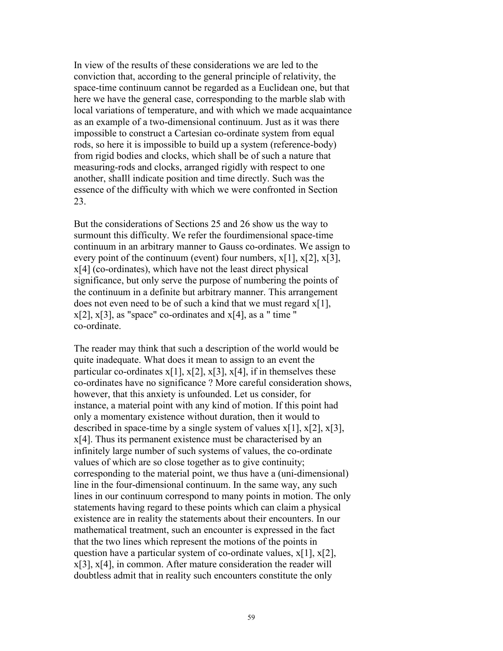In view of the resuIts of these considerations we are led to the conviction that, according to the general principle of relativity, the space-time continuum cannot be regarded as a Euclidean one, but that here we have the general case, corresponding to the marble slab with local variations of temperature, and with which we made acquaintance as an example of a two-dimensional continuum. Just as it was there impossible to construct a Cartesian co-ordinate system from equal rods, so here it is impossible to build up a system (reference-body) from rigid bodies and clocks, which shall be of such a nature that measuring-rods and clocks, arranged rigidly with respect to one another, shaIll indicate position and time directly. Such was the essence of the difficulty with which we were confronted in Section 23.

But the considerations of Sections 25 and 26 show us the way to surmount this difficulty. We refer the fourdimensional space-time continuum in an arbitrary manner to Gauss co-ordinates. We assign to every point of the continuum (event) four numbers,  $x[1]$ ,  $x[2]$ ,  $x[3]$ , x[4] (co-ordinates), which have not the least direct physical significance, but only serve the purpose of numbering the points of the continuum in a definite but arbitrary manner. This arrangement does not even need to be of such a kind that we must regard x[1],  $x[2]$ ,  $x[3]$ , as "space" co-ordinates and  $x[4]$ , as a "time "co-ordinate.

The reader may think that such a description of the world would be quite inadequate. What does it mean to assign to an event the particular co-ordinates  $x[1]$ ,  $x[2]$ ,  $x[3]$ ,  $x[4]$ , if in themselves these co-ordinates have no significance ? More careful consideration shows, however, that this anxiety is unfounded. Let us consider, for instance, a material point with any kind of motion. If this point had only a momentary existence without duration, then it would to described in space-time by a single system of values  $x[1]$ ,  $x[2]$ ,  $x[3]$ ,  $x[4]$ . Thus its permanent existence must be characterised by an infinitely large number of such systems of values, the co-ordinate values of which are so close together as to give continuity; corresponding to the material point, we thus have a (uni-dimensional) line in the four-dimensional continuum. In the same way, any such lines in our continuum correspond to many points in motion. The only statements having regard to these points which can claim a physical existence are in reality the statements about their encounters. In our mathematical treatment, such an encounter is expressed in the fact that the two lines which represent the motions of the points in question have a particular system of co-ordinate values,  $x[1]$ ,  $x[2]$ , x[3], x[4], in common. After mature consideration the reader will doubtless admit that in reality such encounters constitute the only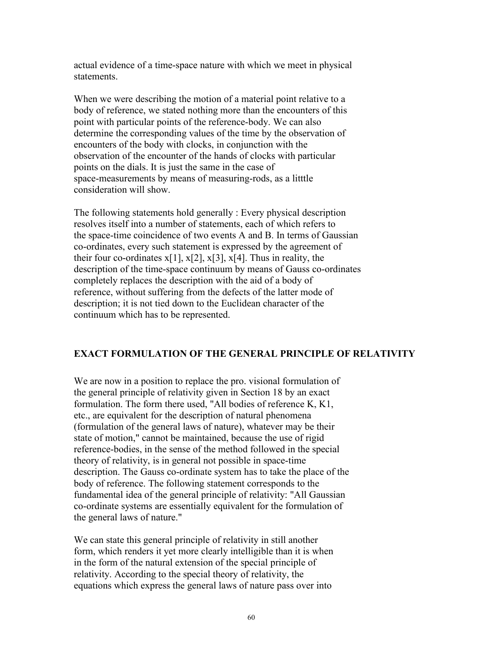actual evidence of a time-space nature with which we meet in physical statements.

When we were describing the motion of a material point relative to a body of reference, we stated nothing more than the encounters of this point with particular points of the reference-body. We can also determine the corresponding values of the time by the observation of encounters of the body with clocks, in conjunction with the observation of the encounter of the hands of clocks with particular points on the dials. It is just the same in the case of space-measurements by means of measuring-rods, as a littelle consideration will show.

The following statements hold generally : Every physical description resolves itself into a number of statements, each of which refers to the space-time coincidence of two events A and B. In terms of Gaussian co-ordinates, every such statement is expressed by the agreement of their four co-ordinates  $x[1]$ ,  $x[2]$ ,  $x[3]$ ,  $x[4]$ . Thus in reality, the description of the time-space continuum by means of Gauss co-ordinates completely replaces the description with the aid of a body of reference, without suffering from the defects of the latter mode of description; it is not tied down to the Euclidean character of the continuum which has to be represented.

## **EXACT FORMULATION OF THE GENERAL PRINCIPLE OF RELATIVITY**

We are now in a position to replace the pro. visional formulation of the general principle of relativity given in Section 18 by an exact formulation. The form there used, "All bodies of reference K, K1, etc., are equivalent for the description of natural phenomena (formulation of the general laws of nature), whatever may be their state of motion," cannot be maintained, because the use of rigid reference-bodies, in the sense of the method followed in the special theory of relativity, is in general not possible in space-time description. The Gauss co-ordinate system has to take the place of the body of reference. The following statement corresponds to the fundamental idea of the general principle of relativity: "All Gaussian co-ordinate systems are essentially equivalent for the formulation of the general laws of nature."

We can state this general principle of relativity in still another form, which renders it yet more clearly intelligible than it is when in the form of the natural extension of the special principle of relativity. According to the special theory of relativity, the equations which express the general laws of nature pass over into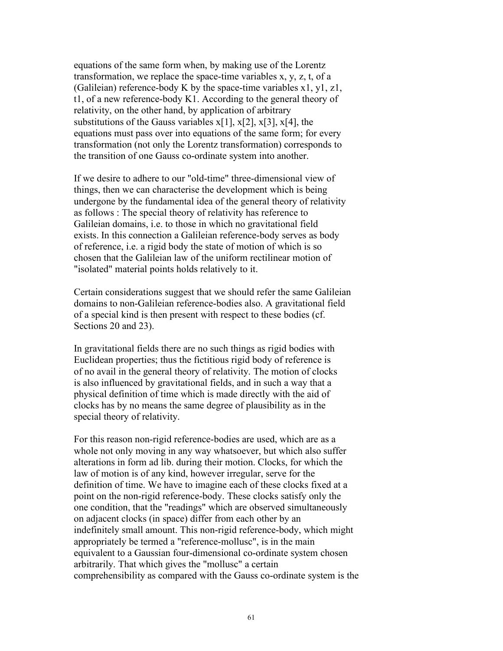equations of the same form when, by making use of the Lorentz transformation, we replace the space-time variables x, y, z, t, of a (Galileian) reference-body K by the space-time variables  $x1, y1, z1$ , t1, of a new reference-body K1. According to the general theory of relativity, on the other hand, by application of arbitrary substitutions of the Gauss variables  $x[1]$ ,  $x[2]$ ,  $x[3]$ ,  $x[4]$ , the equations must pass over into equations of the same form; for every transformation (not only the Lorentz transformation) corresponds to the transition of one Gauss co-ordinate system into another.

If we desire to adhere to our "old-time" three-dimensional view of things, then we can characterise the development which is being undergone by the fundamental idea of the general theory of relativity as follows : The special theory of relativity has reference to Galileian domains, i.e. to those in which no gravitational field exists. In this connection a Galileian reference-body serves as body of reference, i.e. a rigid body the state of motion of which is so chosen that the Galileian law of the uniform rectilinear motion of"isolated" material points holds relatively to it.

Certain considerations suggest that we should refer the same Galileian domains to non-Galileian reference-bodies also. A gravitational field of a special kind is then present with respect to these bodies (cf. Sections 20 and 23).

In gravitational fields there are no such things as rigid bodies with Euclidean properties; thus the fictitious rigid body of reference is of no avail in the general theory of relativity. The motion of clocks is also influenced by gravitational fields, and in such a way that a physical definition of time which is made directly with the aid of clocks has by no means the same degree of plausibility as in the special theory of relativity.

For this reason non-rigid reference-bodies are used, which are as a whole not only moving in any way whatsoever, but which also suffer alterations in form ad lib. during their motion. Clocks, for which the law of motion is of any kind, however irregular, serve for the definition of time. We have to imagine each of these clocks fixed at a point on the non-rigid reference-body. These clocks satisfy only the one condition, that the "readings" which are observed simultaneously on adjacent clocks (in space) differ from each other by an indefinitely small amount. This non-rigid reference-body, which might appropriately be termed a "reference-mollusc", is in the main equivalent to a Gaussian four-dimensional co-ordinate system chosen arbitrarily. That which gives the "mollusc" a certain comprehensibility as compared with the Gauss co-ordinate system is the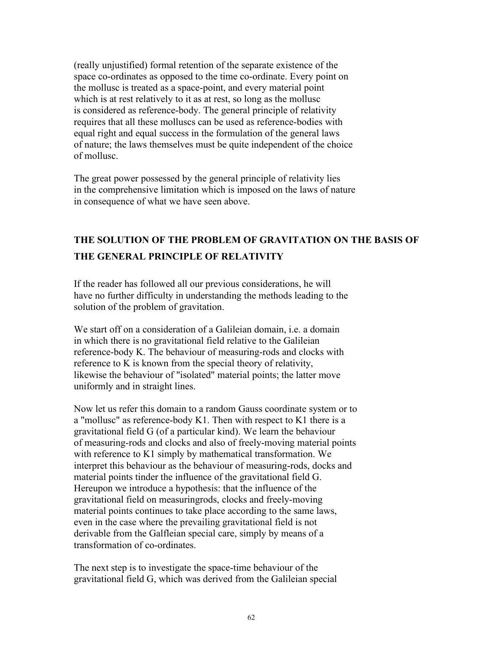(really unjustified) formal retention of the separate existence of the space co-ordinates as opposed to the time co-ordinate. Every point on the mollusc is treated as a space-point, and every material point which is at rest relatively to it as at rest, so long as the mollusc is considered as reference-body. The general principle of relativity requires that all these molluscs can be used as reference-bodies with equal right and equal success in the formulation of the general laws of nature; the laws themselves must be quite independent of the choice of mollusc.

The great power possessed by the general principle of relativity lies in the comprehensive limitation which is imposed on the laws of nature in consequence of what we have seen above.

# **THE SOLUTION OF THE PROBLEM OF GRAVITATION ON THE BASIS OF THE GENERAL PRINCIPLE OF RELATIVITY**

If the reader has followed all our previous considerations, he will have no further difficulty in understanding the methods leading to the solution of the problem of gravitation.

We start off on a consideration of a Galileian domain, i.e. a domain in which there is no gravitational field relative to the Galileian reference-body K. The behaviour of measuring-rods and clocks with reference to K is known from the special theory of relativity, likewise the behaviour of "isolated" material points; the latter move uniformly and in straight lines.

Now let us refer this domain to a random Gauss coordinate system or to a "mollusc" as reference-body K1. Then with respect to K1 there is a gravitational field G (of a particular kind). We learn the behaviour of measuring-rods and clocks and also of freely-moving material points with reference to K1 simply by mathematical transformation. We interpret this behaviour as the behaviour of measuring-rods, docks and material points tinder the influence of the gravitational field G. Hereupon we introduce a hypothesis: that the influence of the gravitational field on measuringrods, clocks and freely-moving material points continues to take place according to the same laws, even in the case where the prevailing gravitational field is not derivable from the Galfleian special care, simply by means of a transformation of co-ordinates.

The next step is to investigate the space-time behaviour of the gravitational field G, which was derived from the Galileian special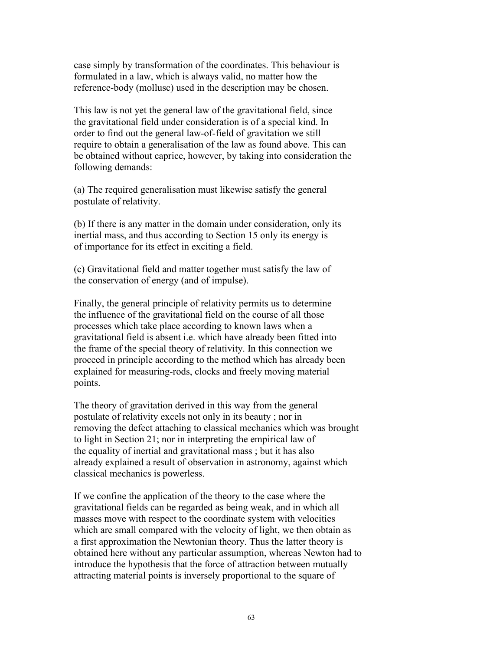case simply by transformation of the coordinates. This behaviour is formulated in a law, which is always valid, no matter how the reference-body (mollusc) used in the description may be chosen.

This law is not yet the general law of the gravitational field, since the gravitational field under consideration is of a special kind. In order to find out the general law-of-field of gravitation we still require to obtain a generalisation of the law as found above. This can be obtained without caprice, however, by taking into consideration the following demands:

(a) The required generalisation must likewise satisfy the general postulate of relativity.

(b) If there is any matter in the domain under consideration, only its inertial mass, and thus according to Section 15 only its energy is of importance for its etfect in exciting a field.

(c) Gravitational field and matter together must satisfy the law of the conservation of energy (and of impulse).

Finally, the general principle of relativity permits us to determine the influence of the gravitational field on the course of all those processes which take place according to known lawswhen a gravitational field is absent i.e. which have already been fitted into the frame of the special theory of relativity. In this connection we proceed in principle according to the method which has already been explained for measuring-rods, clocks and freely moving material points.

The theory of gravitation derived in this way from the general postulate of relativity excels notonly in its beauty ; nor in removing the defect attaching to classical mechanics which was brought to light in Section 21; nor in interpreting the empirical law of the equality of inertial and gravitational mass ; but it has also already explained a result of observation in astronomy, against which classical mechanics is powerless.

If we confine the application of the theory to the case where the gravitational fields can be regarded as being weak, and in which all masses move with respect to the coordinate system with velocities which are small compared with the velocity of light, we then obtain as a first approximation the Newtonian theory. Thus the latter theory is obtained here without any particular assumption, whereas Newton had to introduce the hypothesis that the force of attraction between mutually attracting material points is inversely proportional to the square of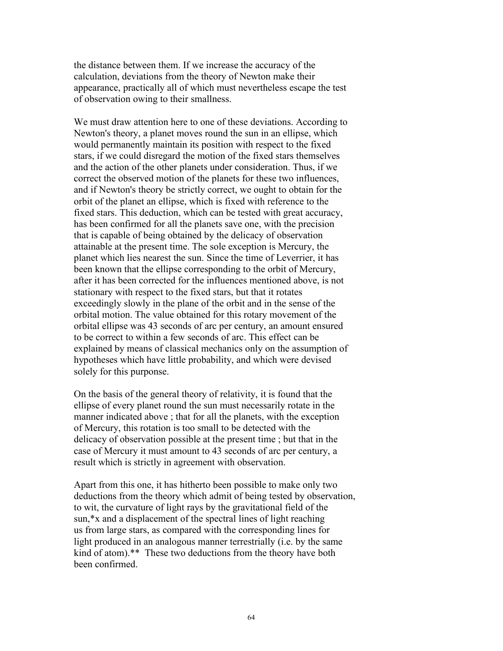the distance between them. If we increase the accuracy of the calculation, deviations from the theory of Newton make their appearance, practically all of which must nevertheless escape the test of observation owing to their smallness.

We must draw attention here to one of these deviations. According to Newton's theory, a planet moves round the sun in an ellipse, which would permanently maintain its position with respect to the fixed stars, if we could disregard the motion of the fixed stars themselves and the action of the other planets under consideration. Thus, if we correct the observed motion of the planets for these two influences, and if Newton's theory be strictly correct, we ought to obtain for the orbit of the planet an ellipse, which is fixed with reference to the fixed stars. This deduction, which can be tested with great accuracy, has been confirmed for all the planets save one, with the precision that is capable of being obtained by the delicacy of observation attainable at the present time. The sole exception is Mercury, the planet which lies nearest the sun. Since the time of Leverrier, it has been known that the ellipse corresponding to the orbit of Mercury, after it has been corrected for the influences mentioned above, is not stationary with respect to the fixed stars, but that it rotates exceedingly slowly in the plane of the orbit and in the sense of the orbital motion. The value obtained for this rotary movement of the orbital ellipse was 43 seconds ofarc per century, an amount ensured to be correct to within a few seconds of arc. This effect can be explained by means of classical mechanics only on the assumption of hypotheses which have little probability, and which were devised solely for this purponse.

On the basis of the general theory of relativity, it is found that the ellipse of every planet round the sun must necessarily rotate in the manner indicated above ; that for all the planets, with the exception of Mercury, this rotation is too small to be detected with the delicacy of observation possible at the present time ; but that in the case of Mercury it must amount to 43 seconds of arc per century, a result which is strictly in agreement with observation.

Apart from this one, it has hitherto been possible to make only two deductions from the theory which admit of being tested by observation, to wit, the curvature of light rays by the gravitational field of the sun,<sup>\*</sup>x and a displacement of the spectral lines of light reaching us from large stars, as compared with the corresponding lines for light produced in an analogous manner terrestrially (i.e. by the same kind of atom).\*\* These two deductions from the theory have both been confirmed.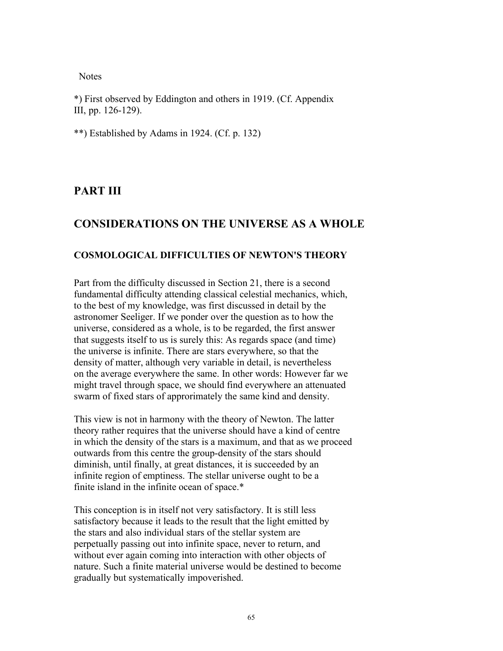#### **Notes**

\*) First observed by Eddington and others in 1919. (Cf. Appendix III, pp. 126-129).

\*\*) Established by Adams in 1924. (Cf. p. 132)

## **PART III**

## **CONSIDERATIONS ON THE UNIVERSE AS A WHOLE**

#### **COSMOLOGICAL DIFFICULTIES OF NEWTON'S THEORY**

Part from the difficulty discussed in Section 21, there is a second fundamental difficulty attending classical celestial mechanics, which, to the best of my knowledge, was first discussed in detail by the astronomer Seeliger. If we ponder over the question as to how the universe, considered as a whole, is to be regarded, the first answer that suggests itself to us is surely this: As regards space (and time) the universe is infinite. There are stars everywhere, so that the density of matter, although very variable in detail, is nevertheless on the average everywhere the same. In other words: However far we might travel through space, we should find everywhere an attenuated swarm of fixed stars of approrimately the same kind and density.

This view is not in harmony with the theory of Newton. The latter theory rather requires that the universe should have a kind of centre in which the density of the stars is a maximum, and that as we proceed outwards from this centre the group-density of the stars should diminish, until finally, at great distances, it is succeeded by an infinite region of emptiness. The stellar universe ought to be a finite island in the infinite ocean of space.\*

This conception is in itself not very satisfactory. It is still less satisfactory because it leads to the result that the light emitted by the stars and also individual stars of the stellar system are perpetually passing out into infinite space, never to return, and without ever again coming into interaction with other objects of nature. Such a finite material universe would be destined to become gradually but systematically impoverished.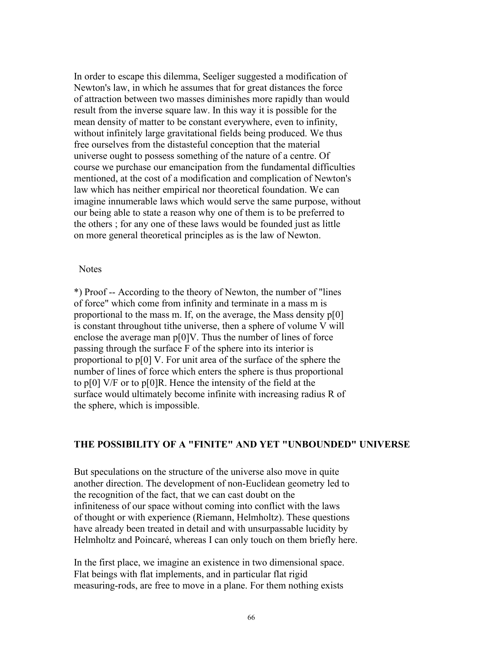In order to escape this dilemma, Seeliger suggested a modification of Newton's law, in which he assumes that for great distances the force of attraction between two masses diminishes more rapidly than would result from the inverse square law. In this way it is possible for the mean density of matter to be constant everywhere, even to infinity, without infinitely large gravitational fields being produced. We thus free ourselves from the distasteful conception that the material universe ought to possess something of the nature of a centre. Of course we purchase our emancipation from the fundamental difficulties mentioned, at the cost of a modification and complication of Newton's law which has neither empirical nor theoretical foundation. We can imagine innumerable laws which would serve the same purpose, without our being able to state a reason why one of them is to be preferred to the others; for any one of these laws would be founded just as little on more general theoretical principles as is the law of Newton.

#### **Notes**

\*) Proof -- According to the theory of Newton, the number of "lines" of force" which come from infinity and terminate in a mass m is proportional to the mass m. If, on the average, the Mass density  $p[0]$ is constant throughout tithe universe, then a sphere of volume V will enclose the average man  $p[0]V$ . Thus the number of lines of force passing through the surface F of the sphere into its interior is proportional to p[0] V. For unit area of the surface of the sphere the number of lines of force which enters the sphere is thus proportional to p[0] V/F or to p[0]R. Hence the intensity of the field at the surface would ultimately become infinite with increasing radius R of the sphere, which is impossible.

#### **THE POSSIBILITY OF A "FINITE" AND YET "UNBOUNDED" UNIVERSE**

But speculations on the structure of the universe also move in quite another direction. The development of non-Euclidean geometry led to the recognition of the fact, that we can cast doubt on the infiniteness of our space without coming into conflict with the laws of thought or with experience (Riemann, Helmholtz). These questions have already been treated in detail and with unsurpassable lucidity by Helmholtz and Poincaré, whereas I can only touch on them briefly here.

In the first place, we imagine an existence in two dimensional space. Flat beings with flat implements, and in particular flat rigid measuring-rods, are free to move in a plane. For them nothing exists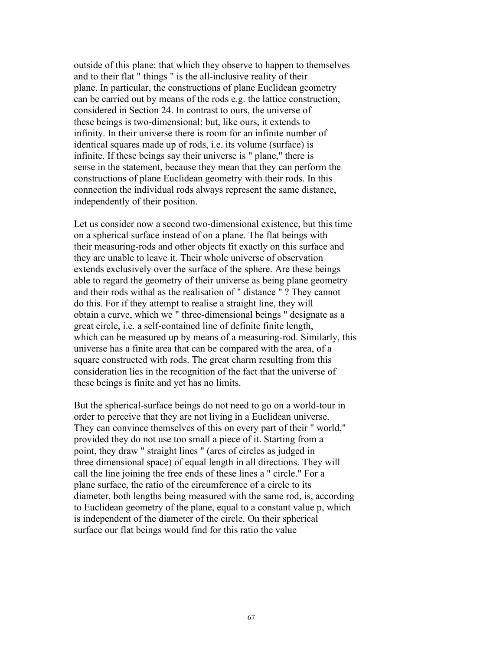outside of this plane: that which they observe to happen to themselves and to their flat " things " is the all-inclusive reality of their plane. In particular, the constructions of plane Euclidean geometry can be carried out by means of the rods e.g. the lattice construction, considered in Section 24.In contrast to ours, the universe of these beings is two-dimensional; but, like ours, it extends to infinity. In their universe there is room for an infinite number of identical squares made up of rods, i.e. its volume (surface) is infinite. If these beings say their universe is " plane," there is sense in the statement, because they mean that they can perform the constructions of plane Euclidean geometry with their rods. In this connection the individual rods always represent the same distance, independently of their position.

Let us consider now a second two-dimensional existence, but this time on a spherical surface instead of on a plane. The flat beings with their measuring-rods and other objects fit exactly on this surface and they are unable to leave it. Their whole universe of observation extends exclusively over the surface of the sphere. Are these beings able to regard the geometry of their universe as being plane geometry and their rods withal as the realisation of " distance "? They cannot do this. For if they attempt to realise a straight line, they will obtain a curve, which we "three-dimensional beings " designate as a great circle, i.e. a self-contained line of definite finite length, which can be measured up by means of a measuring-rod. Similarly, this universe has a finite area that can be compared with the area, of a square constructed with rods. The great charm resulting from this consideration lies in the recognition of the fact that the universe of these beings is finite and yet has no limits.

But the spherical-surface beings do not need to go on a world-tour in order to perceive that they are not living in a Euclidean universe. They can convince themselves of this on every part of their " world," provided they do not use too small a piece of it. Starting from a point, they draw " straight lines " (arcs of circles as judged in three dimensional space) of equal length in all directions. They will call the line joining the free ends of these lines a "circle." For a plane surface, the ratio of the circumference of a circle to its diameter, both lengths being measured with the same rod, is, according to Euclidean geometry of the plane, equal to a constant value p, which is independent of the diameter of the circle. On their spherical surface our flat beings would find for this ratio the value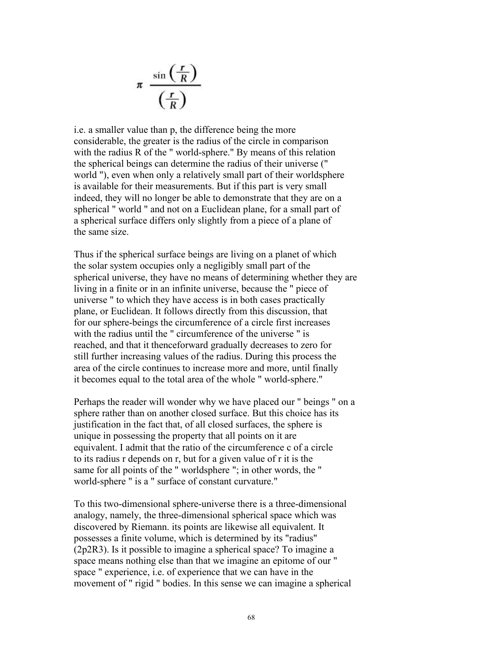$$
\pi \frac{\sin\left(\frac{r}{R}\right)}{\left(\frac{r}{R}\right)}
$$

i.e. a smaller value than p, the difference being the more considerable, the greater is the radius of the circle in comparison with the radius R of the "world-sphere." By means of this relation the spherical beings can determine the radius of their universe (" world "), even when only a relatively small part of their worldsphere is available for their measurements. But if this part is very small indeed, they will no longer be able to demonstrate that they are on a spherical " world " and not on a Euclidean plane, for a small part of a spherical surface differs only slightly from a piece of a plane of the same size.

Thus if the spherical surface beings are living on a planet of which the solar system occupies only a negligibly small part of the spherical universe, they have no means of determining whether they are living in a finite or in an infinite universe, because the " piece of universe "to which they have access is in both cases practically plane, or Euclidean. It follows directly from this discussion, that for our sphere-beings the circumference of a circle first increases with the radius until the "circumference of the universe " is reached, and that it thenceforward gradually decreases to zero for still further increasing values of the radius. During this process the area of the circle continues to increase more and more, until finally it becomes equal to the total area of the whole "world-sphere."

Perhaps the reader will wonder why we have placed our " beings " on a sphere rather than on another closed surface. But this choice has its justification in the fact that, of all closed surfaces, the sphere is unique in possessing the property that all points on it are equivalent. I admit that the ratio of the circumference c of a circle to its radius r depends on r, but for a given value of r it is the same for all points of the "worldsphere "; in other words, the "world-sphere " is a " surface of constant curvature."

To this two-dimensional sphere-universe there is a three-dimensional analogy, namely, the three-dimensional spherical space which was discovered by Riemann. its points are likewise all equivalent. It possesses a finite volume, which is determined by its "radius" (2p2R3). Is it possible to imagine a spherical space? To imagine a space means nothing else than that we imagine an epitome of our " space "experience, i.e. of experience that we can have in the movement of " rigid " bodies. In this sense we can imagine a spherical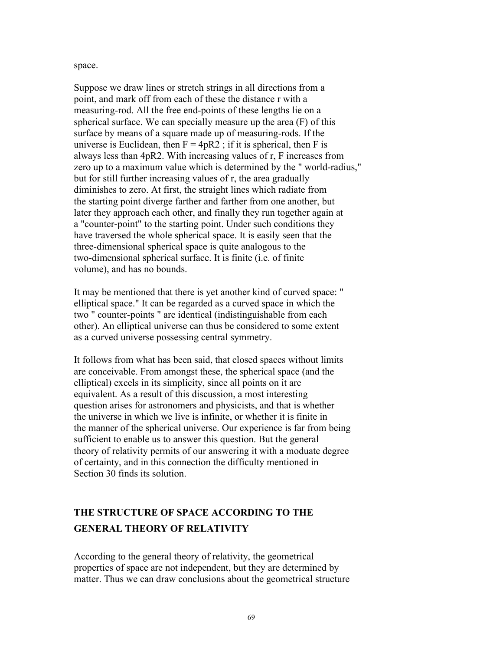space.

Suppose we draw lines or stretch strings in all directions from a point, and mark off from each of these the distance r with a measuring-rod. All the free end-points of these lengths lie on a spherical surface. We can specially measure up the area (F) of this surface by means of a square made up of measuring-rods. If the universe is Euclidean, then  $F = 4pR2$ ; if it is spherical, then F is always less than 4pR2. With increasing values ofr,F increases from zero up to a maximum value which is determined by the "world-radius," but for still further increasing values of r, the area gradually diminishes to zero. At first, the straight lines which radiate from the starting point diverge farther and farther from one another, but later they approach each other, and finally they run together again at a "counter-point" to the starting point. Under such conditions they have traversed the whole spherical space. It is easily seen that the three-dimensional spherical space is quite analogous to the two-dimensional spherical surface. It is finite (i.e. of finite volume), and has no bounds.

It may be mentioned that there is yet another kind of curved space: " elliptical space." It can be regarded as a curved space in which the two " counter-points " are identical (indistinguishable from each other). An elliptical universe can thus be considered to some extent as a curved universe possessing central symmetry.

It follows from what has been said, that closed spaces without limits are conceivable. From amongst these, the spherical space (and the elliptical) excels in its simplicity, since all points on it are equivalent. As a result of this discussion, a most interesting question arises for astronomers and physicists, and that is whether the universe in which we live is infinite, or whether it is finite in the manner of the spherical universe. Our experience is far from being sufficient to enable us to answer this question. But the general theory of relativity permits of our answering it with a moduate degree of certainty, and in this connection the difficulty mentioned in Section 30 finds its solution.

# **THE STRUCTURE OF SPACE ACCORDING TO THE GENERAL THEORY OF RELATIVITY**

According to the general theory of relativity, the geometrical properties of space are not independent, but they are determined by matter. Thus we can draw conclusions about the geometrical structure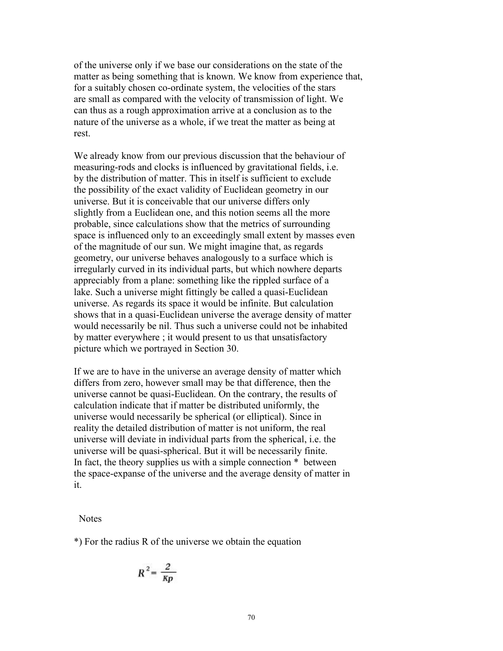of the universe only if we base our considerations on the state of the matter as being something that is known. We know from experience that, for a suitably chosen co-ordinate system, the velocities of the stars are small as compared with the velocity of transmission of light. We can thus as a rough approximation arrive at a conclusion as to the nature of the universe as a whole, if we treat the matter as being at rest.

We already know from our previous discussion that the behaviour of measuring-rods and clocks is influenced by gravitational fields, i.e. by the distribution of matter. This in itself is sufficient to exclude the possibility of the exact validity of Euclidean geometry in our universe. But it is conceivable that our universe differs only slightly from a Euclidean one, and this notion seems all the more probable, since calculations show that the metrics of surrounding space is influenced only to an exceedingly small extent by masses even of the magnitude of our sun. We might imagine that, as regards geometry, our universe behaves analogously to a surface which is irregularly curved in its individual parts, but which nowhere departs appreciably from a plane: something like the rippled surface of a lake. Such a universe might fittingly be called a quasi-Euclidean universe. As regards its space it would be infinite. But calculation shows that in a quasi-Euclidean universe the average density of matter would necessarily be nil. Thus such a universe could not be inhabited by matter everywhere ; it would present to us that unsatisfactory picture which we portrayed in Section 30.<br>If we are to have in the universe an average density of matter which

differs from zero, however small may be that difference, then the universe cannot be quasi-Euclidean. On the contrary, the results of calculation indicate that if matter be distributed uniformly, the universe would necessarily be spherical (or elliptical). Since in reality the detailed distribution of matter is not uniform, the real universe will deviate in individual parts from the spherical, i.e. the universe will be quasi-spherical. But it will be necessarily finite. In fact, the theory supplies us with a simple connection \* between the space-expanse of the universe and the average density of matter in it.<br>Notes

\*) For the radius R of the universe we obtain the equation

$$
R^2 = \frac{2}{\kappa p}
$$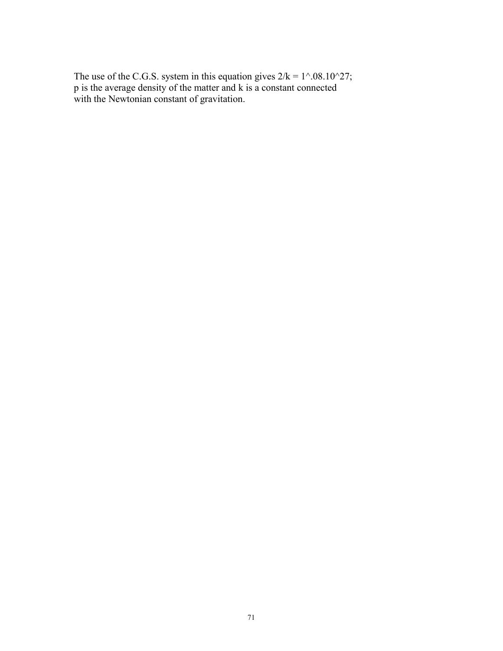The use of the C.G.S. system in this equation gives  $2/k = 1^{\circ}.08.10^{\circ}27$ ; p is the average density of the matter and k is a constant connected with the Newtonian constant of gravitation.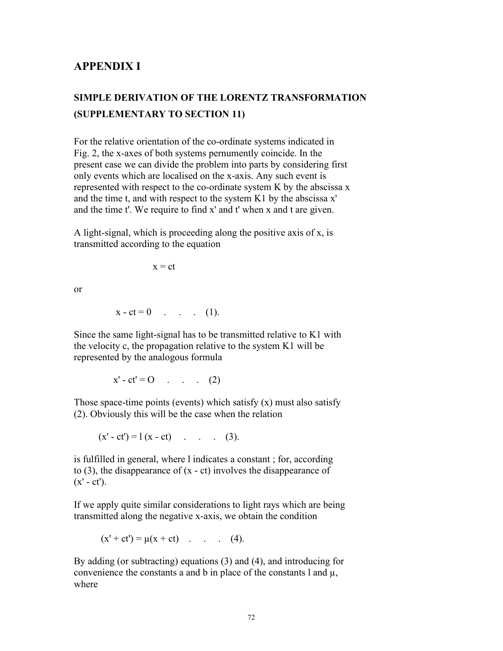## **APPENDIX I**

## **SIMPLE DERIVATION OF THE LORENTZ TRANSFORMATION (SUPPLEMENTARY TO SECTION 11)**

For the relative orientation of the co-ordinate systems indicated in Fig. 2, the x-axes of both systems pernumently coincide. In the present case we can divide the problem into parts byconsidering first only events which are localised on the x-axis. Any such event is represented with respect to the co-ordinate system K by the abscissa x and the time t, and with respect to the system K1 by the abscissa x' and the time t'. We require to find x' and t' when x and t are given.<br>A light-signal, which is proceeding along the positive axis of x, is

transmitted according to the equation

 $x = ct$ 

or

 $x - ct = 0$  . . . (1).

Since the same light-signal has to be transmitted relative to K1 with the velocity c, the propagation relative to the system K1 will be represented by the analogous formula

 $x' - ct' = O$  . . . (2)

Those space-time points (events) which satisfy (x) must also satisfy (2). Obviously this will be the case when the relation

 $(x' - ct') = 1 (x - ct)$  . . . (3).

is fulfilled in general, where l indicates a constant ; for, according to  $(3)$ , the disappearance of  $(x - ct)$  involves the disappearance of  $(x' - ct')$ .

If we apply quite similar considerations to light rays which are being transmitted along the negative x-axis, we obtain the condition

$$
(x' + ct') = \mu(x + ct)
$$
 ... (4).

By adding (or subtracting) equations (3) and (4), and introducing for convenience the constants a and b in place of the constants  $l$  and  $\mu$ , where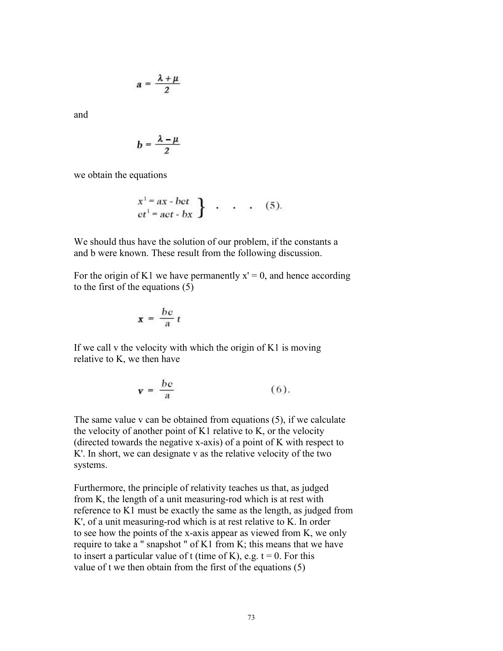$$
a=\frac{\lambda+\mu}{2}
$$

and

$$
b=\frac{\lambda-\mu}{2}
$$

we obtain the equations

$$
\begin{array}{c}\n x^1 = ax - bct \\
ct^1 = act - bx\n\end{array}\n\bigg\{\n\begin{array}{ccc}\n\cdot & \cdot & \cdot & (5)\n\end{array}
$$

We should thus have the solution of our problem, if the constants a and b were known. These result from the following discussion.

For the origin of K1 we have permanently  $x' = 0$ , and hence according to the first of the equations (5)

$$
x = \frac{bc}{a} t
$$

If we call v the velocity with which the origin of K1 is moving relative to K, we then have

$$
\mathbf{v} = \frac{bc}{a} \tag{6}
$$

The same value v can be obtained from equations (5), if we calculate the velocity of another point of K1 relative to K, or the velocity (directed towards the negative x-axis) of a point of K with respect to K'. In short, we can designate v as the relative velocity of the two systems.

Furthermore, the principle of relativity teaches us that, as judged from K, the length of a unit measuring-rod which is at rest with reference to K1 must be exactly the same as the length, as judged from K', of a unit measuring-rod which is at rest relative to K. In order to see how the points of the x-axis appear as viewed from K, we only require to take a "snapshot" of K1 from K; this means that we have to insert a particular value of t (time of K), e.g.  $t = 0$ . For this value of t we then obtain from the first of the equations (5)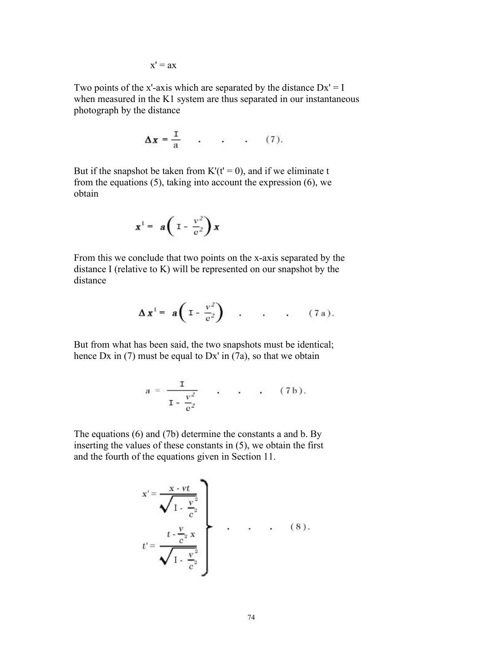$x' = ax$ 

Two points of the x'-axis which are separated by the distance  $Dx' = I$ when measured in the K1 system are thus separated in our instantaneous photograph by the distance

$$
\Delta x = \frac{1}{a} \qquad , \qquad , \qquad , \qquad (7).
$$

But if the snapshot be taken from  $K'(t' = 0)$ , and if we eliminate t from the equations  $(5)$ , taking into account the expression  $(6)$ , we obtain

$$
\mathbf{x}^1 = \mathbf{a} \left( 1 - \frac{v^2}{c^2} \right) \mathbf{x}
$$

From this we conclude that two points on the x-axis separated by the distance I (relative to K) will be represented on our snapshot by the distance

$$
\Delta x^1 = a \left( 1 - \frac{v^2}{c^2} \right) \quad . \qquad . \qquad . \qquad . \qquad (7a)
$$

But from what has been said, the two snapshots must be identical; hence Dx in  $(7)$  must be equal to Dx' in  $(7a)$ , so that we obtain

$$
a = \frac{1}{1 - \frac{v^2}{\sigma^2}} \qquad , \qquad , \qquad , \qquad (7b).
$$

The equations (6) and (7b) determine the constants a and b. By inserting the values of these constants in  $(5)$ , we obtain the first and the fourth of the equations given in Section 11.

$$
x' = \frac{x - vt}{\sqrt{1 - \frac{v^2}{c^2}}}
$$
  
\n
$$
t' = \frac{t - \frac{v}{c^2}x}{\sqrt{1 - \frac{v^2}{c^2}}}
$$
 (8).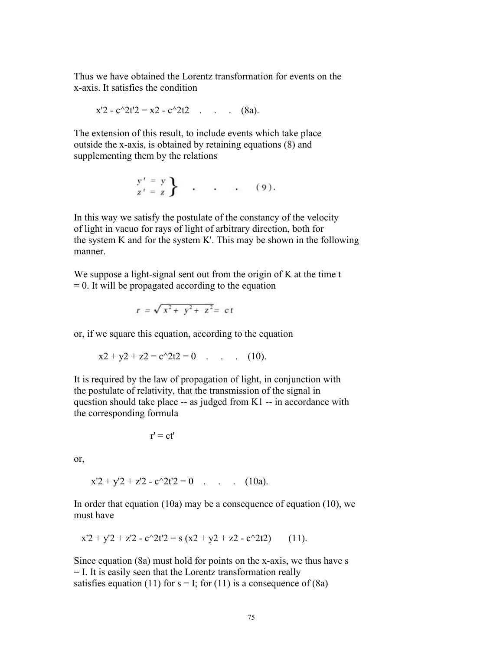Thus we have obtained the Lorentz transformation for events on the x-axis. It satisfies the condition

$$
x'2 - c^2t'2 = x2 - c^2t2 \quad . \quad . \quad . \quad (8a).
$$

The extension of this result, to include events which take place outside the x-axis, is obtained by retaining equations (8) and supplementing them by the relations

$$
\begin{aligned}\n y' &= y \\
z' &= z\n \end{aligned}\n \quad .\n \quad .\n \quad .\n \quad .\n \quad (9).
$$

In this way we satisfy the postulate of the constancy of the velocity of light in vacuo for rays of light of arbitrary direction, both for the system K and for the system K'.This may be shown in the following manner.

We suppose a light-signal sent out from the origin of K at the time t  $= 0$ . It will be propagated according to the equation

$$
r = \sqrt{x^2 + y^2 + z^2} = ct
$$

or, if we square this equation, according to the equation

$$
x2 + y2 + z2 = c^22t2 = 0 \quad . \quad . \quad . \quad (10).
$$

It is required by the law of propagation of light, in conjunction with the postulate of relativity, that the transmission of the signal in question should take place  $-$  as judged from K1  $-$  in accordance with the corresponding formula

$$
\mathbf{r}' = \mathbf{c} \mathbf{t}'
$$

or,

$$
x'2 + y'2 + z'2 - c^22t'2 = 0 \quad . \quad . \quad . \quad (10a).
$$

In order that equation (10a) may be a consequence of equation (10), we must have

$$
x'2 + y'2 + z'2 - c^2t'2 = s(x2 + y2 + z2 - c^2t2)
$$
 (11).

Since equation (8a) must hold for points on the x-axis, we thus have s = I. It is easily seen that the Lorentz transformation really satisfies equation (11) for  $s = I$ ; for (11) is a consequence of (8a)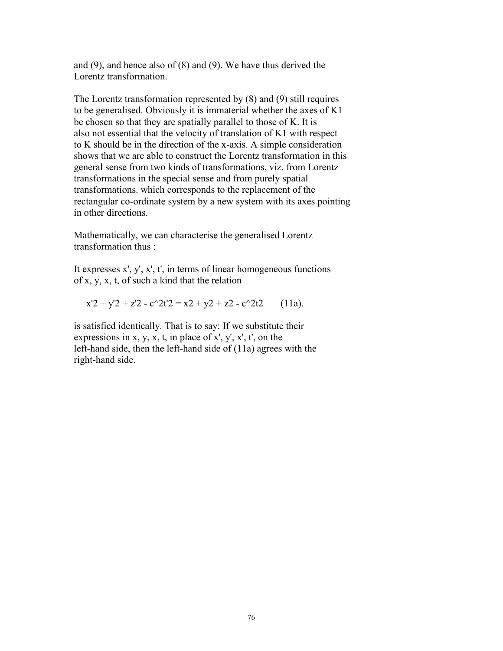and (9), and hence also of (8) and (9). We have thus derived the Lorentz transformation.

The Lorentz transformation represented by (8) and (9) still requires to be generalised. Obviously it is immaterial whether the axes of  $K1$ be chosen so that they are spatially parallel to those of K. It is also not essential that the velocity of translation of K1 with respect to K should be in the direction of the x-axis. A simple consideration shows that we are able to construct the Lorentz transformation in this general sense from two kinds of transformations, viz. from Lorentz transformations in the special sense and from purely spatial transformations. which corresponds to the replacement of the rectangular co-ordinate system by a new system with its axes pointing in other directions.

Mathematically, we can characterise the generalised Lorentz transformation thus :

It expresses  $x'$ ,  $y'$ ,  $x'$ ,  $t'$ , in terms of linear homogeneous functions of x, y, x, t, of such a kind that the relation

$$
x'2 + y'2 + z'2 - c''2t'2 = x2 + y2 + z2 - c''2t2
$$
 (11a).

is satisficd identically. That is to say: If we substitute their expressions in x, y, x, t, in place of x', y', x', t', on the left-hand side, then the left-hand side of (11a) agrees with the right-hand side.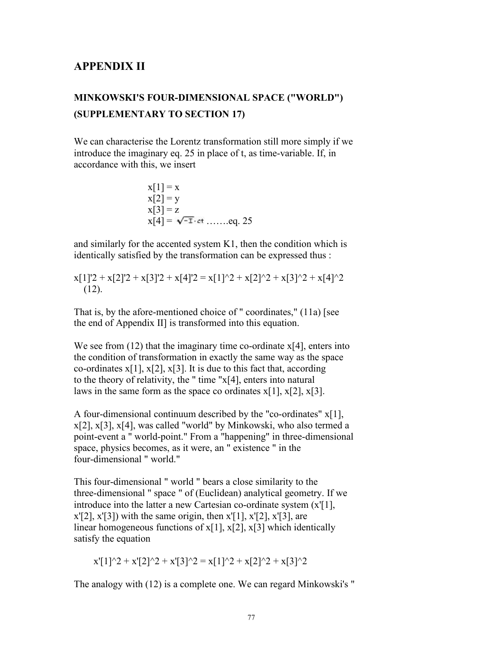## **APPENDIX II**

# **MINKOWSKI'S FOUR-DIMENSIONAL SPACE ("WORLD") (SUPPLEMENTARY TO SECTION 17)**

We can characterise the Lorentz transformation still more simply if we introduce the imaginary eq. 25 in place of t, as time-variable. If, in accordance with this, we insert

$$
x[1] = x\n x[2] = y\n x[3] = z\n x[4] = \sqrt{-1} \cdot ct \dots .eq. 25
$$

and similarly for the accented system K1, then the condition which is identically satisfied by the transformation can be expressed thus :

 $x[1]2 + x[2]2 + x[3]2 + x[4]2 = x[1]^{2} + x[2]^{2} + x[3]^{2} + x[4]^{2}$  $(12)$ .

That is, by the afore-mentioned choice of " coordinates," (11a) [see the end of Appendix II] is transformed into this equation.

We see from  $(12)$  that the imaginary time co-ordinate  $x[4]$ , enters into the condition of transformation in exactly the same way as the space co-ordinates  $x[1]$ ,  $x[2]$ ,  $x[3]$ . It is due to this fact that, according to the theory of relativity, the "time " $x[4]$ , enters into natural laws in the same form as the space co ordinates  $x[1]$ ,  $x[2]$ ,  $x[3]$ .

A four-dimensional continuum described by the "co-ordinates" x[1], x[2], x[3], x[4], was called "world" by Minkowski, who also termed a point-event a "world-point." From a "happening" in three-dimensional space, physics becomes, as it were, an " existence " in the four-dimensional " world."

This four-dimensional " world " bears a close similarity to the three-dimensional " space "of (Euclidean) analytical geometry. If we introduce into the latter a new Cartesian co-ordinate system (x'[1],  $x'[2]$ ,  $x'[3]$ ) with the same origin, then  $x'[1]$ ,  $x'[2]$ ,  $x'[3]$ , are linear homogeneous functions of  $x[1]$ ,  $x[2]$ ,  $x[3]$  which identically satisfy the equation

 $x'[1]^{2} + x'[2]^{2} + x'[3]^{2} = x[1]^{2} + x[2]^{2} + x[3]^{2}$ 

The analogy with (12) is a complete one. We can regard Minkowski's "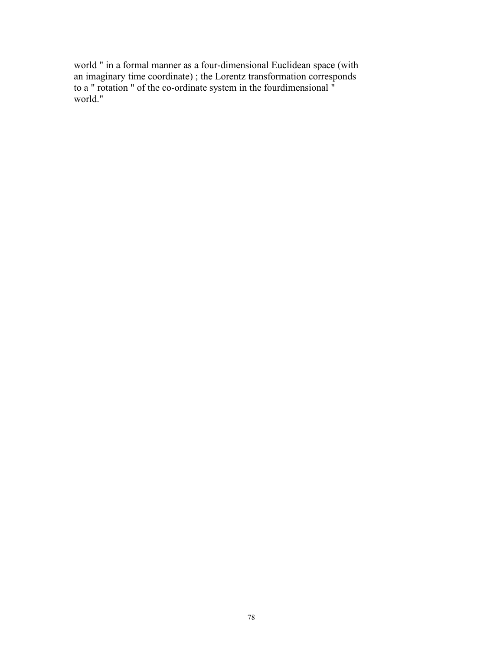world " in a formal manner as a four-dimensional Euclidean space (with an imaginary time coordinate) ; the Lorentz transformation corresponds to a "rotation " of the co-ordinate system in the fourdimensional " world."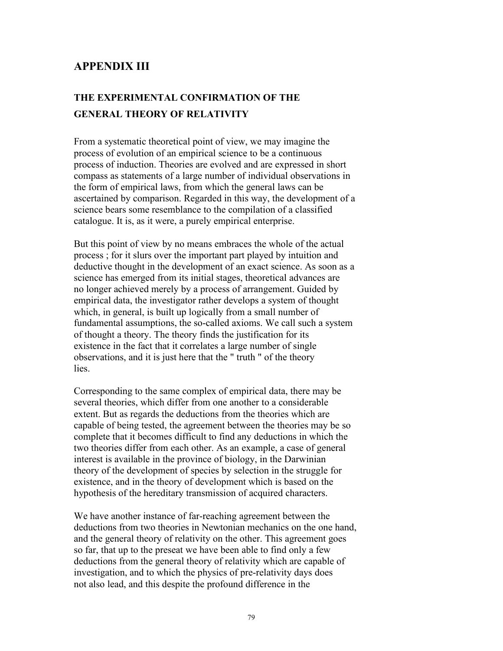## **APPENDIX III**

# **THE EXPERIMENTAL CONFIRMATION OF THE GENERAL THEORY OF RELATIVITY**

From a systematic theoretical point of view, we may imagine the process of evolution of an empirical science to be a continuous process of induction. Theories are evolved and are expressed in short compass as statements of a large number of individual observations in the form of empirical laws, from which the general laws can be ascertained by comparison. Regarded in this way, the development of a science bears some resemblance to the compilation of a classified catalogue. It is, as it were, a purely empirical enterprise.

But this point of view by no means embraces the whole of the actual process ; for it slurs over the important part played by intuition and deductive thought in the development of an exact science. As soon as a science has emerged from its initial stages, theoretical advances are no longer achieved merely by a process of arrangement. Guided by empirical data, the investigator rather develops a system of thought which, in general, is built up logically from a small number of fundamental assumptions, the so-called axioms. We call such a system of thought a theory. The theory finds the justification for its existence in the fact that it correlates a large number of single observations, and it is just here that the "truth " of the theory lies.

Corresponding to the same complex of empirical data, there may be several theories, which differ from one another to a considerable extent. But as regards the deductions from the theories which are capable of being tested, the agreement between the theories may be so complete that it becomes difficult to find any deductions in which the two theories differ from each other. As an example, a case of general interest is available in the province of biology, in the Darwinian theory of the development of species by selection in the struggle for existence, and in the theory of development which is based on the hypothesis of the hereditary transmission of acquired characters.

We have another instance of far-reaching agreement between the deductions from two theories in Newtonian mechanics on the one hand, and the general theory of relativity on the other. This agreement goes so far, that up to the preseat we have been able to find only a few deductions from the general theory of relativity which are capable of investigation, and to which the physics of pre-relativity days does not also lead, and this despite the profound difference in the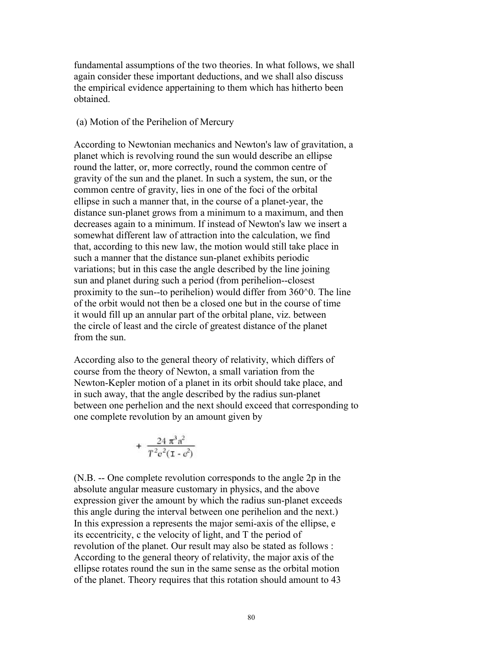fundamental assumptions of the two theories. In what follows, we shall again consider these important deductions, and we shall also discuss the empirical evidence appertaining to them which has hitherto been obtained.

#### (a) Motion of the Perihelion of Mercury

According to Newtonian mechanics and Newton's law of gravitation, a planet which is revolving round the sun would describe an ellipse round the latter, or, more correctly, round the common centre of gravity of the sun and the planet. In such a system, the sun, or the common centre of gravity, lies in one of the foci of the orbital ellipse in such a manner that, in the course of a planet-year, the distance sun-planet grows from a minimum to a maximum, and then decreases again to a minimum. If instead of Newton's law we insert a somewhat different law of attraction into the calculation, we find that, according to this new law, the motion would still take place in such a manner that the distance sun-planet exhibits periodic variations; but in this case the angle described by the line joining sun and planet during such a period (from perihelion--closest proximity to the sun--to perihelion) would differ from  $360^{\circ}$ . The line of the orbit would not then be a closed one but in the course of time it would fill up an annular part of the orbital plane, viz. between the circle of leastand the circle of greatest distance of the planet from the sun.

According also to the general theory of relativity, which differs of course from the theory of Newton, a small variation from the Newton-Kepler motion of a planet in its orbit should take place, and in such away, that the angle described by the radius sun-planet between one perhelion and the next should exceed that corresponding to one complete revolution by an amount given by

$$
+\frac{24 \pi^3 a^2}{T^2 c^2 (\text{I} - c^2)}
$$

(N.B. -- One complete revolution corresponds to the angle 2p in the absolute angular measure customary in physics, and the above expression giver the amount by which the radius sun-planet exceeds this angle during the interval between one perihelion and the next.) In this expression a represents the major semi-axis of the ellipse, e its eccentricity, c the velocity of light, and T the period of revolution of the planet. Our result may also be stated as follows : According to the general theory of relativity, the major axis of the ellipse rotates round the sun in the same sense as the orbital motion of the planet. Theory requires that this rotation should amount to 43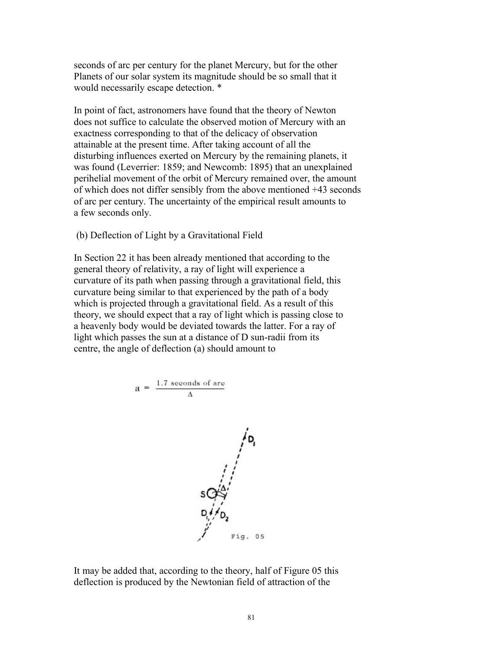seconds of arc per century for the planet Mercury, but for the other Planets of our solar system its magnitude should be so small that it would necessarily escape detection. \*

In point of fact, astronomers have found that the theory of Newton does not suffice to calculate the observed motion of Mercury with an exactness corresponding to that of the delicacy of observation attainable at the present time. After taking account of all the disturbing influences exerted on Mercury by the remaining planets, it was found (Leverrier: 1859; and Newcomb: 1895) that an unexplained perihelial movement of the orbit of Mercury remained over, the amount of which does not differ sensibly from the above mentioned  $+43$  seconds of arc per century. The uncertainty of the empirical result amounts to a few seconds only.

(b) Deflection of Light by a Gravitational Field

In Section 22 it has been already mentioned that according to the general theory of relativity, a ray of light will experience a curvature of its path when passing through a gravitational field, this curvature being similar to that experienced by the path of a body which is projected through a gravitational field. As a result of this theory, we should expect that a ray of light which is passing close to a heavenly body would be deviated towards the latter. For a ray of light which passes the sun at a distance of D sun-radii from its centre, the angle of deflection (a) should amount to



It may be added that, according to the theory, half of Figure 05 this deflection is produced by the Newtonian field of attraction of the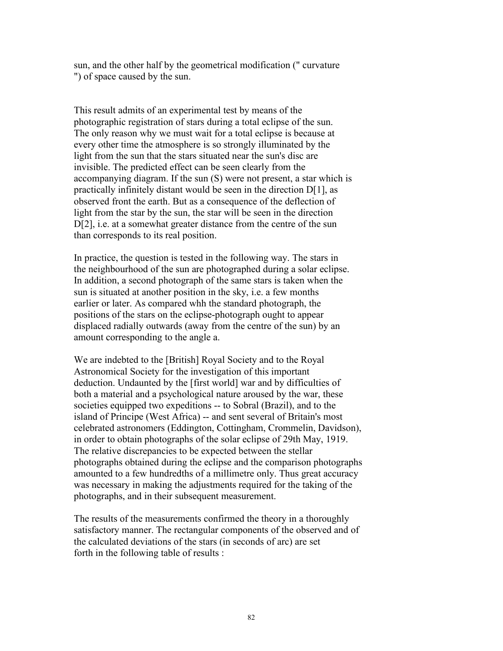sun, and the other half by the geometrical modification (" curvature ") of space caused by the sun.

This result admits of an experimental test by means of the photographic registration of stars during a total eclipse of the sun. The only reason why we must wait for a total eclipse is because at every other time the atmosphere is so strongly illuminated by the light from the sun that the stars situated near the sun's disc are invisible. The predicted effect can be seen clearly from the accompanying diagram. If the sun (S) were not present, a star which is practically infinitely distant would be seen in the direction D[1], as observed front the earth. But as a consequence of the deflection of light from the star by the sun, the star will be seen in the direction D[2], i.e. at a somewhat greater distance from the centre of the sun than corresponds to its real position.

In practice, the question is tested in the following way. The stars in the neighbourhood of the sun are photographed during a solar eclipse. In addition, a second photograph of the same stars is taken when the sun is situated at another position in the sky, i.e. a few months earlier or later. As compared whh the standard photograph, the positions of the stars on the eclipse-photograph ought to appear displaced radially outwards (away from the centre of the sun) by an amount corresponding to the angle a.

We are indebted to the [British] Royal Society and to the Royal Astronomical Society for the investigation of this important deduction. Undaunted by the [first world] war and by difficulties of both a material and a psychological nature aroused by the war, these societies equipped two expeditions -- to Sobral (Brazil), and to the island of Principe (West Africa) -- and sent several of Britain's most celebrated astronomers (Eddington, Cottingham, Crommelin, Davidson), in order to obtain photographs of the solar eclipse of 29th May, 1919. The relative discrepancies to be expected between the stellar photographs obtained during the eclipse and the comparison photographs amounted to a few hundredths of a millimetre only. Thus great accuracy was necessary in making the adjustments required for the taking of the photographs, and in their subsequent measurement.

The results of the measurements confirmed the theory in a thoroughly satisfactory manner. The rectangular components of the observed and of the calculated deviations of the stars (in seconds of arc) are set forth in the following table of results :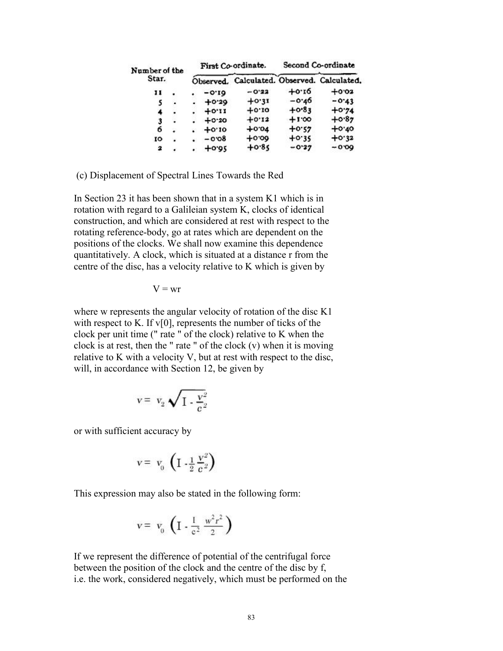| Number of the<br>Star. |   | First Co-ordinate. |         |                                             | Second Co-ordinate |         |
|------------------------|---|--------------------|---------|---------------------------------------------|--------------------|---------|
|                        |   |                    |         | Observed, Calculated. Observed. Calculated. |                    |         |
| 11                     |   |                    | $-0.10$ | $-0.32$                                     | $+0.16$            | $+0.02$ |
|                        | è |                    | $+0.39$ | $+0.31$                                     | $-0.46$            | $-0.43$ |
|                        | ٠ |                    | $+0.11$ | $+0.10$                                     | $+0.83$            | $+0.74$ |
|                        | ۷ | ä                  | $+0.20$ | $+0.12$                                     | $+1.00$            | $+0.87$ |
| 6                      | ¥ |                    | $+0.10$ | $+0.04$                                     | $+0.57$            | $+0.40$ |
| 10                     | ¥ | ٠                  | $-0.08$ | $+0.00$                                     | $+0.35$            | $+0.32$ |
| 2                      |   | ۰                  | $+0.95$ | $+0.85$                                     | $-0.37$            | $-0.09$ |

(c) Displacement of Spectral Lines Towards the Red

In Section 23 it has been shown that in a system K1 which is in rotation with regard to a Galileian system K, clocks of identical construction, and which are considered at rest with respect to the rotating reference-body, go at rates which are dependent on the positions of the clocks. We shall now examine this dependence quantitatively. A clock, which issituated at a distance r from the centre of the disc, has a velocity relative to K which is given by

 $V = wr$ 

where w represents the angular velocity of rotation of the disc K1 with respect to K. If  $v[0]$ , represents the number of ticks of the clock per unit time (" rate "of the clock) relative to K when the clock is at rest, then the "rate " of the clock  $(v)$  when it is moving relative to K with a velocity V, but at rest with respect to the disc, will, in accordance with Section 12, be given by

$$
v = v_2 \sqrt{1 - \frac{v^2}{c^2}}
$$

or with sufficient accuracy by

$$
v = v_0 \left( I \cdot \frac{1}{2} \frac{v^2}{c^2} \right)
$$

This expression may also be stated in the following form:

$$
v = v_0 \left( \mathbf{I} \cdot \frac{1}{c^2} \frac{w^2 r^2}{2} \right)
$$

If we represent the difference of potential of the centrifugal force between the position of the clock and the centre of the disc by f, i.e. the work, considered negatively, which must be performed on the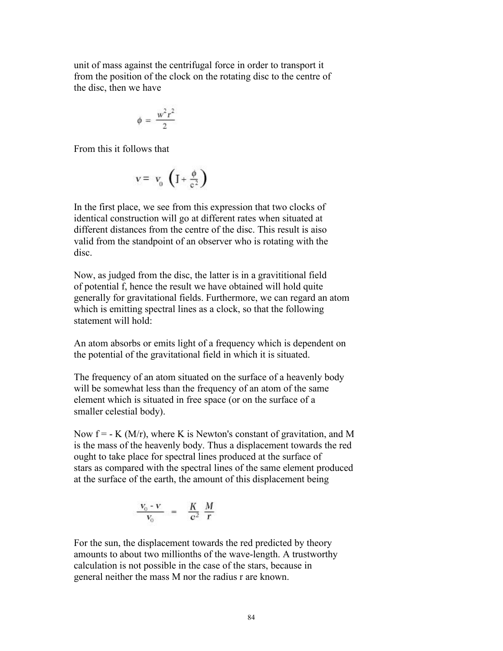unit of mass against the centrifugal force in order to transport it from the position of the clock on the rotating disc to the centre of the disc, then we have

$$
\phi\,=\,\frac{w^2r^2}{2}
$$

From this it follows that

$$
v = v_0 \left( \mathbf{I} + \frac{\phi}{c^2} \right)
$$

In the first place, we see from this expression that two clocks of identical construction will go at different rates when situated at different distances from the centre of the disc. This result is aiso valid from the standpoint of an observer who is rotating with the disc.

Now, as judged from the disc, the latter is in a gravititional field of potential f, hence the result we have obtained will hold quite generally for gravitational fields. Furthermore, we can regard an atom which is emitting spectral lines as a clock, so that the following statement will hold:

An atom absorbs or emits light of a frequency which is dependent on the potential of the gravitational field in which it is situated.

The frequency of an atom situated on the surface of a heavenly body will be somewhat less than the frequency of an atom of the same element which is situated in free space (or on the surface of a smaller celestial body).

Now  $f = -K(M/r)$ , where K is Newton's constant of gravitation, and M is the mass of the heavenly body. Thus a displacement towards the red ought to take place for spectral lines produced at the surface of stars as compared with the spectral lines of the same element produced at the surface of the earth, the amount of this displacement being

$$
\frac{V_0 - V}{V_0} = \frac{K}{c^2} \frac{M}{r}
$$

For the sun, the displacement towards the red predicted by theory amounts to about two millionths of the wave-length. A trustworthy calculation is not possible in the case of the stars, because in general neither the mass M nor the radius r are known.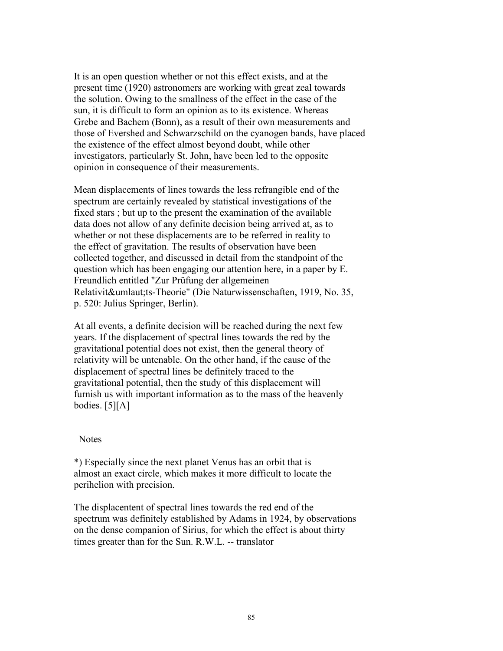It is an open question whether or not this effect exists, and at the present time (1920) astronomers are working with great zeal towards the solution.Owing to the smallness of the effect in the case of the sun, it is difficult to form an opinion as to its existence. Whereas Grebe and Bachem (Bonn), as a result of their own measurements and those of Evershed and Schwarzschild on the cyanogen bands, have placed the existence of the effect almost beyond doubt, while other investigators, particularly St. John, have been led to the opposite opinion in consequence of their measurements.

Mean displacements of lines towards the less refrangible end of the spectrum are certainly revealed by statistical investigations of the fixed stars; but up to the present the examination of the available data does not allow of any definite decision being arrived at, as to whether or not these displacements are to be referred in reality to the effect of gravitation. The results of observation have been collected together, and discussed in detail from the standpoint of the question which has been engaging our attention here, in a paper by E. Freundlich entitled "Zur Prüfung der allgemeinen Relativit&umlaut;ts-Theorie" (Die Naturwissenschaften, 1919, No. 35, p. 520: Julius Springer, Berlin).

At all events, a definite decision will be reached during the next few years. If the displacement of spectral lines towards the red by the gravitational potential does not exist, then the general theory of relativity will be untenable. On the other hand, if the cause of the displacement of spectral lines be definitely traced to the gravitational potential, then the study of this displacement will furnish us with important information as to the mass of the heavenly bodies. [5][A]

### **Notes**

\*) Especially since the next planet Venus has an orbit that is almost an exact circle, which makes it more difficult to locate the perihelion with precision.

The displacentent of spectral lines towards the red end of the spectrum was definitely established by Adams in 1924, by observations on the dense companion of Sirius, for which the effect is about thirty times greater than for the Sun. R.W.L. -- translator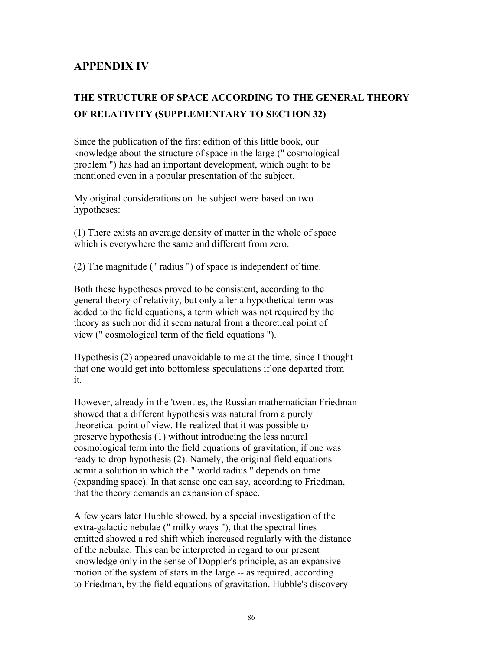# **APPENDIX IV**

# **THE STRUCTURE OF SPACE ACCORDING TO THE GENERAL THEORY OF RELATIVITY (SUPPLEMENTARY TO SECTION 32)**

Since the publication of the first edition of this little book, our knowledge about the structure of space in the large (" cosmological problem ") has had an important development, which ought to be mentioned even in a popular presentation of the subject.

My original considerations on the subject were based on two hypotheses:

(1) There exists an average density of matter in the whole of space which is everywhere the same and different from zero.

(2) The magnitude (" radius ") of space is independent of time.

Both these hypotheses proved to be consistent, according to the general theory of relativity, but only after a hypothetical term was added to the field equations, a term which was not required by the theory as such nor did it seem natural from a theoretical point of view (" cosmological term of the field equations ").<br>Hypothesis (2) appeared unavoidable to me at the time, since I thought

that one would get into bottomless speculations if one departed from it.

However, already in the 'twenties, the Russian mathematician Friedman showed that a different hypothesis was natural from a purely theoretical point of view. He realized that it was possible to preserve hypothesis (1) without introducing the less natural cosmological term into the field equations of gravitation, if one was ready to drop hypothesis (2). Namely, the original field equations admit a solution in which the " world radius " depends on time (expanding space). In that sense one can say, according to Friedman, that the theory demands an expansion of space.

A few years later Hubble showed, by a special investigation of the extra-galactic nebulae (" milky ways "), that the spectral lines emitted showed a red shift which increased regularly with the distance of the nebulae. This can be interpreted in regard to our present knowledge only in the sense of Doppler's principle, as an expansive motion of the system of stars in the large -- as required, according to Friedman, by the field equations of gravitation. Hubble's discovery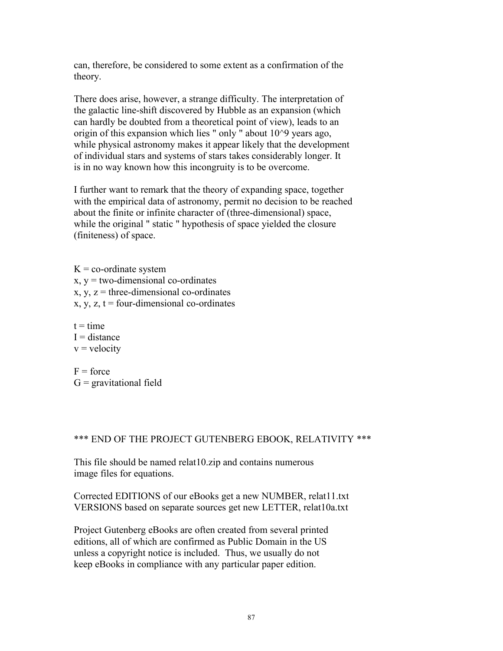can, therefore, be considered to some extent as a confirmation of the theory.

There does arise, however, a strange difficulty. The interpretation of the galactic line-shift discovered by Hubble as an expansion (which can hardly be doubted from a theoretical point of view), leads to an origin of this expansion which lies " only " about  $10^{\circ}$  years ago, while physical astronomy makes it appear likely that the development of individual stars and systems of stars takes considerably longer. It is in no way known how this incongruity is to be overcome.

I further want to remark that the theory of expanding space, together with the empirical data of astronomy, permit no decision to be reached about the finite or infinite character of (three-dimensional) space, while the original " static " hypothesis of space yielded the closure (finiteness) of space.

 $K =$  co-ordinate system  $x, y = two-dimensional co-ordinates$  $x, y, z =$  three-dimensional co-ordinates  $x, y, z, t = four-dimensional co-ordinates$ 

 $t = time$  $I = distance$  $v =$  velocity

 $F = force$  $G =$  gravitational field

## \*\*\* END OF THE PROJECT GUTENBERG EBOOK, RELATIVITY \*\*\*

This file should be named relat10.zip and contains numerous image files for equations.

Corrected EDITIONS of our eBooks get a new NUMBER, relat11.txt VERSIONS based on separate sources get new LETTER, relat10a.txt

Project Gutenberg eBooks are often created from several printed editions, all of which are confirmed as Public Domain in the US unless a copyright notice is included. Thus, we usually do not keep eBooks in compliance with any particular paper edition.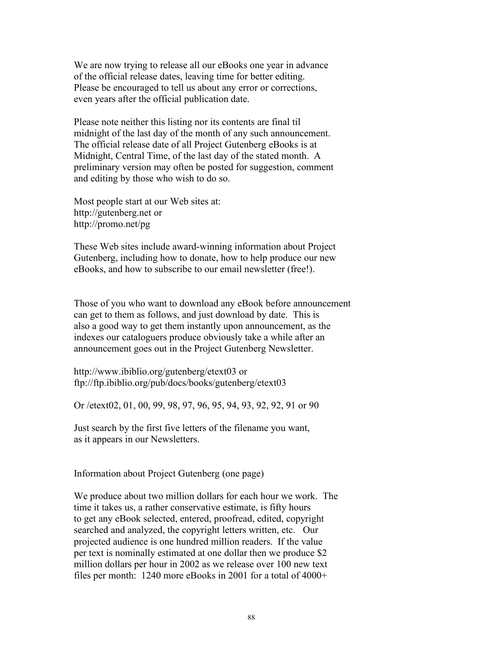We are now trying to release all our eBooks one year in advance of the official release dates, leaving time for better editing. Please be encouraged to tell us about any error or corrections, even years after the official publication date.

Please note neither this listing nor its contents are final til midnight of the last day of the month of any such announcement. The official release date of all Project Gutenberg eBooks is at Midnight, Central Time, of the last day of the stated month. A preliminary version may often be posted for suggestion, comment and editing by those who wish to do so.

Most people start at our Web sites at: http://gutenberg.net or http://promo.net/pg

These Web sites include award-winning information about Project Gutenberg, including how to donate, how to help produce our new eBooks, and how to subscribe to our email newsletter (free!).

Those of you who want to download any eBook before announcement can get to them as follows, and just download by date. This is also a good way to get them instantly upon announcement, as the indexes our cataloguers produce obviously take a while afteran announcement goes out in the Project Gutenberg Newsletter.

http://www.ibiblio.org/gutenberg/etext03 or ftp://ftp.ibiblio.org/pub/docs/books/gutenberg/etext03

Or /etext02, 01, 00, 99, 98, 97, 96, 95, 94, 93, 92, 92, 91 or 90

Just search by the first five letters of the filename you want, as it appears in our Newsletters.

Information about Project Gutenberg (one page)

We produce about two million dollars for each hour we work. The time it takes us, a rather conservative estimate, is fifty hours to get any eBook selected, entered, proofread, edited, copyright searched and analyzed, the copyright letters written, etc. Our projected audience is one hundred million readers. If the value per text is nominally estimated at one dollar then we produce \$2 million dollars per hour in 2002 as we release over 100 new text files per month: 1240 more eBooks in 2001 for a total of 4000+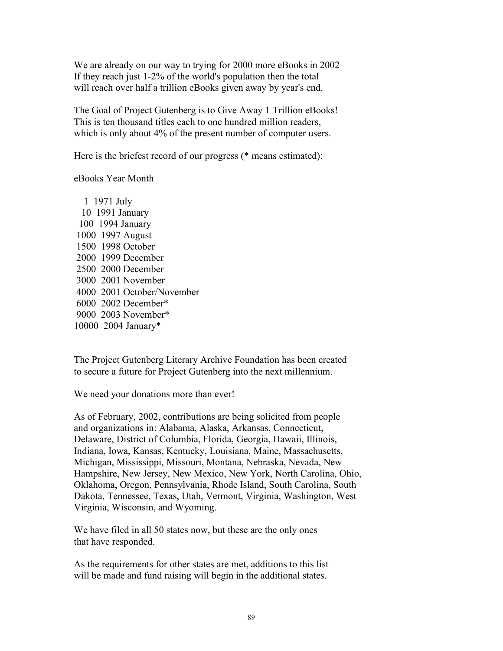We are already on our way to trying for 2000 more eBooks in 2002 If they reach just 1-2% of the world's population then the total will reach over half a trillion eBooks given away by year's end.

The Goal of Project Gutenberg is to Give Away 1 Trillion eBooks! This is ten thousand titles each to one hundred million readers, which is only about 4% of the present number of computer users.

Here is the briefest record of our progress (\* means estimated):

eBooks Year Month

The Project Gutenberg Literary Archive Foundation has been created to secure a future for Project Gutenberg into the next millennium.

We need your donations more than ever!

As of February, 2002, contributions are being solicited from people and organizations in: Alabama, Alaska, Arkansas, Connecticut, Delaware, District of Columbia, Florida, Georgia, Hawaii, Illinois, Indiana, Iowa, Kansas, Kentucky, Louisiana, Maine, Massachusetts, Michigan, Mississippi, Missouri, Montana, Nebraska, Nevada, New Hampshire, New Jersey, New Mexico, New York, North Carolina, Ohio, Oklahoma, Oregon, Pennsylvania, Rhode Island, South Carolina, South Dakota, Tennessee, Texas, Utah, Vermont, Virginia, Washington, West Virginia, Wisconsin, and Wyoming.

We have filed in all 50 states now, but these are the only ones that have responded.

As the requirements for other states are met, additions to this list will be made and fund raising will begin in the additional states.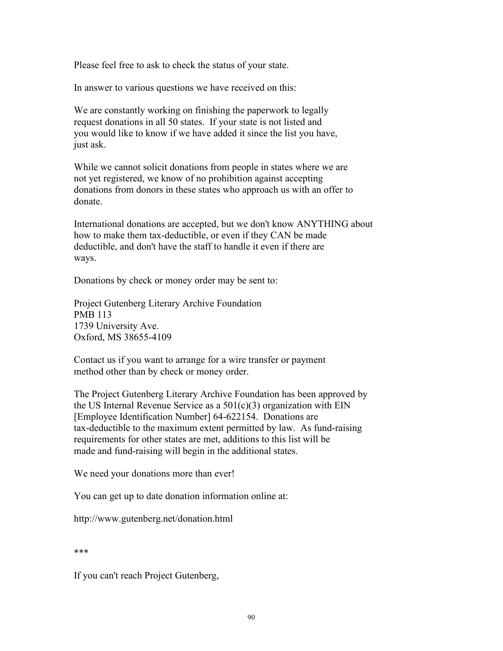Please feel free to ask to check the status of your state.

In answer to various questions we have received on this:

We are constantly working on finishing the paperwork to legally request donations in all 50 states. If your state is not listed and you would like to know if we have added it since the list you have, just ask.

While we cannot solicit donations from people in states where we are not yet registered, we know of no prohibition against accepting donations from donors in these states who approach us with an offer to donate.

International donations are accepted, but we don't know ANYTHING about how to make them tax-deductible, or even if they CAN be made deductible, and don't have the staff to handle it even if there are ways.

Donations by check or money order may be sent to:

Project Gutenberg Literary Archive Foundation PMB 113 1739 University Ave. Oxford, MS 38655-4109

Contact us if you want to arrange for a wire transfer or payment method other than by check or money order.

The Project Gutenberg Literary Archive Foundation has been approved by the US Internal Revenue Service as a  $501(c)(3)$  organization with EIN [Employee Identification Number] 64-622154. Donations are tax-deductible to the maximum extent permitted by law.As fund-raising requirements for other states are met, additions to this list will be made and fund-raising will begin in the additional states.

We need your donations more than ever!

You can get up to date donation information online at:

http://www.gutenberg.net/donation.html

\*\*\*\*

If you can't reach Project Gutenberg,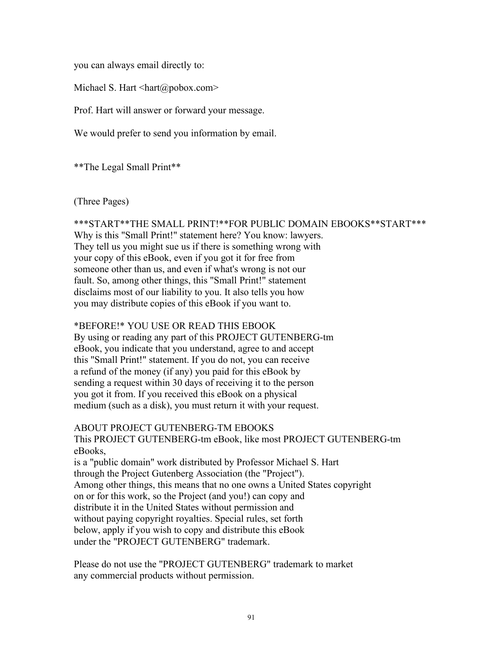you can always email directly to:

Michael S. Hart <hart@pobox.com>

Prof. Hart will answer or forward your message.

We would prefer to send you information by email.

\*\*The Legal Small Print\*\*

(Three Pages)

### \*\*\*START\*\*THE SMALL PRINT!\*\*FOR PUBLIC DOMAIN EBOOKS\*\*START\*\*\*

Why is this "Small Print!" statement here? You know: lawyers. They tell us you might sue us if there is something wrong with your copy of this eBook, even if you got it for free from someone other than us, and even if what's wrong is not our fault. So, among other things, this "Small Print!" statement disclaims most of our liability to you. It also tells you how you may distribute copies of this eBook if you want to.

## \*BEFORE!\* YOU USEOR READ THIS EBOOK

By using or reading any part of this PROJECT GUTENBERG-tm eBook, you indicate that you understand, agree to and accept this "Small Print!" statement. If you do not, you can receive a refund of the money (if any) you paid for this eBook by sending a request within 30 days of receiving it to the person you got it from.If you received this eBook on a physical medium (such as a disk), you must return it with your request.

### ABOUT PROJECT GUTENBERG-TM EBOOKS

This PROJECT GUTENBERG-tm eBook, like most PROJECT GUTENBERG-tm eBooks,

is a "public domain" work distributed by Professor Michael S. Hart through the Project Gutenberg Association (the "Project"). Among other things, this means that no one owns a United States copyright on or for this work, so the Project (and you!) can copy and distribute it in the United States without permission and without paying copyright royalties. Special rules, set forth below, apply if you wish to copy and distribute this eBook under the "PROJECT GUTENBERG" trademark.

Please do not use the "PROJECT GUTENBERG" trademark to market any commercial products without permission.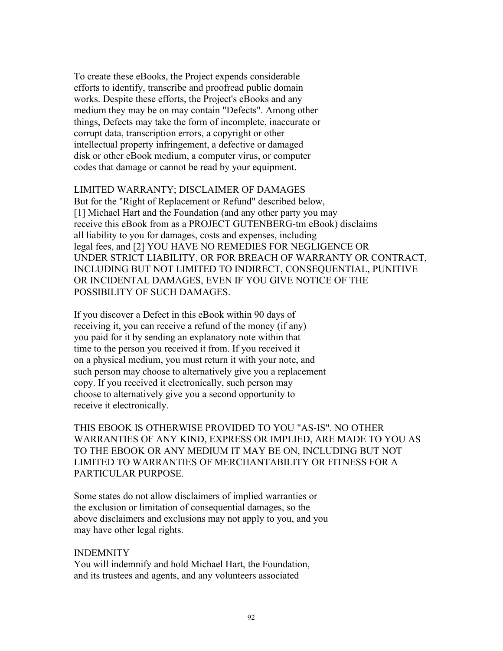To create these eBooks, the Project expends considerable efforts to identify, transcribe and proofread public domain works. Despite these efforts, the Project's eBooks and any medium they may be on may contain "Defects". Among other things, Defects may take the form of incomplete, inaccurate or corrupt data, transcription errors, a copyright or other intellectual property infringement, a defective or damaged disk or other eBook medium, a computer virus, or computer codes that damage or cannot be read by your equipment.

### LIMITED WARRANTY; DISCLAIMER OF DAMAGES

But for the "Right of Replacement or Refund" described below, [1] Michael Hart and the Foundation (and any other party you may receive this eBook from as a PROJECT GUTENBERG-tm eBook) disclaims all liability to you for damages, costs and expenses, including legal fees, and [2] YOU HAVE NO REMEDIES FOR NEGLIGENCE OR UNDER STRICT LIABILITY, OR FOR BREACH OF WARRANTY OR CONTRACT, INCLUDING BUT NOT LIMITED TO INDIRECT, CONSEQUENTIAL, PUNITIVE OR INCIDENTAL DAMAGES, EVEN IF YOU GIVE NOTICE OF THE POSSIBILITY OF SUCH DAMAGES.

If you discover a Defect in this eBook within 90 days of receiving it, you can receive a refund of the money (if any) you paid for it by sending an explanatory note within that time to the person you received it from. If you received it on a physical medium, you must return it with your note, and such person may choose to alternatively give you a replacement copy. If you received it electronically, such person may choose to alternatively give you a second opportunity to receive it electronically.

THIS EBOOK IS OTHERWISE PROVIDED TO YOU "AS-IS". NO OTHER WARRANTIES OF ANY KIND, EXPRESS OR IMPLIED, ARE MADE TO YOU AS TO THE EBOOK OR ANY MEDIUM IT MAY BE ON, INCLUDING BUT NOT LIMITED TO WARRANTIES OF MERCHANTABILITY OR FITNESS FOR A PARTICULAR PURPOSE.

Some states do not allow disclaimers of implied warranties or the exclusion or limitation of consequential damages, so the above disclaimers and exclusions may not apply to you, and you may have other legal rights.

### INDEMNITY

You will indemnify and hold Michael Hart, the Foundation, and its trustees and agents, and any volunteers associated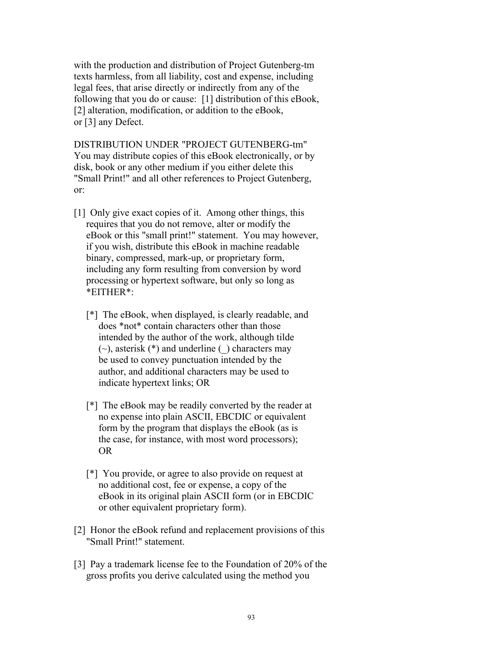with the production and distribution of Project Gutenberg-tm texts harmless, from all liability, cost and expense, including legal fees, that arise directly or indirectly from any of the following that you do or cause: [1] distribution of this eBook, [2] alteration, modification, or addition to the eBook, or [3] any Defect.

DISTRIBUTION UNDER "PROJECT GUTENBERG-tm" You may distribute copies of this eBook electronically, or by disk, book or any other medium if you either delete this "Small Print!" and all other references to Project Gutenberg, or:

- [1] Only give exact copies of it. Among other things, this requires that you do not remove, alter or modify the eBook or this "small print!" statement. You may however, if you wish, distribute this eBook in machine readable binary, compressed, mark-up, or proprietary form, including any form resulting from conversion by word processing or hypertext software, but only so long as \*EITHER\*:
	- [\*] The eBook, when displayed, is clearly readable, and does \*not\* contain characters other than those intended by the author of the work, although tilde  $(\sim)$ , asterisk  $(*)$  and underline () characters may be used to convey punctuation intended by the author, and additional characters may be used to indicate hypertext links; OR
	- [\*] The eBook may be readily converted by the reader at no expense into plain ASCII, EBCDIC or equivalent form by the program that displays the eBook (as is the case, for instance, with most word processors); OR
	- [\*] You provide, or agree to also provide on request at no additional cost, fee or expense, a copy of the eBook in its original plain ASCII form (or in EBCDIC or other equivalent proprietary form).
- [2] Honor the eBook refund and replacement provisions of this "Small Print!" statement.
- [3] Pay a trademark license fee to the Foundation of 20% of the gross profits you derive calculated using the method you